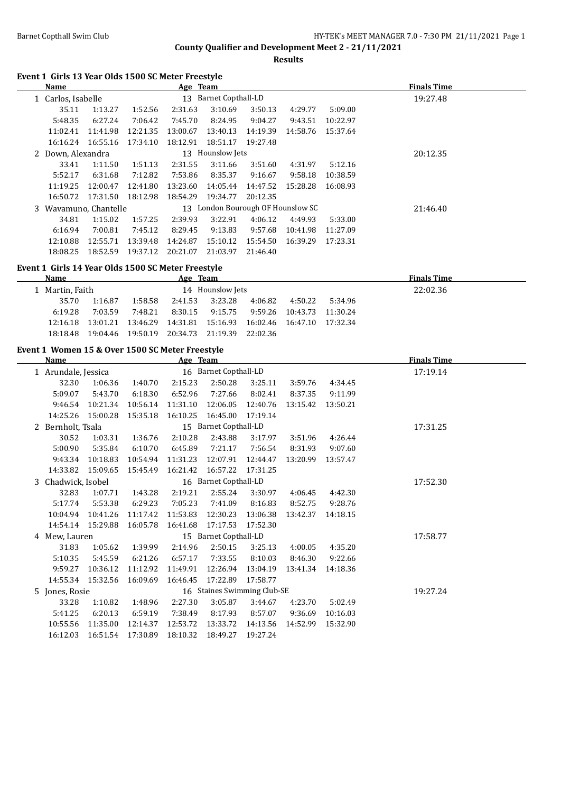**Results**

## **Event 1 Girls 13 Year Olds 1500 SC Meter Freestyle**

| Name                  |          |          | Age Team |                                   |          |          |          | <b>Finals Time</b> |
|-----------------------|----------|----------|----------|-----------------------------------|----------|----------|----------|--------------------|
| 1 Carlos, Isabelle    |          |          |          | 13 Barnet Copthall-LD             |          |          |          | 19:27.48           |
| 35.11                 | 1:13.27  | 1:52.56  | 2:31.63  | 3:10.69                           | 3:50.13  | 4:29.77  | 5:09.00  |                    |
| 5:48.35               | 6:27.24  | 7:06.42  | 7:45.70  | 8:24.95                           | 9:04.27  | 9:43.51  | 10:22.97 |                    |
| 11:02.41              | 11:41.98 | 12:21.35 | 13:00.67 | 13:40.13                          | 14:19.39 | 14:58.76 | 15:37.64 |                    |
| 16:16.24              | 16:55.16 | 17:34.10 | 18:12.91 | 18:51.17                          | 19:27.48 |          |          |                    |
| 2 Down, Alexandra     |          |          |          | 13 Hounslow Jets                  |          |          |          | 20:12.35           |
| 33.41                 | 1:11.50  | 1:51.13  | 2:31.55  | 3:11.66                           | 3:51.60  | 4:31.97  | 5:12.16  |                    |
| 5:52.17               | 6:31.68  | 7:12.82  | 7:53.86  | 8:35.37                           | 9:16.67  | 9:58.18  | 10:38.59 |                    |
| 11:19.25              | 12:00.47 | 12:41.80 | 13:23.60 | 14:05.44                          | 14:47.52 | 15:28.28 | 16:08.93 |                    |
| 16:50.72              | 17:31.50 | 18:12.98 | 18:54.29 | 19:34.77                          | 20:12.35 |          |          |                    |
| 3 Wavamuno, Chantelle |          |          |          | 13 London Bourough OF Hounslow SC |          |          |          | 21:46.40           |
| 34.81                 | 1:15.02  | 1:57.25  | 2:39.93  | 3:22.91                           | 4:06.12  | 4:49.93  | 5:33.00  |                    |
| 6:16.94               | 7:00.81  | 7:45.12  | 8:29.45  | 9:13.83                           | 9:57.68  | 10:41.98 | 11:27.09 |                    |
| 12:10.88              | 12:55.71 | 13:39.48 | 14:24.87 | 15:10.12                          | 15:54.50 | 16:39.29 | 17:23.31 |                    |
| 18:08.25              | 18:52.59 | 19:37.12 | 20:21.07 | 21:03.97                          | 21:46.40 |          |          |                    |

## **Event 1 Girls 14 Year Olds 1500 SC Meter Freestyle**

| <b>Name</b>     |          |          | Age Team |                   |         |                            |         | <b>Finals Time</b> |
|-----------------|----------|----------|----------|-------------------|---------|----------------------------|---------|--------------------|
| 1 Martin, Faith |          |          |          | 14 Hounslow Jets  |         |                            |         | 22:02.36           |
| 35.70           | 1:16.87  | 1:58.58  | 2:41.53  | 3:23.28           | 4:06.82 | 4:50.22                    | 5:34.96 |                    |
| 6:19.28         | 7:03.59  | 7:48.21  | 8:30.15  | 9:15.75           |         | 9:59.26 10:43.73 11:30.24  |         |                    |
| 12:16.18        | 13:01.21 | 13:46.29 | 14:31.81 | 15:16.93          |         | 16:02.46 16:47.10 17:32.34 |         |                    |
| 18:18.48        | 19:04.46 | 19:50.19 | 20:34.73 | 21:19.39 22:02.36 |         |                            |         |                    |
|                 |          |          |          |                   |         |                            |         |                    |

## **Event 1 Women 15 & Over 1500 SC Meter Freestyle**

| Name                |          |          | Age Team |                             |          |          |          | <b>Finals Time</b> |
|---------------------|----------|----------|----------|-----------------------------|----------|----------|----------|--------------------|
| 1 Arundale, Jessica |          |          |          | 16 Barnet Copthall-LD       |          |          |          | 17:19.14           |
| 32.30               | 1:06.36  | 1:40.70  | 2:15.23  | 2:50.28                     | 3:25.11  | 3:59.76  | 4:34.45  |                    |
| 5:09.07             | 5:43.70  | 6:18.30  | 6:52.96  | 7:27.66                     | 8:02.41  | 8:37.35  | 9:11.99  |                    |
| 9:46.54             | 10:21.34 | 10:56.14 | 11:31.10 | 12:06.05                    | 12:40.76 | 13:15.42 | 13:50.21 |                    |
| 14:25.26            | 15:00.28 | 15:35.18 | 16:10.25 | 16:45.00                    | 17:19.14 |          |          |                    |
| 2 Bernholt, Tsala   |          |          |          | 15 Barnet Copthall-LD       |          |          |          | 17:31.25           |
| 30.52               | 1:03.31  | 1:36.76  | 2:10.28  | 2:43.88                     | 3:17.97  | 3:51.96  | 4:26.44  |                    |
| 5:00.90             | 5:35.84  | 6:10.70  | 6:45.89  | 7:21.17                     | 7:56.54  | 8:31.93  | 9:07.60  |                    |
| 9:43.34             | 10:18.83 | 10:54.94 | 11:31.23 | 12:07.91                    | 12:44.47 | 13:20.99 | 13:57.47 |                    |
| 14:33.82            | 15:09.65 | 15:45.49 | 16:21.42 | 16:57.22                    | 17:31.25 |          |          |                    |
| 3 Chadwick, Isobel  |          |          |          | 16 Barnet Copthall-LD       |          |          |          | 17:52.30           |
| 32.83               | 1:07.71  | 1:43.28  | 2:19.21  | 2:55.24                     | 3:30.97  | 4:06.45  | 4:42.30  |                    |
| 5:17.74             | 5:53.38  | 6:29.23  | 7:05.23  | 7:41.09                     | 8:16.83  | 8:52.75  | 9:28.76  |                    |
| 10:04.94            | 10:41.26 | 11:17.42 | 11:53.83 | 12:30.23                    | 13:06.38 | 13:42.37 | 14:18.15 |                    |
| 14:54.14            | 15:29.88 | 16:05.78 | 16:41.68 | 17:17.53                    | 17:52.30 |          |          |                    |
| 4 Mew, Lauren       |          |          |          | 15 Barnet Copthall-LD       |          |          |          | 17:58.77           |
| 31.83               | 1:05.62  | 1:39.99  | 2:14.96  | 2:50.15                     | 3:25.13  | 4:00.05  | 4:35.20  |                    |
| 5:10.35             | 5:45.59  | 6:21.26  | 6:57.17  | 7:33.55                     | 8:10.03  | 8:46.30  | 9:22.66  |                    |
| 9:59.27             | 10:36.12 | 11:12.92 | 11:49.91 | 12:26.94                    | 13:04.19 | 13:41.34 | 14:18.36 |                    |
| 14:55.34            | 15:32.56 | 16:09.69 | 16:46.45 | 17:22.89                    | 17:58.77 |          |          |                    |
| 5 Jones, Rosie      |          |          |          | 16 Staines Swimming Club-SE |          |          |          | 19:27.24           |
| 33.28               | 1:10.82  | 1:48.96  | 2:27.30  | 3:05.87                     | 3:44.67  | 4:23.70  | 5:02.49  |                    |
| 5:41.25             | 6:20.13  | 6:59.19  | 7:38.49  | 8:17.93                     | 8:57.07  | 9:36.69  | 10:16.03 |                    |
| 10:55.56            | 11:35.00 | 12:14.37 | 12:53.72 | 13:33.72                    | 14:13.56 | 14:52.99 | 15:32.90 |                    |
| 16:12.03            | 16:51.54 | 17:30.89 | 18:10.32 | 18:49.27                    | 19:27.24 |          |          |                    |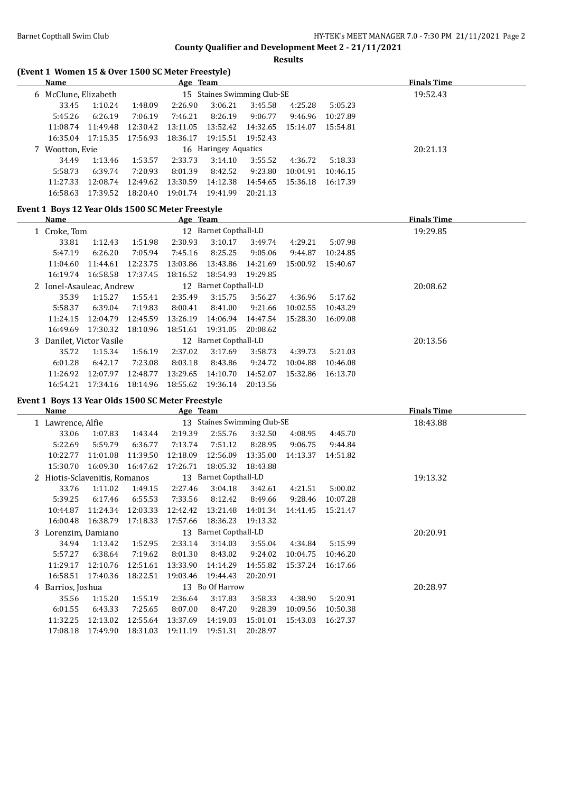**Results**

# **(Event 1 Women 15 & Over 1500 SC Meter Freestyle)**

| <b>Name</b>          |          |          | <u>Age Team</u> |                             |          |          |          | <b>Finals Time</b> |
|----------------------|----------|----------|-----------------|-----------------------------|----------|----------|----------|--------------------|
| 6 McClune, Elizabeth |          |          |                 | 15 Staines Swimming Club-SE |          | 19:52.43 |          |                    |
| 33.45                | 1:10.24  | 1:48.09  | 2:26.90         | 3:06.21                     | 3:45.58  | 4:25.28  | 5:05.23  |                    |
| 5:45.26              | 6:26.19  | 7:06.19  | 7:46.21         | 8:26.19                     | 9:06.77  | 9:46.96  | 10:27.89 |                    |
| 11:08.74             | 11:49.48 | 12:30.42 | 13:11.05        | 13:52.42                    | 14:32.65 | 15:14.07 | 15:54.81 |                    |
| 16:35.04             | 17:15.35 | 17:56.93 | 18:36.17        | 19:15.51                    | 19:52.43 |          |          |                    |
| 7 Wootton, Evie      |          |          |                 | 16 Haringey Aquatics        |          |          |          | 20:21.13           |
| 34.49                | 1:13.46  | 1:53.57  | 2:33.73         | 3:14.10                     | 3:55.52  | 4:36.72  | 5:18.33  |                    |
| 5:58.73              | 6:39.74  | 7:20.93  | 8:01.39         | 8:42.52                     | 9:23.80  | 10:04.91 | 10:46.15 |                    |
| 11:27.33             | 12:08.74 | 12:49.62 | 13:30.59        | 14:12.38                    | 14:54.65 | 15:36.18 | 16:17.39 |                    |
| 16:58.63             | 17:39.52 | 18:20.40 | 19:01.74        | 19:41.99                    | 20:21.13 |          |          |                    |

## **Event 1 Boys 12 Year Olds 1500 SC Meter Freestyle**

| Name                     |          |          | Age Team |                       |          |          |          | <b>Finals Time</b> |
|--------------------------|----------|----------|----------|-----------------------|----------|----------|----------|--------------------|
| 1 Croke, Tom             |          |          |          | 12 Barnet Copthall-LD |          |          |          | 19:29.85           |
| 33.81                    | 1:12.43  | 1:51.98  | 2:30.93  | 3:10.17               | 3:49.74  | 4:29.21  | 5:07.98  |                    |
| 5:47.19                  | 6:26.20  | 7:05.94  | 7:45.16  | 8:25.25               | 9:05.06  | 9:44.87  | 10:24.85 |                    |
| 11:04.60                 | 11:44.61 | 12:23.75 | 13:03.86 | 13:43.86              | 14:21.69 | 15:00.92 | 15:40.67 |                    |
| 16:19.74                 | 16:58.58 | 17:37.45 | 18:16.52 | 18:54.93              | 19:29.85 |          |          |                    |
| 2 Ionel-Asauleac, Andrew |          |          |          | 12 Barnet Copthall-LD |          |          |          | 20:08.62           |
| 35.39                    | 1:15.27  | 1:55.41  | 2:35.49  | 3:15.75               | 3:56.27  | 4:36.96  | 5:17.62  |                    |
| 5:58.37                  | 6:39.04  | 7:19.83  | 8:00.41  | 8:41.00               | 9:21.66  | 10:02.55 | 10:43.29 |                    |
| 11:24.15                 | 12:04.79 | 12:45.59 | 13:26.19 | 14:06.94              | 14:47.54 | 15:28.30 | 16:09.08 |                    |
| 16:49.69                 | 17:30.32 | 18:10.96 | 18:51.61 | 19:31.05              | 20:08.62 |          |          |                    |
| 3 Danilet, Victor Vasile |          |          |          | 12 Barnet Copthall-LD |          |          |          | 20:13.56           |
| 35.72                    | 1:15.34  | 1:56.19  | 2:37.02  | 3:17.69               | 3:58.73  | 4:39.73  | 5:21.03  |                    |
| 6:01.28                  | 6:42.17  | 7:23.08  | 8:03.18  | 8:43.86               | 9:24.72  | 10:04.88 | 10:46.08 |                    |
| 11:26.92                 | 12:07.97 | 12:48.77 | 13:29.65 | 14:10.70              | 14:52.07 | 15:32.86 | 16:13.70 |                    |
| 16:54.21                 | 17:34.16 | 18:14.96 | 18:55.62 | 19:36.14              | 20:13.56 |          |          |                    |

# **Event 1 Boys 13 Year Olds 1500 SC Meter Freestyle**

 $\frac{1}{1}$ 

|    | Name              |                             |          | Age Team |                             |          |          |          | <b>Finals Time</b> |
|----|-------------------|-----------------------------|----------|----------|-----------------------------|----------|----------|----------|--------------------|
|    | 1 Lawrence, Alfie |                             |          |          | 13 Staines Swimming Club-SE |          |          |          | 18:43.88           |
|    | 33.06             | 1:07.83                     | 1:43.44  | 2:19.39  | 2:55.76                     | 3:32.50  | 4:08.95  | 4:45.70  |                    |
|    | 5:22.69           | 5:59.79                     | 6:36.77  | 7:13.74  | 7:51.12                     | 8:28.95  | 9:06.75  | 9:44.84  |                    |
|    | 10:22.77          | 11:01.08                    | 11:39.50 | 12:18.09 | 12:56.09                    | 13:35.00 | 14:13.37 | 14:51.82 |                    |
|    | 15:30.70          | 16:09.30                    | 16:47.62 | 17:26.71 | 18:05.32                    | 18:43.88 |          |          |                    |
|    |                   | Hiotis-Sclavenitis, Romanos |          |          | 13 Barnet Copthall-LD       |          |          |          | 19:13.32           |
|    | 33.76             | 1:11.02                     | 1:49.15  | 2:27.46  | 3:04.18                     | 3:42.61  | 4:21.51  | 5:00.02  |                    |
|    | 5:39.25           | 6:17.46                     | 6:55.53  | 7:33.56  | 8:12.42                     | 8:49.66  | 9:28.46  | 10:07.28 |                    |
|    | 10:44.87          | 11:24.34                    | 12:03.33 | 12:42.42 | 13:21.48                    | 14:01.34 | 14:41.45 | 15:21.47 |                    |
|    | 16:00.48          | 16:38.79                    | 17:18.33 | 17:57.66 | 18:36.23                    | 19:13.32 |          |          |                    |
| 3. | Lorenzim, Damiano |                             |          |          | 13 Barnet Copthall-LD       |          |          |          | 20:20.91           |
|    | 34.94             | 1:13.42                     | 1:52.95  | 2:33.14  | 3:14.03                     | 3:55.04  | 4:34.84  | 5:15.99  |                    |
|    | 5:57.27           | 6:38.64                     | 7:19.62  | 8:01.30  | 8:43.02                     | 9:24.02  | 10:04.75 | 10:46.20 |                    |
|    | 11:29.17          | 12:10.76                    | 12:51.61 | 13:33.90 | 14:14.29                    | 14:55.82 | 15:37.24 | 16:17.66 |                    |
|    | 16:58.51          | 17:40.36                    | 18:22.51 | 19:03.46 | 19:44.43                    | 20:20.91 |          |          |                    |
|    | 4 Barrios, Joshua |                             |          |          | 13 Bo Of Harrow             |          |          |          | 20:28.97           |
|    | 35.56             | 1:15.20                     | 1:55.19  | 2:36.64  | 3:17.83                     | 3:58.33  | 4:38.90  | 5:20.91  |                    |
|    | 6:01.55           | 6:43.33                     | 7:25.65  | 8:07.00  | 8:47.20                     | 9:28.39  | 10:09.56 | 10:50.38 |                    |
|    | 11:32.25          | 12:13.02                    | 12:55.64 | 13:37.69 | 14:19.03                    | 15:01.01 | 15:43.03 | 16:27.37 |                    |
|    | 17:08.18          | 17:49.90                    | 18:31.03 | 19:11.19 | 19:51.31                    | 20:28.97 |          |          |                    |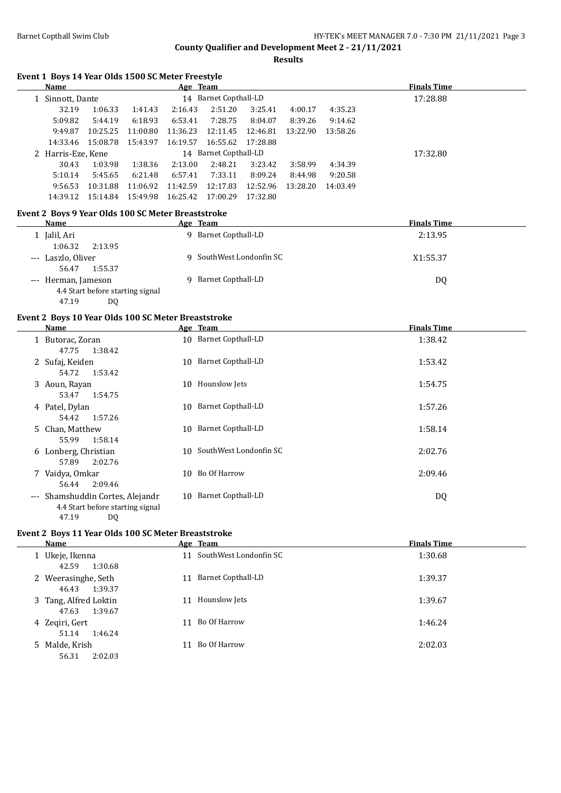**Results**

#### **Event 1 Boys 14 Year Olds 1500 SC Meter Freestyle**

| Name                                               |          |          | Age Team |                       |          |          |          | <b>Finals Time</b> |  |
|----------------------------------------------------|----------|----------|----------|-----------------------|----------|----------|----------|--------------------|--|
| 1 Sinnott, Dante                                   |          |          |          | 14 Barnet Copthall-LD |          |          | 17:28.88 |                    |  |
| 32.19                                              | 1:06.33  | 1:41.43  | 2:16.43  | 2:51.20               | 3:25.41  | 4:00.17  | 4:35.23  |                    |  |
| 5:09.82                                            | 5:44.19  | 6:18.93  | 6:53.41  | 7:28.75               | 8:04.07  | 8:39.26  | 9:14.62  |                    |  |
| 9:49.87                                            | 10:25.25 | 11:00.80 | 11:36.23 | 12:11.45              | 12:46.81 | 13:22.90 | 13:58.26 |                    |  |
| 14:33.46                                           | 15:08.78 | 15:43.97 | 16:19.57 | 16:55.62              | 17:28.88 |          |          |                    |  |
| 2 Harris-Eze, Kene                                 |          |          |          | 14 Barnet Copthall-LD |          |          |          | 17:32.80           |  |
| 30.43                                              | 1:03.98  | 1:38.36  | 2:13.00  | 2:48.21               | 3:23.42  | 3:58.99  | 4:34.39  |                    |  |
| 5:10.14                                            | 5:45.65  | 6:21.48  | 6:57.41  | 7:33.11               | 8:09.24  | 8:44.98  | 9:20.58  |                    |  |
| 9:56.53                                            | 10:31.88 | 11:06.92 | 11:42.59 | 12:17.83              | 12:52.96 | 13:28.20 | 14:03.49 |                    |  |
| 14:39.12                                           | 15:14.84 | 15:49.98 | 16:25.42 | 17:00.29              | 17:32.80 |          |          |                    |  |
| Event 2 Boys 9 Year Olds 100 SC Meter Breaststroke |          |          |          |                       |          |          |          |                    |  |
| Name                                               |          |          | Age Team |                       |          |          |          | <b>Finals Time</b> |  |
| $1$ Ialil Ari                                      |          |          |          | Q Rarnet Conthall I D |          |          |          | $7.120$ C          |  |

| Jalil, Ari                       | Barnet Copthall-LD<br>q  | 2:13.95        |
|----------------------------------|--------------------------|----------------|
| 1:06.32<br>2:13.95               |                          |                |
| --- Laszlo, Oliver               | 9 SouthWest Londonfin SC | X1:55.37       |
| 1:55.37<br>56.47                 |                          |                |
| --- Herman, Jameson              | 9 Barnet Copthall-LD     | D <sub>0</sub> |
| 4.4 Start before starting signal |                          |                |
| 47.19<br>D0                      |                          |                |

# **Event 2 Boys 10 Year Olds 100 SC Meter Breaststroke**

| Name                                                                                       | Age Team                     | <b>Finals Time</b> |
|--------------------------------------------------------------------------------------------|------------------------------|--------------------|
| 1 Butorac, Zoran<br>1:38.42<br>47.75                                                       | 10 Barnet Copthall-LD        | 1:38.42            |
| 2 Sufaj, Keiden<br>54.72<br>1:53.42                                                        | Barnet Copthall-LD<br>10     | 1:53.42            |
| 3 Aoun, Rayan<br>1:54.75<br>53.47                                                          | Hounslow Jets<br>10          | 1:54.75            |
| 4 Patel, Dylan<br>1:57.26<br>54.42                                                         | Barnet Copthall-LD<br>10     | 1:57.26            |
| 5 Chan, Matthew<br>55.99<br>1:58.14                                                        | Barnet Copthall-LD<br>10     | 1:58.14            |
| 6 Lonberg, Christian<br>57.89<br>2:02.76                                                   | SouthWest Londonfin SC<br>10 | 2:02.76            |
| 7 Vaidya, Omkar<br>2:09.46<br>56.44                                                        | Bo Of Harrow<br>10           | 2:09.46            |
| --- Shamshuddin Cortes, Alejandr<br>4.4 Start before starting signal<br>47.19<br><b>DQ</b> | Barnet Copthall-LD<br>10     | DQ                 |

#### **Event 2 Boys 11 Year Olds 100 SC Meter Breaststroke**

| Name                                      |    | Age Team                  | <b>Finals Time</b> |
|-------------------------------------------|----|---------------------------|--------------------|
| 1 Ukeje, Ikenna<br>42.59<br>1:30.68       |    | 11 SouthWest Londonfin SC | 1:30.68            |
| 2 Weerasinghe, Seth<br>46.43<br>1:39.37   | 11 | Barnet Copthall-LD        | 1:39.37            |
| 3 Tang, Alfred Loktin<br>47.63<br>1:39.67 | 11 | Hounslow Jets             | 1:39.67            |
| 4 Zegiri, Gert<br>1:46.24<br>51.14        |    | Bo Of Harrow              | 1:46.24            |
| 5 Malde, Krish<br>56.31<br>2:02.03        |    | Bo Of Harrow              | 2:02.03            |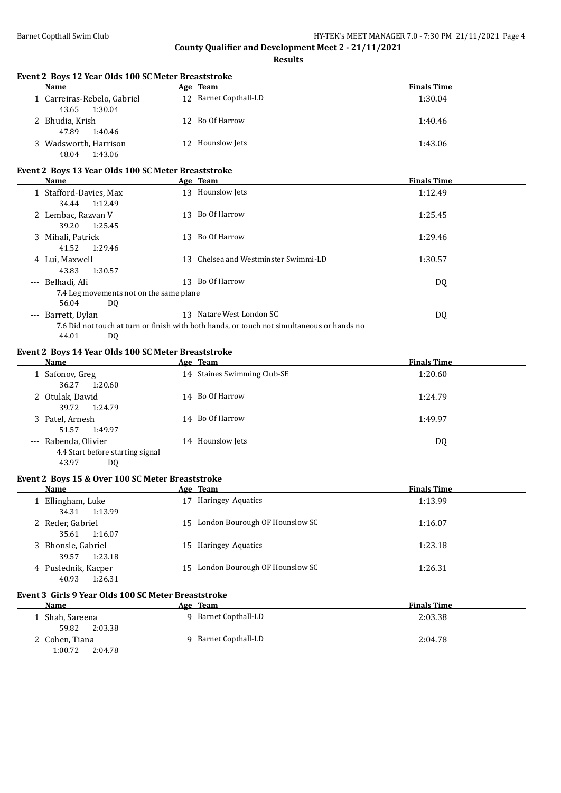1:00.72 2:04.78

# **County Qualifier and Development Meet 2 - 21/11/2021**

| Event 2 Boys 12 Year Olds 100 SC Meter Breaststroke<br>Name              | Age Team                                                                                   | <b>Finals Time</b> |
|--------------------------------------------------------------------------|--------------------------------------------------------------------------------------------|--------------------|
| 1 Carreiras-Rebelo, Gabriel<br>43.65<br>1:30.04                          | 12 Barnet Copthall-LD                                                                      | 1:30.04            |
| 2 Bhudia, Krish<br>47.89<br>1:40.46                                      | 12 Bo Of Harrow                                                                            | 1:40.46            |
| 3 Wadsworth, Harrison<br>48.04<br>1:43.06                                | 12 Hounslow Jets                                                                           | 1:43.06            |
| Event 2 Boys 13 Year Olds 100 SC Meter Breaststroke                      |                                                                                            |                    |
| <b>Name</b>                                                              | Age Team                                                                                   | <b>Finals Time</b> |
| 1 Stafford-Davies, Max<br>34.44<br>1:12.49                               | 13 Hounslow Jets                                                                           | 1:12.49            |
| 2 Lembac, Razvan V<br>39.20<br>1:25.45                                   | 13 Bo Of Harrow                                                                            | 1:25.45            |
| 3 Mihali, Patrick<br>41.52<br>1:29.46                                    | 13 Bo Of Harrow                                                                            | 1:29.46            |
| 4 Lui, Maxwell<br>43.83<br>1:30.57                                       | 13 Chelsea and Westminster Swimmi-LD                                                       | 1:30.57            |
| --- Belhadi, Ali                                                         | 13 Bo Of Harrow                                                                            | DQ                 |
| 7.4 Leg movements not on the same plane<br>56.04<br>DQ.                  |                                                                                            |                    |
| --- Barrett, Dylan                                                       | 13 Natare West London SC                                                                   | DQ                 |
| 44.01<br><b>DQ</b>                                                       | 7.6 Did not touch at turn or finish with both hands, or touch not simultaneous or hands no |                    |
| Event 2 Boys 14 Year Olds 100 SC Meter Breaststroke                      |                                                                                            |                    |
| Name                                                                     | Age Team                                                                                   | <b>Finals Time</b> |
| 1 Safonov, Greg<br>36.27<br>1:20.60                                      | 14 Staines Swimming Club-SE                                                                | 1:20.60            |
| 2 Otulak, Dawid<br>39.72<br>1:24.79                                      | 14 Bo Of Harrow                                                                            | 1:24.79            |
| 3 Patel, Arnesh<br>51.57<br>1:49.97                                      | 14 Bo Of Harrow                                                                            | 1:49.97            |
| --- Rabenda, Olivier<br>4.4 Start before starting signal<br>43.97<br>DQ. | 14 Hounslow Jets                                                                           | DQ                 |
| Event 2 Boys 15 & Over 100 SC Meter Breaststroke                         |                                                                                            |                    |
| <b>Name</b>                                                              | Age Team                                                                                   | <b>Finals Time</b> |
| 1 Ellingham, Luke<br>34.31<br>1:13.99                                    | 17 Haringey Aquatics                                                                       | 1:13.99            |
| 2 Reder, Gabriel<br>35.61<br>1:16.07                                     | 15 London Bourough OF Hounslow SC                                                          | 1:16.07            |
| 3 Bhonsle, Gabriel<br>39.57<br>1:23.18                                   | 15 Haringey Aquatics                                                                       | 1:23.18            |
| 4 Puslednik, Kacper<br>40.93<br>1:26.31                                  | 15 London Bourough OF Hounslow SC                                                          | 1:26.31            |
| Event 3 Girls 9 Year Olds 100 SC Meter Breaststroke                      |                                                                                            |                    |
| <b>Name</b>                                                              | Age Team                                                                                   | <b>Finals Time</b> |
| 1 Shah, Sareena                                                          | 9 Barnet Copthall-LD                                                                       | 2:03.38            |
| 59.82<br>2:03.38                                                         |                                                                                            |                    |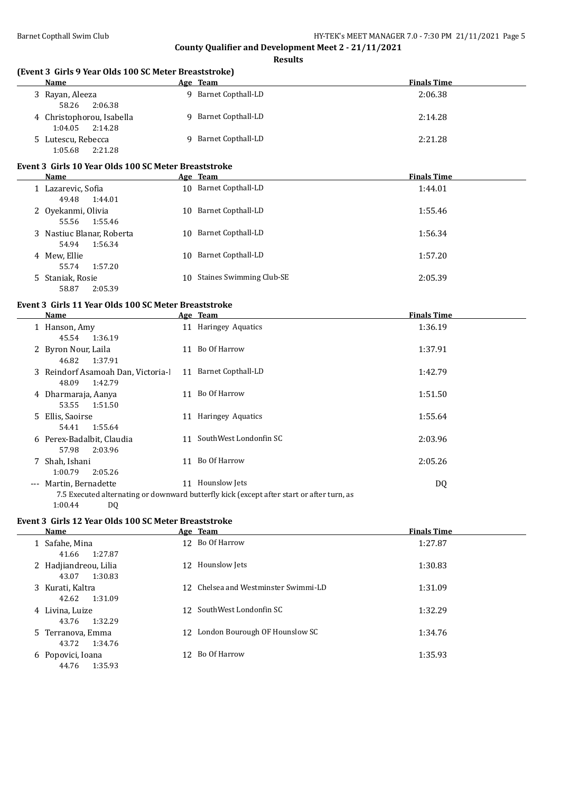**Results**

| (Event 3 Girls 9 Year Olds 100 SC Meter Breaststroke)  |                                                                                           |                    |
|--------------------------------------------------------|-------------------------------------------------------------------------------------------|--------------------|
| Name                                                   | Age Team                                                                                  | <b>Finals Time</b> |
| 3 Rayan, Aleeza<br>58.26<br>2:06.38                    | 9 Barnet Copthall-LD                                                                      | 2:06.38            |
| 4 Christophorou, Isabella<br>1:04.05<br>2:14.28        | 9 Barnet Copthall-LD                                                                      | 2:14.28            |
| 5 Lutescu, Rebecca<br>1:05.68<br>2:21.28               | 9 Barnet Copthall-LD                                                                      | 2:21.28            |
| Event 3 Girls 10 Year Olds 100 SC Meter Breaststroke   |                                                                                           |                    |
| <b>Name</b>                                            | Age Team                                                                                  | <b>Finals Time</b> |
| 1 Lazarevic, Sofia<br>49.48<br>1:44.01                 | 10 Barnet Copthall-LD                                                                     | 1:44.01            |
| 2 Oyekanmi, Olivia<br>55.56<br>1:55.46                 | 10 Barnet Copthall-LD                                                                     | 1:55.46            |
| 3 Nastiuc Blanar, Roberta<br>54.94<br>1:56.34          | 10 Barnet Copthall-LD                                                                     | 1:56.34            |
| 4 Mew, Ellie<br>55.74<br>1:57.20                       | 10 Barnet Copthall-LD                                                                     | 1:57.20            |
| 5 Staniak, Rosie<br>58.87<br>2:05.39                   | 10 Staines Swimming Club-SE                                                               | 2:05.39            |
| Event 3 Girls 11 Year Olds 100 SC Meter Breaststroke   |                                                                                           |                    |
| <b>Name</b>                                            | Age Team                                                                                  | <b>Finals Time</b> |
| 1 Hanson, Amy<br>45.54<br>1:36.19                      | 11 Haringey Aquatics                                                                      | 1:36.19            |
| 2 Byron Nour, Laila<br>46.82<br>1:37.91                | 11 Bo Of Harrow                                                                           | 1:37.91            |
| 3 Reindorf Asamoah Dan, Victoria-l<br>48.09<br>1:42.79 | 11 Barnet Copthall-LD                                                                     | 1:42.79            |
| 4 Dharmaraja, Aanya<br>53.55<br>1:51.50                | 11 Bo Of Harrow                                                                           | 1:51.50            |
| 5 Ellis, Saoirse<br>54.41<br>1:55.64                   | 11 Haringey Aquatics                                                                      | 1:55.64            |
| 6 Perex-Badalbit, Claudia<br>57.98<br>2:03.96          | 11 SouthWest Londonfin SC                                                                 | 2:03.96            |
| 7 Shah, Ishani<br>1:00.79<br>2:05.26                   | 11 Bo Of Harrow                                                                           | 2:05.26            |
| --- Martin, Bernadette                                 | 11 Hounslow Jets                                                                          | DQ                 |
| 1:00.44<br>DQ.                                         | 7.5 Executed alternating or downward butterfly kick (except after start or after turn, as |                    |
| Event 3 Girls 12 Year Olds 100 SC Meter Breaststroke   |                                                                                           |                    |
| Name                                                   | Age Team                                                                                  | <b>Finals Time</b> |
| 1 Safahe, Mina<br>41.66<br>1:27.87                     | 12 Bo Of Harrow                                                                           | 1:27.87            |
| 2 Hadjiandreou, Lilia<br>43.07<br>1:30.83              | 12 Hounslow Jets                                                                          | 1:30.83            |
| 3 Kurati, Kaltra<br>42.62<br>1:31.09                   | 12 Chelsea and Westminster Swimmi-LD                                                      | 1:31.09            |
| 4 Livina, Luize<br>43.76<br>1:32.29                    | 12 SouthWest Londonfin SC                                                                 | 1:32.29            |
| 5 Terranova, Emma<br>43.72<br>1:34.76                  | 12 London Bourough OF Hounslow SC                                                         | 1:34.76            |

6 Popovici, Ioana 12 Bo Of Harrow 1:35.93 44.76 1:35.93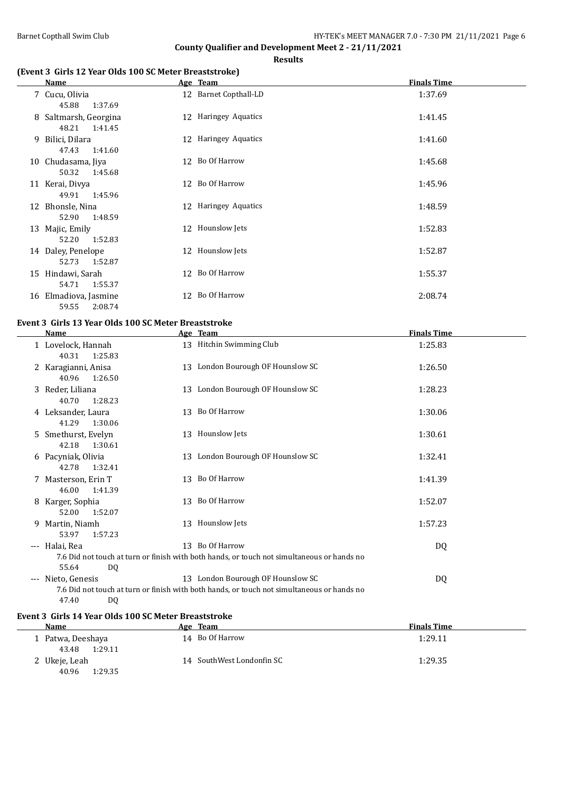**Results**

## **(Event 3 Girls 12 Year Olds 100 SC Meter Breaststroke)**

|   | Name                                      | Age Team              | <b>Finals Time</b> |
|---|-------------------------------------------|-----------------------|--------------------|
|   | 7 Cucu, Olivia<br>45.88<br>1:37.69        | 12 Barnet Copthall-LD | 1:37.69            |
|   | 8 Saltmarsh, Georgina<br>48.21<br>1:41.45 | 12 Haringey Aquatics  | 1:41.45            |
| 9 | Bilici, Dilara<br>47.43<br>1:41.60        | 12 Haringey Aquatics  | 1:41.60            |
|   | 10 Chudasama, Jiya<br>50.32<br>1:45.68    | 12 Bo Of Harrow       | 1:45.68            |
|   | 11 Kerai, Divya<br>49.91<br>1:45.96       | 12 Bo Of Harrow       | 1:45.96            |
|   | 12 Bhonsle, Nina<br>52.90<br>1:48.59      | 12 Haringey Aquatics  | 1:48.59            |
|   | 13 Majic, Emily<br>52.20<br>1:52.83       | 12 Hounslow Jets      | 1:52.83            |
|   | 14 Daley, Penelope<br>52.73<br>1:52.87    | 12 Hounslow Jets      | 1:52.87            |
|   | 15 Hindawi, Sarah<br>54.71<br>1:55.37     | 12 Bo Of Harrow       | 1:55.37            |
|   | 16 Elmadiova, Jasmine<br>2:08.74<br>59.55 | 12 Bo Of Harrow       | 2:08.74            |

# **Event 3 Girls 13 Year Olds 100 SC Meter Breaststroke**

| <b>Name</b>                             |    | Age Team                                                                                                                        | <b>Finals Time</b> |  |
|-----------------------------------------|----|---------------------------------------------------------------------------------------------------------------------------------|--------------------|--|
| 1 Lovelock, Hannah<br>40.31<br>1:25.83  |    | 13 Hitchin Swimming Club                                                                                                        | 1:25.83            |  |
| 2 Karagianni, Anisa<br>1:26.50<br>40.96 |    | 13 London Bourough OF Hounslow SC                                                                                               | 1:26.50            |  |
| 3 Reder, Liliana<br>40.70<br>1:28.23    | 13 | London Bourough OF Hounslow SC                                                                                                  | 1:28.23            |  |
| 4 Leksander, Laura<br>41.29<br>1:30.06  |    | 13 Bo Of Harrow                                                                                                                 | 1:30.06            |  |
| 5 Smethurst, Evelyn<br>42.18<br>1:30.61 | 13 | Hounslow Jets                                                                                                                   | 1:30.61            |  |
| 6 Pacyniak, Olivia<br>42.78<br>1:32.41  | 13 | London Bourough OF Hounslow SC                                                                                                  | 1:32.41            |  |
| 7 Masterson, Erin T<br>46.00<br>1:41.39 | 13 | Bo Of Harrow                                                                                                                    | 1:41.39            |  |
| 8 Karger, Sophia<br>52.00<br>1:52.07    |    | 13 Bo Of Harrow                                                                                                                 | 1:52.07            |  |
| 9 Martin, Niamh<br>53.97<br>1:57.23     |    | 13 Hounslow Jets                                                                                                                | 1:57.23            |  |
| --- Halai, Rea<br>55.64<br>DQ           |    | 13 Bo Of Harrow<br>7.6 Did not touch at turn or finish with both hands, or touch not simultaneous or hands no                   | DQ                 |  |
| --- Nieto, Genesis<br>47.40<br>DQ       |    | 13 London Bourough OF Hounslow SC<br>7.6 Did not touch at turn or finish with both hands, or touch not simultaneous or hands no | DQ                 |  |

#### **Event 3 Girls 14 Year Olds 100 SC Meter Breaststroke**

| Name            |         | Age Team                  | <b>Finals Time</b> |
|-----------------|---------|---------------------------|--------------------|
| Patwa, Deeshaya |         | 14 Bo Of Harrow           | 1:29.11            |
| 43.48           | 1:29.11 |                           |                    |
| 2 Ukeje, Leah   |         | 14 SouthWest Londonfin SC | 1:29.35            |
| 40.96           | 1:29.35 |                           |                    |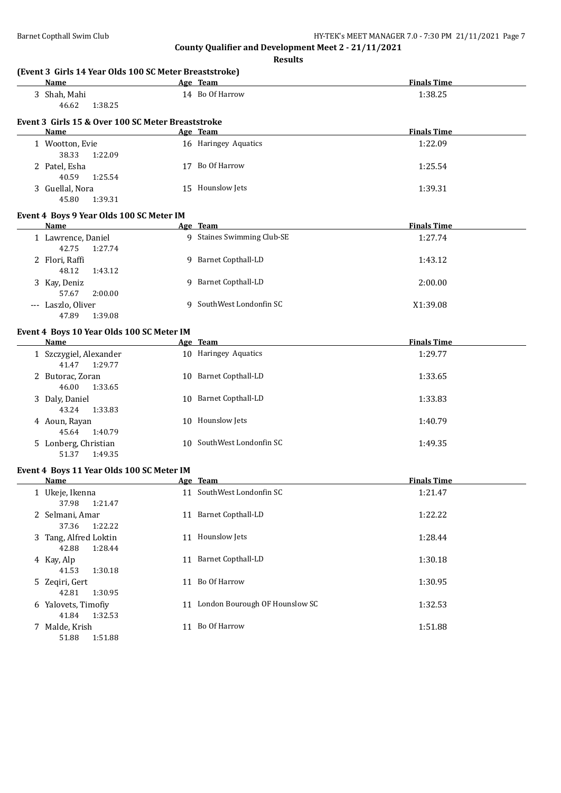| (Event 3 Girls 14 Year Olds 100 SC Meter Breaststroke)<br>Name<br>and the same of the Age Team |                                   | <b>Finals Time</b> |
|------------------------------------------------------------------------------------------------|-----------------------------------|--------------------|
| 3 Shah, Mahi<br>46.62<br>1:38.25                                                               | 14 Bo Of Harrow                   | 1:38.25            |
| Event 3 Girls 15 & Over 100 SC Meter Breaststroke                                              |                                   |                    |
| Name                                                                                           | Age Team                          | <b>Finals Time</b> |
| 1 Wootton, Evie<br>38.33<br>1:22.09                                                            | 16 Haringey Aquatics              | 1:22.09            |
| 2 Patel, Esha<br>40.59<br>1:25.54                                                              | 17 Bo Of Harrow                   | 1:25.54            |
| 3 Guellal, Nora<br>45.80<br>1:39.31                                                            | 15 Hounslow Jets                  | 1:39.31            |
| Event 4 Boys 9 Year Olds 100 SC Meter IM<br>Name                                               | Age Team                          | <b>Finals Time</b> |
| 1 Lawrence, Daniel                                                                             | 9 Staines Swimming Club-SE        | 1:27.74            |
| 42.75<br>1:27.74                                                                               | 9 Barnet Copthall-LD              |                    |
| 2 Flori, Raffi<br>48.12<br>1:43.12                                                             |                                   | 1:43.12            |
| 3 Kay, Deniz<br>57.67<br>2:00.00                                                               | 9 Barnet Copthall-LD              | 2:00.00            |
| --- Laszlo, Oliver<br>47.89<br>1:39.08                                                         | 9 SouthWest Londonfin SC          | X1:39.08           |
| Event 4 Boys 10 Year Olds 100 SC Meter IM                                                      |                                   |                    |
| <b>Name</b>                                                                                    | Age Team                          | <b>Finals Time</b> |
| 1 Szczygiel, Alexander<br>41.47<br>1:29.77                                                     | 10 Haringey Aquatics              | 1:29.77            |
| 2 Butorac, Zoran<br>46.00<br>1:33.65                                                           | 10 Barnet Copthall-LD             | 1:33.65            |
| 3 Daly, Daniel<br>43.24<br>1:33.83                                                             | 10 Barnet Copthall-LD             | 1:33.83            |
| 4 Aoun, Rayan<br>45.64<br>1:40.79                                                              | 10 Hounslow Jets                  | 1:40.79            |
| 5 Lonberg, Christian<br>1:49.35<br>51.37                                                       | 10 SouthWest Londonfin SC         | 1:49.35            |
| Event 4 Boys 11 Year Olds 100 SC Meter IM                                                      |                                   |                    |
| <u>Name</u>                                                                                    | Age Team                          | <b>Finals Time</b> |
| 1 Ukeje, Ikenna<br>37.98<br>1:21.47                                                            | 11 SouthWest Londonfin SC         | 1:21.47            |
| 2 Selmani, Amar<br>37.36<br>1:22.22                                                            | 11 Barnet Copthall-LD             | 1:22.22            |
| 3 Tang, Alfred Loktin<br>42.88<br>1:28.44                                                      | 11 Hounslow Jets                  | 1:28.44            |
| 4 Kay, Alp<br>41.53<br>1:30.18                                                                 | 11 Barnet Copthall-LD             | 1:30.18            |
| 5 Zeqiri, Gert<br>42.81<br>1:30.95                                                             | 11 Bo Of Harrow                   | 1:30.95            |
| 6 Yalovets, Timofiy<br>41.84<br>1:32.53                                                        | 11 London Bourough OF Hounslow SC | 1:32.53            |
| 7 Malde, Krish<br>51.88<br>1:51.88                                                             | 11 Bo Of Harrow                   | 1:51.88            |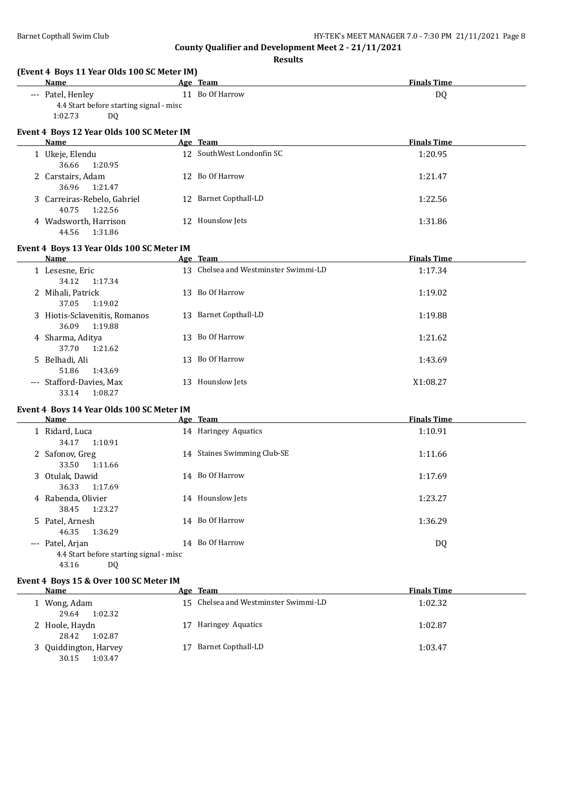| <b>Name</b>                  | (Event 4 Boys 11 Year Olds 100 SC Meter IM)          | Age Team                             | <b>Finals Time</b> |
|------------------------------|------------------------------------------------------|--------------------------------------|--------------------|
| --- Patel, Henley<br>1:02.73 | 4.4 Start before starting signal - misc<br><b>DQ</b> | 11 Bo Of Harrow                      | <b>DQ</b>          |
| Name                         | Event 4 Boys 12 Year Olds 100 SC Meter IM            |                                      | <b>Finals Time</b> |
|                              |                                                      | Age Team                             |                    |
| 1 Ukeje, Elendu              | 36.66<br>1:20.95                                     | 12 SouthWest Londonfin SC            | 1:20.95            |
|                              | 2 Carstairs, Adam<br>36.96<br>1:21.47                | 12 Bo Of Harrow                      | 1:21.47            |
| 40.75                        | 3 Carreiras-Rebelo, Gabriel<br>1:22.56               | 12 Barnet Copthall-LD                | 1:22.56            |
|                              | 4 Wadsworth, Harrison<br>44.56<br>1:31.86            | 12 Hounslow Jets                     | 1:31.86            |
|                              | Event 4 Boys 13 Year Olds 100 SC Meter IM            |                                      |                    |
| Name                         |                                                      | Age Team                             | <b>Finals Time</b> |
| 1 Lesesne, Eric              | 34.12<br>1:17.34                                     | 13 Chelsea and Westminster Swimmi-LD | 1:17.34            |
| 2 Mihali, Patrick<br>37.05   | 1:19.02                                              | 13 Bo Of Harrow                      | 1:19.02            |
| 36.09                        | 3 Hiotis-Sclavenitis, Romanos<br>1:19.88             | 13 Barnet Copthall-LD                | 1:19.88            |
| 4 Sharma, Aditya             | 37.70<br>1:21.62                                     | 13 Bo Of Harrow                      | 1:21.62            |
| 5 Belhadi, Ali<br>51.86      | 1:43.69                                              | 13 Bo Of Harrow                      | 1:43.69            |
|                              | --- Stafford-Davies, Max<br>33.14<br>1:08.27         | 13 Hounslow Jets                     | X1:08.27           |
|                              | Event 4 Boys 14 Year Olds 100 SC Meter IM            |                                      |                    |
| <b>Name</b>                  |                                                      | Age Team                             | <b>Finals Time</b> |
| 1 Ridard, Luca<br>34.17      | 1:10.91                                              | 14 Haringey Aquatics                 | 1:10.91            |
| 2 Safonov, Greg              | 33.50<br>1:11.66                                     | 14 Staines Swimming Club-SE          | 1:11.66            |
| 3 Otulak, Dawid<br>36.33     | 1:17.69                                              | 14 Bo Of Harrow                      | 1:17.69            |
| 38.45                        | 4 Rabenda, Olivier<br>1:23.27                        | 14 Hounslow Jets                     | 1:23.27            |
| 5 Patel, Arnesh<br>46.35     | 1:36.29                                              | 14 Bo Of Harrow                      | 1:36.29            |
| --- Patel, Arjan<br>43.16    | 4.4 Start before starting signal - misc<br>DQ        | 14 Bo Of Harrow                      | DQ                 |
| Name                         | Event 4 Boys 15 & Over 100 SC Meter IM               | Age Team                             | <b>Finals Time</b> |
|                              |                                                      | 15 Chelsea and Westminster Swimmi-LD |                    |
| 1 Wong, Adam                 | 29.64<br>1:02.32                                     |                                      | 1:02.32            |
| 2 Hoole, Haydn               | 28.42<br>1:02.87                                     | 17 Haringey Aquatics                 | 1:02.87            |
|                              | 3 Quiddington, Harvey                                | 17 Barnet Copthall-LD                | 1:03.47            |

| 28.42 1:02.87         |                       |         |
|-----------------------|-----------------------|---------|
| 3 Quiddington, Harvey | 17 Barnet Copthall-LD | 1:03.47 |
| 30.15 1:03.47         |                       |         |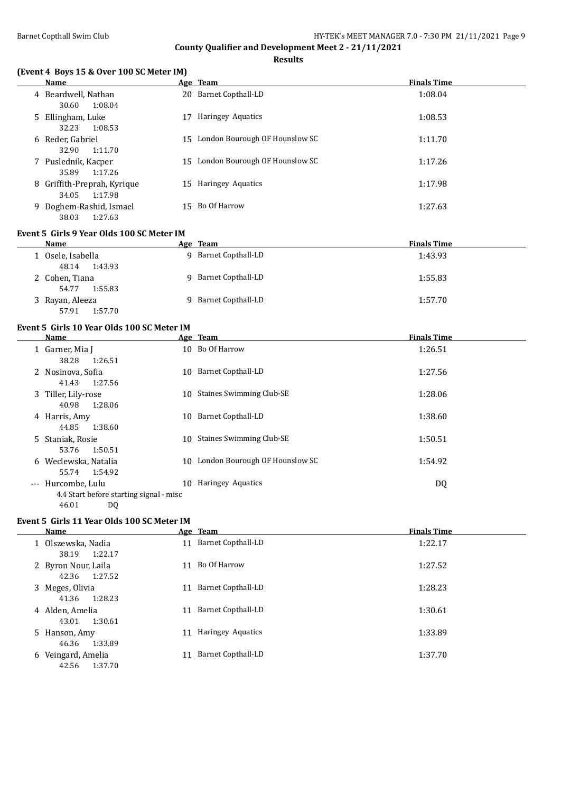**Results**

# **(Event 4 Boys 15 & Over 100 SC Meter IM)**

|    | <b>Name</b>                                     |    | Age Team                          | <b>Finals Time</b> |
|----|-------------------------------------------------|----|-----------------------------------|--------------------|
|    | 4 Beardwell, Nathan<br>30.60<br>1:08.04         |    | 20 Barnet Copthall-LD             | 1:08.04            |
|    | 5 Ellingham, Luke<br>1:08.53<br>32.23           | 17 | Haringey Aquatics                 | 1:08.53            |
|    | 6 Reder, Gabriel<br>32.90<br>1:11.70            | 15 | London Bourough OF Hounslow SC    | 1:11.70            |
|    | 7 Puslednik, Kacper<br>35.89<br>1:17.26         |    | 15 London Bourough OF Hounslow SC | 1:17.26            |
|    | 8 Griffith-Preprah, Kyrique<br>1:17.98<br>34.05 |    | 15 Haringey Aquatics              | 1:17.98            |
| 9. | Doghem-Rashid, Ismael<br>1:27.63<br>38.03       |    | 15 Bo Of Harrow                   | 1:27.63            |

#### **Event 5 Girls 9 Year Olds 100 SC Meter IM**

| <b>Name</b>       | Age Team                | <b>Finals Time</b> |
|-------------------|-------------------------|--------------------|
| 1 Osele, Isabella | Barnet Copthall-LD<br>Q | 1:43.93            |
| 1:43.93<br>48.14  |                         |                    |
| 2 Cohen, Tiana    | 9 Barnet Copthall-LD    | 1:55.83            |
| 1:55.83<br>54.77  |                         |                    |
| 3 Rayan, Aleeza   | 9 Barnet Copthall-LD    | 1:57.70            |
| 1:57.70<br>57.91  |                         |                    |

#### **Event 5 Girls 10 Year Olds 100 SC Meter IM**

| Name                                                          |     | Age Team                        | <b>Finals Time</b> |
|---------------------------------------------------------------|-----|---------------------------------|--------------------|
| 1 Garner, Mia J<br>38.28<br>1:26.51                           |     | 10 Bo Of Harrow                 | 1:26.51            |
| 2 Nosinova, Sofia<br>1:27.56<br>41.43                         | 10. | Barnet Copthall-LD              | 1:27.56            |
| 3 Tiller, Lily-rose<br>1:28.06<br>40.98                       | 10  | <b>Staines Swimming Club-SE</b> | 1:28.06            |
| 4 Harris, Amy<br>1:38.60<br>44.85                             | 10  | Barnet Copthall-LD              | 1:38.60            |
| 5 Staniak, Rosie<br>1:50.51<br>53.76                          | 10. | <b>Staines Swimming Club-SE</b> | 1:50.51            |
| 6 Weclewska, Natalia<br>55.74 1:54.92                         | 10  | London Bourough OF Hounslow SC  | 1:54.92            |
| --- Hurcombe, Lulu<br>4.4 Start before starting signal - misc | 10. | Haringey Aquatics               | DQ                 |

e starting signal - misc<br>DO  $46.01$ 

# **Event 5 Girls 11 Year Olds 100 SC Meter IM**

|   | <b>Name</b>                             |    | Age Team                  | <b>Finals Time</b> |
|---|-----------------------------------------|----|---------------------------|--------------------|
|   | 1 Olszewska, Nadia<br>1:22.17<br>38.19  | 11 | <b>Barnet Copthall-LD</b> | 1:22.17            |
|   | 2 Byron Nour, Laila<br>1:27.52<br>42.36 | 11 | Bo Of Harrow              | 1:27.52            |
|   | 3 Meges, Olivia<br>1:28.23<br>41.36     | 11 | Barnet Copthall-LD        | 1:28.23            |
|   | 4 Alden, Amelia<br>1:30.61<br>43.01     | 11 | Barnet Copthall-LD        | 1:30.61            |
|   | 5 Hanson, Amy<br>46.36<br>1:33.89       | 11 | Haringey Aquatics         | 1:33.89            |
| 6 | Veingard, Amelia<br>42.56<br>1:37.70    | 11 | <b>Barnet Copthall-LD</b> | 1:37.70            |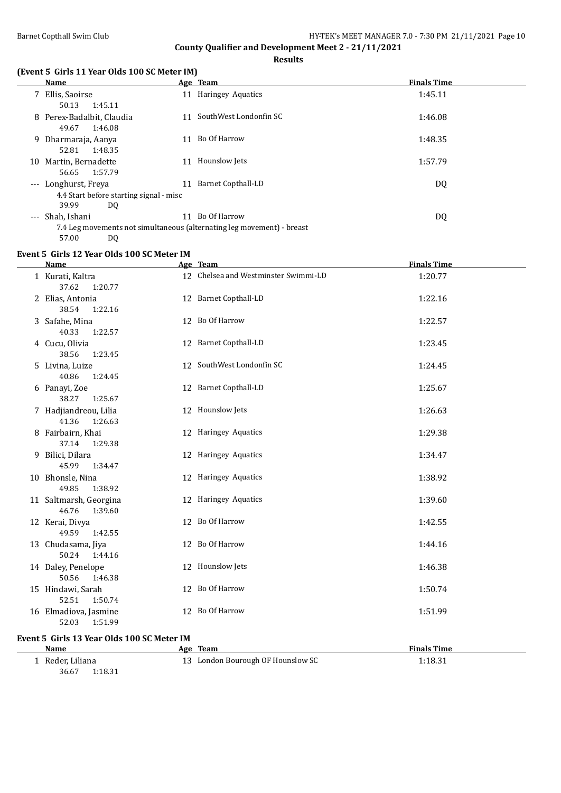**Results**

#### **(Event 5 Girls 11 Year Olds 100 SC Meter IM)**

|    | <b>Name</b>                                                            |    | Age Team               | <b>Finals Time</b> |
|----|------------------------------------------------------------------------|----|------------------------|--------------------|
|    | 7 Ellis, Saoirse                                                       |    | 11 Haringey Aquatics   | 1:45.11            |
|    | 50.13<br>1:45.11                                                       |    |                        |                    |
|    | 8 Perex-Badalbit, Claudia                                              | 11 | SouthWest Londonfin SC | 1:46.08            |
|    | 49.67<br>1:46.08                                                       |    |                        |                    |
|    | 9 Dharmaraja, Aanya                                                    | 11 | Bo Of Harrow           | 1:48.35            |
|    | 52.81<br>1:48.35                                                       |    |                        |                    |
| 10 | Martin, Bernadette                                                     | 11 | Hounslow Jets          | 1:57.79            |
|    | 1:57.79<br>56.65                                                       |    |                        |                    |
|    | --- Longhurst, Freya                                                   | 11 | Barnet Copthall-LD     | DQ                 |
|    | 4.4 Start before starting signal - misc                                |    |                        |                    |
|    | 39.99<br>DQ                                                            |    |                        |                    |
|    | --- Shah, Ishani                                                       | 11 | Bo Of Harrow           | DQ                 |
|    | 7.4 Leg movements not simultaneous (alternating leg movement) - breast |    |                        |                    |

<sup>57.00</sup> DQ

## **Event 5 Girls 12 Year Olds 100 SC Meter IM**

| <b>Name</b>                                | Age Team                             | <b>Finals Time</b> |
|--------------------------------------------|--------------------------------------|--------------------|
| 1 Kurati, Kaltra<br>37.62<br>1:20.77       | 12 Chelsea and Westminster Swimmi-LD | 1:20.77            |
| 2 Elias, Antonia<br>38.54<br>1:22.16       | 12 Barnet Copthall-LD                | 1:22.16            |
| 3 Safahe, Mina<br>40.33<br>1:22.57         | 12 Bo Of Harrow                      | 1:22.57            |
| 4 Cucu, Olivia<br>38.56<br>1:23.45         | 12 Barnet Copthall-LD                | 1:23.45            |
| 5 Livina, Luize<br>40.86<br>1:24.45        | 12 SouthWest Londonfin SC            | 1:24.45            |
| 6 Panayi, Zoe<br>38.27<br>1:25.67          | 12 Barnet Copthall-LD                | 1:25.67            |
| 7 Hadjiandreou, Lilia<br>41.36<br>1:26.63  | 12 Hounslow Jets                     | 1:26.63            |
| 8 Fairbairn, Khai<br>37.14<br>1:29.38      | 12 Haringey Aquatics                 | 1:29.38            |
| 9 Bilici, Dilara<br>45.99<br>1:34.47       | 12 Haringey Aquatics                 | 1:34.47            |
| 10 Bhonsle, Nina<br>49.85<br>1:38.92       | 12 Haringey Aquatics                 | 1:38.92            |
| 11 Saltmarsh, Georgina<br>46.76<br>1:39.60 | 12 Haringey Aquatics                 | 1:39.60            |
| 12 Kerai, Divya<br>49.59<br>1:42.55        | 12 Bo Of Harrow                      | 1:42.55            |
| 13 Chudasama, Jiya<br>50.24<br>1:44.16     | 12 Bo Of Harrow                      | 1:44.16            |
| 14 Daley, Penelope<br>50.56<br>1:46.38     | 12 Hounslow Jets                     | 1:46.38            |
| 15 Hindawi, Sarah<br>52.51<br>1:50.74      | 12 Bo Of Harrow                      | 1:50.74            |
| 16 Elmadiova, Jasmine<br>52.03<br>1:51.99  | 12 Bo Of Harrow                      | 1:51.99            |

#### **Event 5 Girls 13 Year Olds 100 SC Meter IM**

| Name             | Age Team                          | <b>Finals Time</b> |
|------------------|-----------------------------------|--------------------|
| Reder, Liliana   | 13 London Bourough OF Hounslow SC | 1:18.31            |
| 1:18.31<br>36.67 |                                   |                    |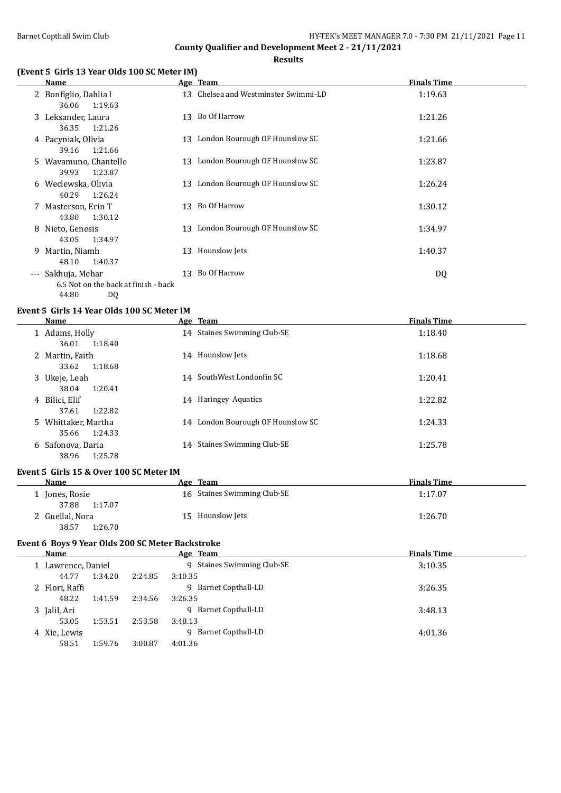# **Results**

#### **(Event 5 Girls 13 Year Olds 100 SC Meter IM)**

| Name                                                                      |    | Age Team                             | <b>Finals Time</b> |
|---------------------------------------------------------------------------|----|--------------------------------------|--------------------|
| 2 Bonfiglio, Dahlia I<br>1:19.63<br>36.06                                 |    | 13 Chelsea and Westminster Swimmi-LD | 1:19.63            |
| 3 Leksander, Laura<br>36.35<br>1:21.26                                    |    | 13 Bo Of Harrow                      | 1:21.26            |
| 4 Pacyniak, Olivia<br>1:21.66<br>39.16                                    |    | 13 London Bourough OF Hounslow SC    | 1:21.66            |
| 5 Wavamuno, Chantelle<br>39.93<br>1:23.87                                 |    | 13 London Bourough OF Hounslow SC    | 1:23.87            |
| 6 Weclewska, Olivia<br>40.29<br>1:26.24                                   |    | 13 London Bourough OF Hounslow SC    | 1:26.24            |
| 7 Masterson, Erin T<br>1:30.12<br>43.80                                   |    | 13 Bo Of Harrow                      | 1:30.12            |
| 8 Nieto, Genesis<br>43.05<br>1:34.97                                      |    | 13 London Bourough OF Hounslow SC    | 1:34.97            |
| 9 Martin, Niamh<br>48.10<br>1:40.37                                       | 13 | Hounslow Jets                        | 1:40.37            |
| --- Sakhuja, Mehar<br>6.5 Not on the back at finish - back<br>44.80<br>DQ | 13 | Bo Of Harrow                         | DQ                 |

# **Event 5 Girls 14 Year Olds 100 SC Meter IM**

| <b>Name</b>                             |    | Age Team                          | <b>Finals Time</b> |
|-----------------------------------------|----|-----------------------------------|--------------------|
| 1 Adams, Holly                          |    | 14 Staines Swimming Club-SE       | 1:18.40            |
| 1:18.40<br>36.01<br>2 Martin, Faith     |    | 14 Hounslow Jets                  | 1:18.68            |
| 1:18.68<br>33.62                        |    |                                   |                    |
| 3 Ukeje, Leah<br>1:20.41<br>38.04       |    | 14 SouthWest Londonfin SC         | 1:20.41            |
| 4 Bilici, Elif                          |    | 14 Haringey Aquatics              | 1:22.82            |
| 1:22.82<br>37.61                        |    |                                   |                    |
| 5 Whittaker, Martha<br>1:24.33<br>35.66 |    | 14 London Bourough OF Hounslow SC | 1:24.33            |
| 6 Safonova, Daria<br>1:25.78<br>38.96   | 14 | <b>Staines Swimming Club-SE</b>   | 1:25.78            |

## **Event 5 Girls 15 & Over 100 SC Meter IM**

| Name             | Age Team                    | <b>Finals Time</b> |
|------------------|-----------------------------|--------------------|
| 1 Jones, Rosie   | 16 Staines Swimming Club-SE | 1:17.07            |
| 37.88<br>1:17.07 |                             |                    |
| 2 Guellal, Nora  | 15 Hounslow Jets            | 1:26.70            |
| 38.57<br>1:26.70 |                             |                    |

## **Event 6 Boys 9 Year Olds 200 SC Meter Backstroke**

| Name           |                    | Age Team                   |                          | <b>Finals Time</b> |
|----------------|--------------------|----------------------------|--------------------------|--------------------|
|                | 1 Lawrence, Daniel | 9 Staines Swimming Club-SE |                          | 3:10.35            |
|                | 1:34.20<br>44.77   | 2:24.85                    | 3:10.35                  |                    |
| 2 Flori, Raffi |                    |                            | Barnet Copthall-LD<br>q  | 3:26.35            |
|                | 48.22<br>1:41.59   | 2:34.56                    | 3:26.35                  |                    |
| 3 Jalil, Ari   |                    |                            | Barnet Copthall-LD<br>q. | 3:48.13            |
|                | 1:53.51<br>53.05   | 2:53.58                    | 3:48.13                  |                    |
| 4 Xie, Lewis   |                    |                            | Barnet Copthall-LD<br>q  | 4:01.36            |
|                | 1:59.76<br>58.51   | 3:00.87                    | 4:01.36                  |                    |
|                |                    |                            |                          |                    |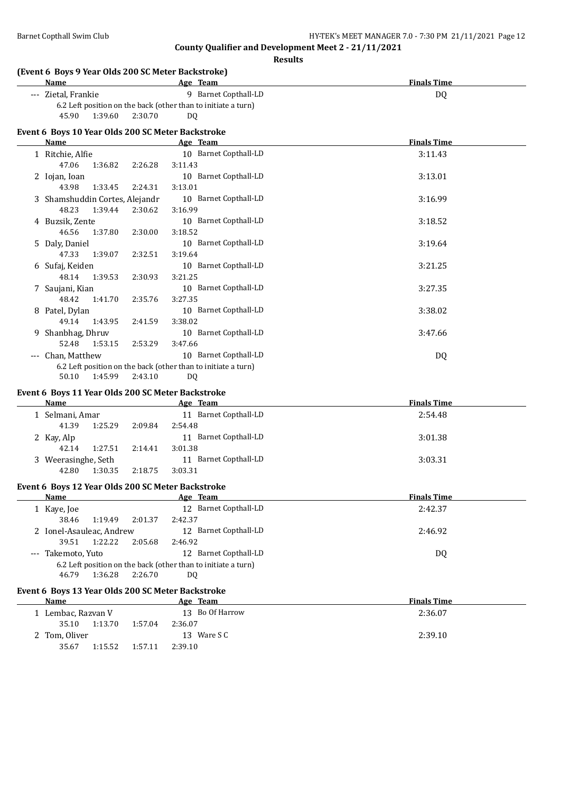| (Event 6 Boys 9 Year Olds 200 SC Meter Backstroke)<br><b>Name</b> | Age Team                         | <b>Finals Time</b> |
|-------------------------------------------------------------------|----------------------------------|--------------------|
| --- Zietal, Frankie                                               | 9 Barnet Copthall-LD             | DQ                 |
| 6.2 Left position on the back (other than to initiate a turn)     |                                  |                    |
| 45.90<br>1:39.60<br>2:30.70                                       | <b>DQ</b>                        |                    |
|                                                                   |                                  |                    |
| Event 6 Boys 10 Year Olds 200 SC Meter Backstroke<br>Name         | Age Team                         | <b>Finals Time</b> |
|                                                                   | 10 Barnet Copthall-LD            |                    |
| 1 Ritchie, Alfie<br>47.06<br>1:36.82                              | 3:11.43                          | 3:11.43            |
| 2:26.28                                                           |                                  |                    |
| 2 Iojan, Ioan<br>43.98<br>1:33.45<br>2:24.31                      | 10 Barnet Copthall-LD<br>3:13.01 | 3:13.01            |
| 3 Shamshuddin Cortes, Alejandr                                    | 10 Barnet Copthall-LD            | 3:16.99            |
| 48.23<br>1:39.44<br>2:30.62                                       | 3:16.99                          |                    |
| 4 Buzsik, Zente                                                   | 10 Barnet Copthall-LD            |                    |
| 46.56<br>1:37.80<br>2:30.00                                       | 3:18.52                          | 3:18.52            |
| 5 Daly, Daniel                                                    | 10 Barnet Copthall-LD            | 3:19.64            |
| 47.33<br>1:39.07<br>2:32.51                                       | 3:19.64                          |                    |
| 6 Sufaj, Keiden                                                   | 10 Barnet Copthall-LD            | 3:21.25            |
| 48.14<br>1:39.53<br>2:30.93                                       | 3:21.25                          |                    |
| 7 Saujani, Kian                                                   | 10 Barnet Copthall-LD            | 3:27.35            |
| 48.42<br>1:41.70<br>2:35.76                                       | 3:27.35                          |                    |
| 8 Patel, Dylan                                                    | 10 Barnet Copthall-LD            | 3:38.02            |
| 49.14<br>1:43.95<br>2:41.59                                       | 3:38.02                          |                    |
| 9 Shanbhag, Dhruv                                                 | 10 Barnet Copthall-LD            | 3:47.66            |
| 52.48<br>1:53.15<br>2:53.29                                       | 3:47.66                          |                    |
| --- Chan, Matthew                                                 | 10 Barnet Copthall-LD            | DQ                 |
| 6.2 Left position on the back (other than to initiate a turn)     |                                  |                    |
| 50.10<br>1:45.99<br>2:43.10                                       | DQ.                              |                    |
| Event 6 Boys 11 Year Olds 200 SC Meter Backstroke                 |                                  |                    |
| Name                                                              | Age Team                         | <b>Finals Time</b> |
| 1 Selmani, Amar                                                   | 11 Barnet Copthall-LD            | 2:54.48            |
| 41.39<br>1:25.29<br>2:09.84                                       | 2:54.48                          |                    |
| 2 Kay, Alp                                                        | 11 Barnet Copthall-LD            | 3:01.38            |
| 42.14<br>1:27.51<br>2:14.41                                       | 3:01.38                          |                    |
| 3 Weerasinghe, Seth                                               | 11 Barnet Copthall-LD            | 3:03.31            |
| 42.80<br>1:30.35<br>2:18.75                                       | 3:03.31                          |                    |
| Event 6 Boys 12 Year Olds 200 SC Meter Backstroke                 |                                  |                    |
| <b>Name</b>                                                       | Age Team                         | <b>Finals Time</b> |
| 1 Kaye, Joe                                                       | 12 Barnet Copthall-LD            | 2:42.37            |
| 38.46<br>1:19.49<br>2:01.37                                       | 2:42.37                          |                    |
| 2 Ionel-Asauleac, Andrew                                          | 12 Barnet Copthall-LD            | 2:46.92            |
| 39.51<br>1:22.22<br>2:05.68                                       | 2:46.92                          |                    |
| --- Takemoto, Yuto                                                | 12 Barnet Copthall-LD            | DQ                 |
| 6.2 Left position on the back (other than to initiate a turn)     |                                  |                    |
| 1:36.28<br>46.79<br>2:26.70                                       | DQ.                              |                    |
|                                                                   |                                  |                    |
|                                                                   |                                  |                    |
| Event 6 Boys 13 Year Olds 200 SC Meter Backstroke<br><b>Name</b>  | Age Team                         | <b>Finals Time</b> |
|                                                                   | 13 Bo Of Harrow                  |                    |
| 1 Lembac, Razvan V<br>35.10<br>1:13.70<br>1:57.04                 | 2:36.07                          | 2:36.07            |
| 2 Tom, Oliver                                                     | 13 Ware S C                      | 2:39.10            |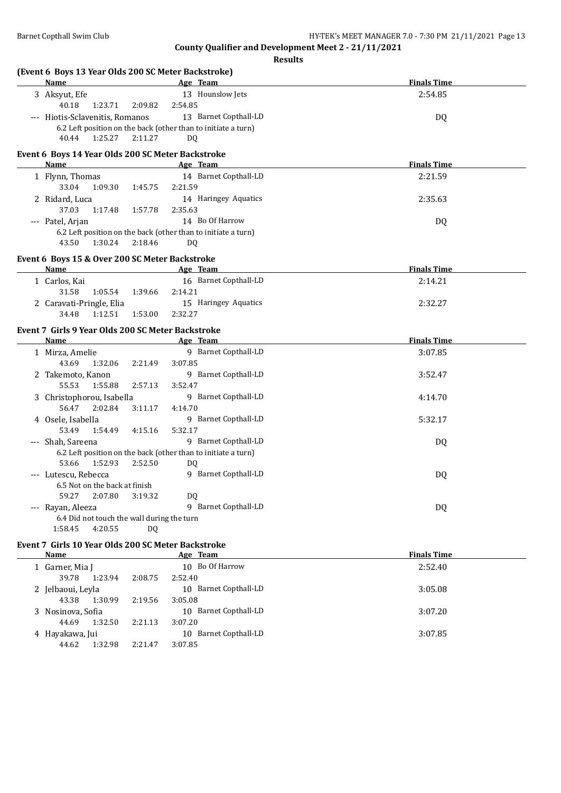**(Event 6 Boys 13 Year Olds 200 SC Meter Backstroke)**

**County Qualifier and Development Meet 2 - 21/11/2021 Results**

| Name                                                             | Age Team                                                                               | <b>Finals Time</b> |
|------------------------------------------------------------------|----------------------------------------------------------------------------------------|--------------------|
| 3 Aksyut, Efe<br>40.18<br>1:23.71                                | 13 Hounslow Jets<br>2:54.85<br>2:09.82                                                 | 2:54.85            |
| --- Hiotis-Sclavenitis, Romanos                                  | 13 Barnet Copthall-LD<br>6.2 Left position on the back (other than to initiate a turn) | DQ                 |
| 40.44<br>1:25.27                                                 | 2:11.27<br>DQ                                                                          |                    |
| Event 6 Boys 14 Year Olds 200 SC Meter Backstroke<br><b>Name</b> | Age Team                                                                               | <b>Finals Time</b> |
| 1 Flynn, Thomas                                                  | 14 Barnet Copthall-LD                                                                  | 2:21.59            |
| 33.04<br>1:09.30                                                 | 2:21.59<br>1:45.75                                                                     |                    |
| 2 Ridard, Luca                                                   | 14 Haringey Aquatics                                                                   | 2:35.63            |
| 37.03<br>1:17.48                                                 | 2:35.63<br>1:57.78                                                                     |                    |
| --- Patel, Arjan                                                 | 14 Bo Of Harrow                                                                        | DQ                 |
|                                                                  | 6.2 Left position on the back (other than to initiate a turn)                          |                    |
| 1:30.24<br>43.50                                                 | 2:18.46<br>DQ                                                                          |                    |
| Event 6 Boys 15 & Over 200 SC Meter Backstroke                   |                                                                                        |                    |
| <b>Name</b>                                                      | Age Team                                                                               | <b>Finals Time</b> |
| 1 Carlos, Kai                                                    | 16 Barnet Copthall-LD                                                                  | 2:14.21            |
| 31.58<br>1:05.54                                                 | 2:14.21<br>1:39.66                                                                     |                    |
| 2 Caravati-Pringle, Elia                                         | 15 Haringey Aquatics                                                                   | 2:32.27            |
| 34.48<br>1:12.51                                                 | 2:32.27<br>1:53.00                                                                     |                    |
| Event 7 Girls 9 Year Olds 200 SC Meter Backstroke                |                                                                                        |                    |
| Name                                                             | Age Team                                                                               | <b>Finals Time</b> |
| 1 Mirza, Amelie                                                  | 9 Barnet Copthall-LD                                                                   | 3:07.85            |
| 43.69<br>1:32.06                                                 | 2:21.49<br>3:07.85                                                                     |                    |
| 2 Takemoto, Kanon                                                | 9 Barnet Copthall-LD                                                                   | 3:52.47            |
| 55.53<br>1:55.88                                                 | 2:57.13<br>3:52.47                                                                     |                    |
| 3 Christophorou, Isabella                                        | 9 Barnet Copthall-LD                                                                   | 4:14.70            |
| 56.47<br>2:02.84                                                 | 4:14.70<br>3:11.17                                                                     |                    |
| 4 Osele, Isabella                                                | 9 Barnet Copthall-LD                                                                   | 5:32.17            |
| 53.49<br>1:54.49                                                 | 4:15.16<br>5:32.17                                                                     |                    |
| --- Shah, Sareena                                                | 9 Barnet Copthall-LD                                                                   | DQ                 |
|                                                                  | 6.2 Left position on the back (other than to initiate a turn)                          |                    |
| 53.66<br>1:52.93                                                 | 2:52.50<br>DQ                                                                          |                    |
| --- Lutescu, Rebecca                                             | 9 Barnet Copthall-LD                                                                   | DQ                 |
| 6.5 Not on the back at finish                                    |                                                                                        |                    |
| 59.27<br>2:07.80                                                 | DQ<br>3:19.32                                                                          |                    |
| --- Rayan, Aleeza                                                | 9 Barnet Copthall-LD                                                                   | DQ                 |
| 6.4 Did not touch the wall during the turn                       |                                                                                        |                    |
| 4:20.55<br>1:58.45                                               | DQ.                                                                                    |                    |
| Event 7 Girls 10 Year Olds 200 SC Meter Backstroke               |                                                                                        |                    |
| Name                                                             | Age Team                                                                               | <b>Finals Time</b> |
| 1 Garner, Mia J                                                  | 10 Bo Of Harrow                                                                        | 2:52.40            |
| 39.78<br>1:23.94                                                 | 2:52.40<br>2:08.75                                                                     |                    |
| 2 Jelbaoui, Leyla                                                | 10 Barnet Copthall-LD                                                                  | 3:05.08            |
| 43.38<br>1:30.99                                                 | 3:05.08<br>2:19.56                                                                     |                    |
| 3 Nosinova, Sofia                                                | 10 Barnet Copthall-LD                                                                  | 3:07.20            |
| 44.69<br>1:32.50                                                 | 3:07.20<br>2:21.13                                                                     |                    |
| 4 Hayakawa, Jui                                                  | 10 Barnet Copthall-LD                                                                  | 3:07.85            |
| 44.62<br>1:32.98                                                 | 2:21.47<br>3:07.85                                                                     |                    |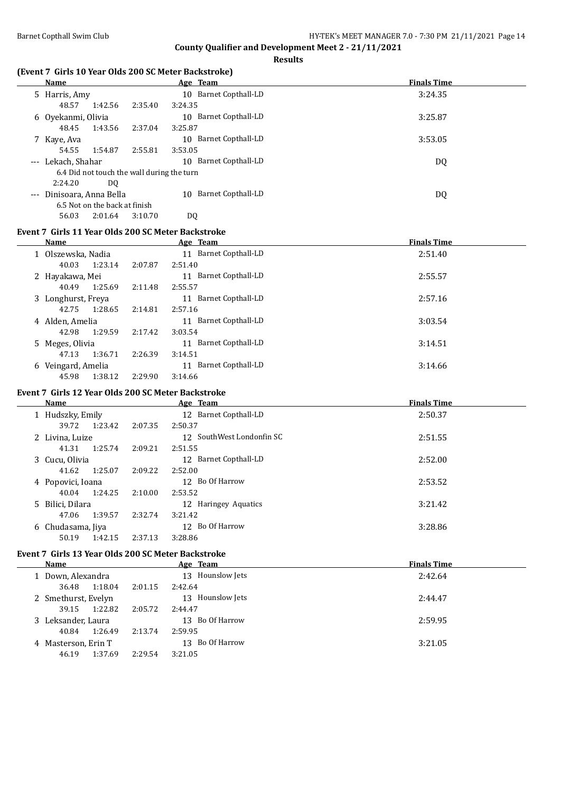**Finals Time** 

**Finals Time** 

**County Qualifier and Development Meet 2 - 21/11/2021**

|                                                              |         | Results                   |                   |
|--------------------------------------------------------------|---------|---------------------------|-------------------|
| (Event 7 Girls 10 Year Olds 200 SC Meter Backstroke)<br>Name |         | Age Team                  | <b>Finals Tim</b> |
| 5 Harris, Amy                                                |         | 10 Barnet Copthall-LD     | 3:24.35           |
| 48.57<br>1:42.56                                             | 2:35.40 | 3:24.35                   |                   |
| 6 Oyekanmi, Olivia                                           |         | 10 Barnet Copthall-LD     | 3:25.87           |
| 48.45<br>1:43.56                                             | 2:37.04 | 3:25.87                   |                   |
| 7 Kaye, Ava                                                  |         | 10 Barnet Copthall-LD     | 3:53.05           |
| 54.55<br>1:54.87                                             | 2:55.81 | 3:53.05                   |                   |
| --- Lekach, Shahar                                           |         | 10 Barnet Copthall-LD     | DQ                |
| 6.4 Did not touch the wall during the turn<br>2:24.20<br>DQ. |         |                           |                   |
| --- Dinisoara, Anna Bella                                    |         | 10 Barnet Copthall-LD     | <b>DQ</b>         |
| 6.5 Not on the back at finish                                |         |                           |                   |
| 56.03<br>2:01.64                                             | 3:10.70 | <b>DQ</b>                 |                   |
| Event 7 Girls 11 Year Olds 200 SC Meter Backstroke           |         |                           |                   |
| Name                                                         |         | Age Team                  | <b>Finals Tim</b> |
| 1 Olszewska, Nadia                                           |         | 11 Barnet Copthall-LD     | 2:51.40           |
| 40.03<br>1:23.14                                             | 2:07.87 | 2:51.40                   |                   |
| 2 Hayakawa, Mei                                              |         | 11 Barnet Copthall-LD     | 2:55.57           |
| 1:25.69<br>40.49                                             | 2:11.48 | 2:55.57                   |                   |
| 3 Longhurst, Freya                                           |         | 11 Barnet Copthall-LD     | 2:57.16           |
| 42.75<br>1:28.65                                             | 2:14.81 | 2:57.16                   |                   |
| 4 Alden, Amelia                                              |         | 11 Barnet Copthall-LD     | 3:03.54           |
| 42.98<br>1:29.59                                             | 2:17.42 | 3:03.54                   |                   |
| 5 Meges, Olivia                                              |         | 11 Barnet Copthall-LD     | 3:14.51           |
| 47.13<br>1:36.71                                             | 2:26.39 | 3:14.51                   |                   |
| 6 Veingard, Amelia                                           |         | 11 Barnet Copthall-LD     | 3:14.66           |
| 45.98<br>1:38.12                                             | 2:29.90 | 3:14.66                   |                   |
| Event 7 Girls 12 Year Olds 200 SC Meter Backstroke           |         |                           |                   |
| Name                                                         |         | Age Team                  | <b>Finals Tim</b> |
| 1 Hudszky, Emily                                             |         | 12 Barnet Copthall-LD     | 2:50.37           |
| 39.72<br>1:23.42                                             | 2:07.35 | 2:50.37                   |                   |
| 2 Livina, Luize                                              |         | 12 SouthWest Londonfin SC | 2:51.55           |
| 41.31<br>1:25.74                                             | 2:09.21 | 2:51.55                   |                   |
| 3 Cucu, Olivia                                               |         | 12 Barnet Copthall-LD     | 2:52.00           |
| 41.62<br>1:25.07                                             | 2:09.22 | 2:52.00                   |                   |
| 4 Popovici, Ioana                                            |         | 12 Bo Of Harrow           | 2:53.52           |
| 40.04<br>1:24.25                                             | 2:10.00 | 2:53.52                   |                   |
| 5 Bilici, Dilara                                             |         | 12 Haringey Aquatics      | 3:21.42           |
| 47.06<br>1:39.57                                             | 2:32.74 | 3:21.42                   |                   |
| 6 Chudasama, Jiya                                            |         | 12 Bo Of Harrow           | 3:28.86           |
| 50.19<br>1:42.15                                             | 2:37.13 | 3:28.86                   |                   |
| Event 7 Girls 13 Year Olds 200 SC Meter Backstroke<br>Name   |         | Age Team                  | <b>Finals Tim</b> |
| 1 Down, Alexandra                                            |         | 13 Hounslow Jets          | 2:42.64           |
| 36.48<br>1:18.04                                             | 2:01.15 | 2:42.64                   |                   |
| 2 Smethurst, Evelyn                                          |         | 13 Hounslow Jets          | 2:44.47           |
|                                                              |         |                           |                   |

| Name              |         |         | Age Team                                        | <b>Finals Time</b> |
|-------------------|---------|---------|-------------------------------------------------|--------------------|
| 1 Hudszky, Emily  |         |         | 12 Barnet Copthall-LD                           | 2:50.37            |
| 39.72             | 1:23.42 | 2:07.35 | 2:50.37                                         |                    |
| 2 Livina, Luize   |         |         | 12 SouthWest Londonfin SC                       | 2:51.55            |
| 41.31             | 1:25.74 | 2:09.21 | 2:51.55                                         |                    |
| 3 Cucu, Olivia    |         |         | 12 Barnet Copthall-LD                           | 2:52.00            |
| 41.62             | 1:25.07 | 2:09.22 | 2:52.00                                         |                    |
| 4 Popovici, Ioana |         |         | 12 Bo Of Harrow                                 | 2:53.52            |
| 40.04             | 1:24.25 | 2:10.00 | 2:53.52                                         |                    |
| 5 Bilici, Dilara  |         |         | 12 Haringey Aquatics                            | 3:21.42            |
| 47.06             | 1:39.57 | 2:32.74 | 3:21.42                                         |                    |
| 6 Chudasama, Iiya |         |         | 12 Bo Of Harrow                                 | 3:28.86            |
| 50.19             | 1:42.15 | 2:37.13 | 3:28.86                                         |                    |
|                   |         |         | it 7 Girls 13 Year Olds 200 SC Meter Backstroke |                    |
| <b>Name</b>       |         |         | Age Team                                        | <b>Finals Time</b> |

| маше                |         | Age ream         | гицанэ гипе |
|---------------------|---------|------------------|-------------|
| 1 Down, Alexandra   |         | 13 Hounslow Jets | 2:42.64     |
| 1:18.04<br>36.48    | 2:01.15 | 2:42.64          |             |
| 2 Smethurst, Evelyn |         | 13 Hounslow Jets | 2:44.47     |
| 1:22.82<br>39.15    | 2:05.72 | 2:44.47          |             |
| 3 Leksander, Laura  |         | 13 Bo Of Harrow  | 2:59.95     |
| 1:26.49<br>40.84    | 2:13.74 | 2:59.95          |             |
| 4 Masterson, Erin T |         | 13 Bo Of Harrow  | 3:21.05     |
| 1:37.69<br>46.19    | 2:29.54 | 3:21.05          |             |
|                     |         |                  |             |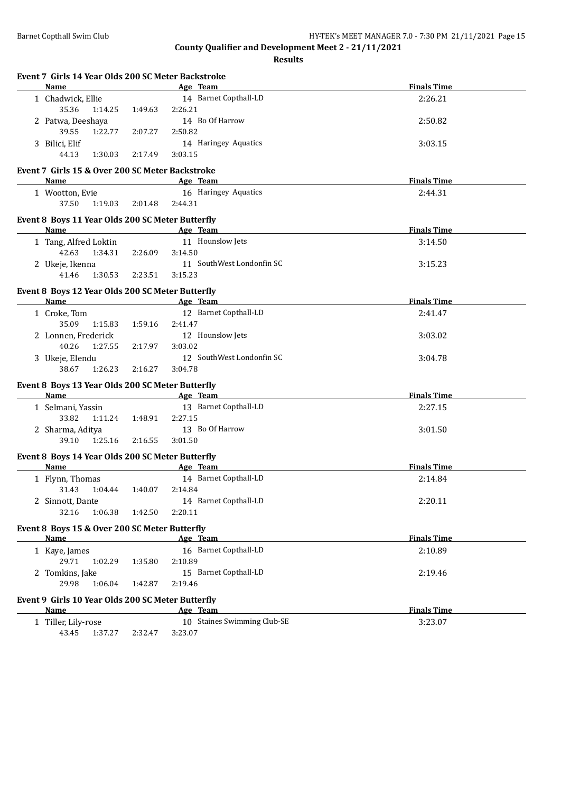| Name                                                     |         | Age Team                    | <b>Finals Time</b> |
|----------------------------------------------------------|---------|-----------------------------|--------------------|
| 1 Chadwick, Ellie                                        |         | 14 Barnet Copthall-LD       | 2:26.21            |
| 35.36<br>1:14.25                                         | 1:49.63 | 2:26.21                     |                    |
| 2 Patwa, Deeshaya                                        |         | 14 Bo Of Harrow             | 2:50.82            |
| 39.55<br>1:22.77                                         | 2:07.27 | 2:50.82                     |                    |
| 3 Bilici, Elif                                           |         | 14 Haringey Aquatics        | 3:03.15            |
| 44.13<br>1:30.03                                         | 2:17.49 | 3:03.15                     |                    |
| Event 7 Girls 15 & Over 200 SC Meter Backstroke          |         |                             |                    |
| Name                                                     |         | Age Team                    | <b>Finals Time</b> |
| 1 Wootton, Evie                                          |         | 16 Haringey Aquatics        | 2:44.31            |
| 37.50<br>1:19.03                                         | 2:01.48 | 2:44.31                     |                    |
|                                                          |         |                             |                    |
| Event 8 Boys 11 Year Olds 200 SC Meter Butterfly         |         |                             |                    |
| Name                                                     |         | Age Team                    | <b>Finals Time</b> |
| 1 Tang, Alfred Loktin                                    |         | 11 Hounslow Jets            | 3:14.50            |
| 42.63<br>1:34.31                                         | 2:26.09 | 3:14.50                     |                    |
| 2 Ukeje, Ikenna                                          |         | 11 SouthWest Londonfin SC   | 3:15.23            |
| 1:30.53<br>41.46                                         | 2:23.51 | 3:15.23                     |                    |
| Event 8 Boys 12 Year Olds 200 SC Meter Butterfly         |         |                             |                    |
| Name                                                     |         | Age Team                    | <b>Finals Time</b> |
| 1 Croke, Tom                                             |         | 12 Barnet Copthall-LD       | 2:41.47            |
| 35.09<br>1:15.83                                         | 1:59.16 | 2:41.47                     |                    |
| 2 Lonnen, Frederick                                      |         | 12 Hounslow Jets            | 3:03.02            |
| 40.26<br>1:27.55                                         | 2:17.97 | 3:03.02                     |                    |
| 3 Ukeje, Elendu                                          |         | 12 SouthWest Londonfin SC   | 3:04.78            |
| 38.67<br>1:26.23                                         | 2:16.27 | 3:04.78                     |                    |
| Event 8 Boys 13 Year Olds 200 SC Meter Butterfly         |         |                             |                    |
| Name                                                     |         | Age Team                    | <b>Finals Time</b> |
| 1 Selmani, Yassin                                        |         | 13 Barnet Copthall-LD       | 2:27.15            |
| 33.82<br>1:11.24                                         | 1:48.91 | 2:27.15                     |                    |
| 2 Sharma, Aditya                                         |         | 13 Bo Of Harrow             | 3:01.50            |
| 39.10<br>1:25.16                                         | 2:16.55 | 3:01.50                     |                    |
|                                                          |         |                             |                    |
| Event 8 Boys 14 Year Olds 200 SC Meter Butterfly<br>Name |         | Age Team                    | <b>Finals Time</b> |
| 1 Flynn, Thomas                                          |         | 14 Barnet Copthall-LD       | 2:14.84            |
| 31.43<br>1:04.44                                         | 1:40.07 | 2:14.84                     |                    |
| 2 Sinnott, Dante                                         |         | 14 Barnet Copthall-LD       | 2:20.11            |
| 32.16<br>1:06.38                                         | 1:42.50 | 2:20.11                     |                    |
|                                                          |         |                             |                    |
| Event 8 Boys 15 & Over 200 SC Meter Butterfly            |         |                             |                    |
| Name                                                     |         | Age Team                    | <b>Finals Time</b> |
| 1 Kaye, James                                            |         | 16 Barnet Copthall-LD       | 2:10.89            |
| 29.71<br>1:02.29                                         | 1:35.80 | 2:10.89                     |                    |
| 2 Tomkins, Jake                                          |         | 15 Barnet Copthall-LD       | 2:19.46            |
| 29.98<br>1:06.04                                         | 1:42.87 | 2:19.46                     |                    |
| Event 9 Girls 10 Year Olds 200 SC Meter Butterfly        |         |                             |                    |
| Name                                                     |         | Age Team                    | <b>Finals Time</b> |
| 1 Tiller, Lily-rose                                      |         | 10 Staines Swimming Club-SE | 3:23.07            |
| 43.45<br>1:37.27                                         | 2:32.47 | 3:23.07                     |                    |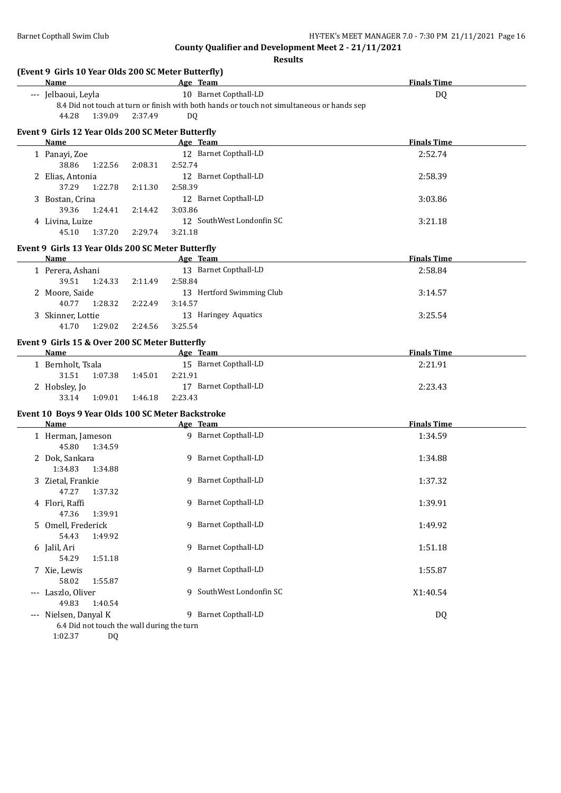| (Event 9 Girls 10 Year Olds 200 SC Meter Butterfly)<br><b>Name</b> |         | Age Team                                                                                   | <b>Finals Time</b> |
|--------------------------------------------------------------------|---------|--------------------------------------------------------------------------------------------|--------------------|
| --- Jelbaoui, Leyla                                                |         | 10 Barnet Copthall-LD                                                                      | DQ                 |
|                                                                    |         | 8.4 Did not touch at turn or finish with both hands or touch not simultaneous or hands sep |                    |
| 44.28<br>1:39.09                                                   | 2:37.49 | DQ.                                                                                        |                    |
| Event 9 Girls 12 Year Olds 200 SC Meter Butterfly                  |         |                                                                                            |                    |
| Name                                                               |         | Age Team                                                                                   | <b>Finals Time</b> |
| 1 Panayi, Zoe                                                      |         | 12 Barnet Copthall-LD                                                                      | 2:52.74            |
| 38.86<br>1:22.56                                                   | 2:08.31 | 2:52.74                                                                                    |                    |
| 2 Elias, Antonia                                                   |         | 12 Barnet Copthall-LD                                                                      | 2:58.39            |
| 37.29<br>1:22.78                                                   | 2:11.30 | 2:58.39                                                                                    |                    |
| 3 Bostan, Crina                                                    |         | 12 Barnet Copthall-LD                                                                      | 3:03.86            |
| 39.36<br>1:24.41                                                   | 2:14.42 | 3:03.86                                                                                    |                    |
| 4 Livina, Luize                                                    |         | 12 SouthWest Londonfin SC                                                                  | 3:21.18            |
| 45.10<br>1:37.20                                                   | 2:29.74 | 3:21.18                                                                                    |                    |
| Event 9 Girls 13 Year Olds 200 SC Meter Butterfly                  |         |                                                                                            |                    |
| Name                                                               |         | Age Team                                                                                   | <b>Finals Time</b> |
| 1 Perera, Ashani                                                   |         | 13 Barnet Copthall-LD                                                                      | 2:58.84            |
| 39.51<br>1:24.33                                                   | 2:11.49 | 2:58.84                                                                                    |                    |
| 2 Moore, Saide                                                     |         | 13 Hertford Swimming Club                                                                  | 3:14.57            |
| 40.77<br>1:28.32                                                   | 2:22.49 | 3:14.57                                                                                    |                    |
| 3 Skinner, Lottie                                                  |         | 13 Haringey Aquatics                                                                       | 3:25.54            |
| 41.70<br>1:29.02                                                   | 2:24.56 | 3:25.54                                                                                    |                    |
|                                                                    |         |                                                                                            |                    |
| Event 9 Girls 15 & Over 200 SC Meter Butterfly                     |         |                                                                                            |                    |
| Name                                                               |         | Age Team                                                                                   | <b>Finals Time</b> |
| 1 Bernholt, Tsala                                                  |         | 15 Barnet Copthall-LD                                                                      | 2:21.91            |
| 31.51<br>1:07.38                                                   | 1:45.01 | 2:21.91                                                                                    |                    |
| 2 Hobsley, Jo                                                      |         | 17 Barnet Copthall-LD                                                                      | 2:23.43            |
| 1:09.01<br>33.14                                                   | 1:46.18 | 2:23.43                                                                                    |                    |
| Event 10 Boys 9 Year Olds 100 SC Meter Backstroke                  |         |                                                                                            |                    |
| Name                                                               |         | Age Team                                                                                   | <b>Finals Time</b> |
| 1 Herman, Jameson                                                  |         | 9 Barnet Copthall-LD                                                                       | 1:34.59            |
| 45.80<br>1:34.59                                                   |         |                                                                                            |                    |
| 2 Dok, Sankara                                                     |         | 9 Barnet Copthall-LD                                                                       | 1:34.88            |
| 1:34.83<br>1:34.88                                                 |         |                                                                                            |                    |
| 3 Zietal, Frankie                                                  |         | 9 Barnet Copthall-LD                                                                       | 1:37.32            |
| 47.27<br>1:37.32                                                   |         |                                                                                            |                    |
| 4 Flori, Raffi                                                     |         | 9 Barnet Copthall-LD                                                                       | 1:39.91            |
| 47.36<br>1:39.91                                                   |         |                                                                                            |                    |
| 5 Omell, Frederick                                                 |         | 9 Barnet Copthall-LD                                                                       | 1:49.92            |
| 54.43<br>1:49.92                                                   |         |                                                                                            |                    |
| 6 Jalil, Ari                                                       |         | 9 Barnet Copthall-LD                                                                       | 1:51.18            |
| 54.29<br>1:51.18                                                   |         |                                                                                            |                    |
| 7 Xie, Lewis                                                       |         | 9 Barnet Copthall-LD                                                                       | 1:55.87            |
| 58.02<br>1:55.87                                                   |         |                                                                                            |                    |
| --- Laszlo, Oliver                                                 |         | SouthWest Londonfin SC<br>9.                                                               | X1:40.54           |
| 49.83<br>1:40.54                                                   |         |                                                                                            |                    |
| --- Nielsen, Danyal K                                              |         | 9 Barnet Copthall-LD                                                                       | DQ                 |
| 6.4 Did not touch the wall during the turn                         |         |                                                                                            |                    |
| 1:02.37<br>DQ                                                      |         |                                                                                            |                    |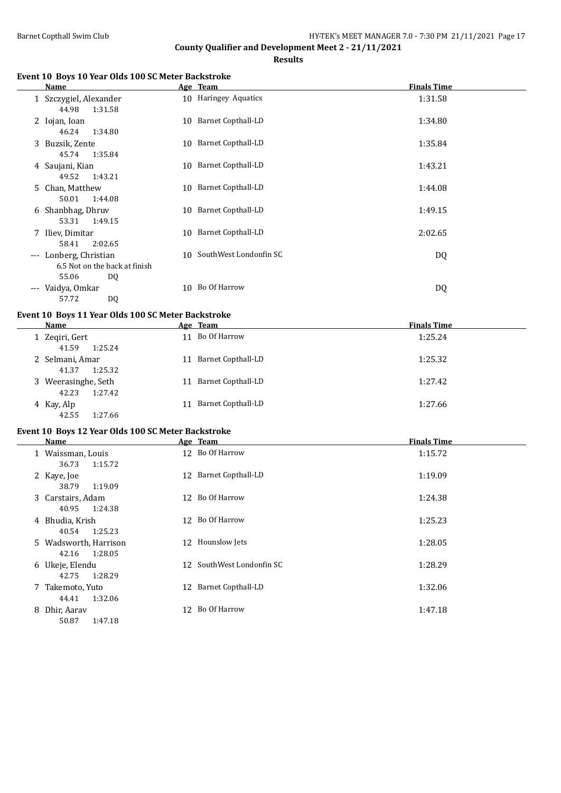**Results**

## **Event 10 Boys 10 Year Olds 100 SC Meter Backstroke**

|                     | Name                                                |    | Age Team                  | <b>Finals Time</b> |
|---------------------|-----------------------------------------------------|----|---------------------------|--------------------|
|                     | 1 Szczygiel, Alexander<br>44.98<br>1:31.58          |    | 10 Haringey Aquatics      | 1:31.58            |
|                     | 2 Iojan, Ioan<br>46.24<br>1:34.80                   |    | 10 Barnet Copthall-LD     | 1:34.80            |
|                     | 3 Buzsik, Zente<br>1:35.84<br>45.74                 |    | 10 Barnet Copthall-LD     | 1:35.84            |
| 4                   | Saujani, Kian<br>49.52<br>1:43.21                   | 10 | <b>Barnet Copthall-LD</b> | 1:43.21            |
| 5.                  | Chan, Matthew<br>50.01<br>1:44.08                   | 10 | Barnet Copthall-LD        | 1:44.08            |
| 6                   | Shanbhag, Dhruv<br>53.31<br>1:49.15                 |    | 10 Barnet Copthall-LD     | 1:49.15            |
| 7                   | Iliev, Dimitar<br>58.41<br>2:02.65                  |    | 10 Barnet Copthall-LD     | 2:02.65            |
| $\cdots$            | Lonberg, Christian<br>6.5 Not on the back at finish | 10 | SouthWest Londonfin SC    | DQ                 |
| $\qquad \qquad - -$ | 55.06<br>DQ<br>Vaidya, Omkar<br>57.72<br>DQ         | 10 | Bo Of Harrow              | DQ                 |

## **Event 10 Boys 11 Year Olds 100 SC Meter Backstroke**

| Name                                    | Age Team                  | <b>Finals Time</b> |
|-----------------------------------------|---------------------------|--------------------|
| 1 Zegiri, Gert<br>1:25.24<br>41.59      | 11 Bo Of Harrow           | 1:25.24            |
| 2 Selmani, Amar<br>1:25.32<br>41.37     | Barnet Copthall-LD<br>11. | 1:25.32            |
| 3 Weerasinghe, Seth<br>1:27.42<br>42.23 | Barnet Copthall-LD<br>11  | 1:27.42            |
| 4 Kay, Alp<br>42.55<br>1:27.66          | Barnet Copthall-LD<br>11  | 1:27.66            |

## **Event 10 Boys 12 Year Olds 100 SC Meter Backstroke**

| Name                                      | Age Team                  | <b>Finals Time</b> |
|-------------------------------------------|---------------------------|--------------------|
| 1 Waissman, Louis<br>36.73<br>1:15.72     | 12 Bo Of Harrow           | 1:15.72            |
| 2 Kaye, Joe<br>1:19.09<br>38.79           | 12 Barnet Copthall-LD     | 1:19.09            |
| 3 Carstairs, Adam<br>40.95<br>1:24.38     | 12 Bo Of Harrow           | 1:24.38            |
| 4 Bhudia, Krish<br>1:25.23<br>40.54       | 12 Bo Of Harrow           | 1:25.23            |
| 5 Wadsworth, Harrison<br>1:28.05<br>42.16 | Hounslow Jets<br>12       | 1:28.05            |
| 6 Ukeje, Elendu<br>1:28.29<br>42.75       | 12 SouthWest Londonfin SC | 1:28.29            |
| 7 Takemoto, Yuto<br>1:32.06<br>44.41      | Barnet Copthall-LD<br>12  | 1:32.06            |
| 8 Dhir, Aaray<br>50.87<br>1:47.18         | 12 Bo Of Harrow           | 1:47.18            |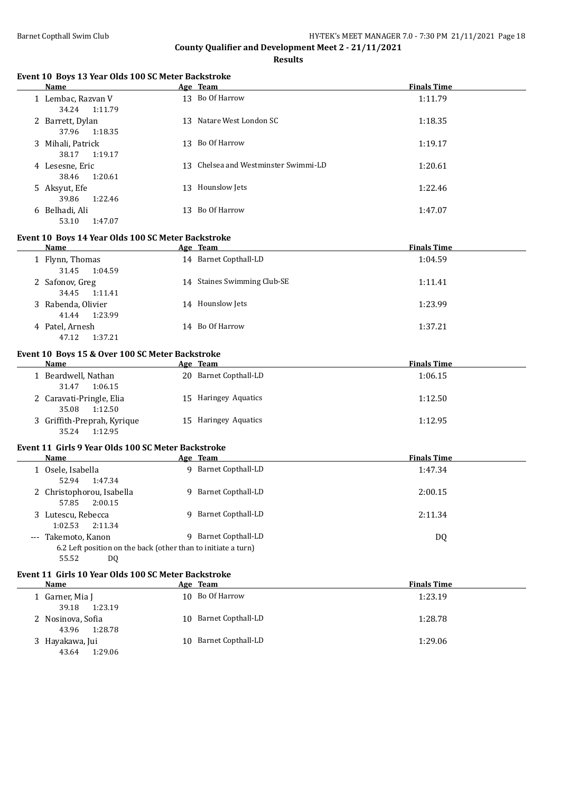**Results**

#### **Event 10 Boys 13 Year Olds 100 SC Meter Backstroke**

| Name                                  | Age Team                             | <b>Finals Time</b> |
|---------------------------------------|--------------------------------------|--------------------|
| 1 Lembac, Razvan V<br>34.24 1:11.79   | 13 Bo Of Harrow                      | 1:11.79            |
| 2 Barrett, Dylan<br>37.96<br>1:18.35  | Natare West London SC<br>13          | 1:18.35            |
| 3 Mihali, Patrick<br>1:19.17<br>38.17 | Bo Of Harrow<br>13.                  | 1:19.17            |
| 4 Lesesne, Eric<br>1:20.61<br>38.46   | 13 Chelsea and Westminster Swimmi-LD | 1:20.61            |
| 5 Aksyut, Efe<br>1:22.46<br>39.86     | Hounslow Jets<br>13                  | 1:22.46            |
| 6 Belhadi, Ali<br>53.10<br>1:47.07    | Bo Of Harrow<br>13                   | 1:47.07            |

#### **Event 10 Boys 14 Year Olds 100 SC Meter Backstroke**

| Name                                   | Age Team                    | <b>Finals Time</b> |
|----------------------------------------|-----------------------------|--------------------|
| 1 Flynn, Thomas<br>31.45<br>1:04.59    | 14 Barnet Copthall-LD       | 1:04.59            |
| 2 Safonov, Greg<br>34.45<br>1:11.41    | 14 Staines Swimming Club-SE | 1:11.41            |
| 3 Rabenda, Olivier<br>1:23.99<br>41.44 | 14 Hounslow Jets            | 1:23.99            |
| 4 Patel, Arnesh<br>1:37.21<br>47.12    | 14 Bo Of Harrow             | 1:37.21            |

# **Event 10 Boys 15 & Over 100 SC Meter Backstroke**

| Name                        | Age Team              | <b>Finals Time</b> |
|-----------------------------|-----------------------|--------------------|
| 1 Beardwell, Nathan         | 20 Barnet Copthall-LD | 1:06.15            |
| 1:06.15<br>31.47            |                       |                    |
| 2 Caravati-Pringle, Elia    | 15 Haringey Aquatics  | 1:12.50            |
| 35.08<br>1:12.50            |                       |                    |
| 3 Griffith-Preprah, Kyrique | 15 Haringey Aquatics  | 1:12.95            |
| 1:12.95<br>35.24            |                       |                    |

# **Event 11 Girls 9 Year Olds 100 SC Meter Backstroke**

| Name                                                                                 | Age Team             | <b>Finals Time</b> |
|--------------------------------------------------------------------------------------|----------------------|--------------------|
| 1 Osele, Isabella<br>52.94<br>1:47.34                                                | 9 Barnet Copthall-LD | 1:47.34            |
| 2 Christophorou, Isabella<br>2:00.15<br>57.85                                        | 9 Barnet Copthall-LD | 2:00.15            |
| 3 Lutescu, Rebecca<br>2:11.34<br>1:02.53                                             | 9 Barnet Copthall-LD | 2:11.34            |
| --- Takemoto, Kanon<br>6.2 Left position on the back (other than to initiate a turn) | 9 Barnet Copthall-LD | DQ                 |
| 55.52<br>DQ                                                                          |                      |                    |

#### **Event 11 Girls 10 Year Olds 100 SC Meter Backstroke**

| Name                                  | Age Team              | <b>Finals Time</b> |
|---------------------------------------|-----------------------|--------------------|
| 1 Garner, Mia J<br>39.18<br>1:23.19   | 10 Bo Of Harrow       | 1:23.19            |
| 2 Nosinova, Sofia<br>1:28.78<br>43.96 | 10 Barnet Copthall-LD | 1:28.78            |
| 3 Hayakawa, Jui<br>43.64<br>1:29.06   | 10 Barnet Copthall-LD | 1:29.06            |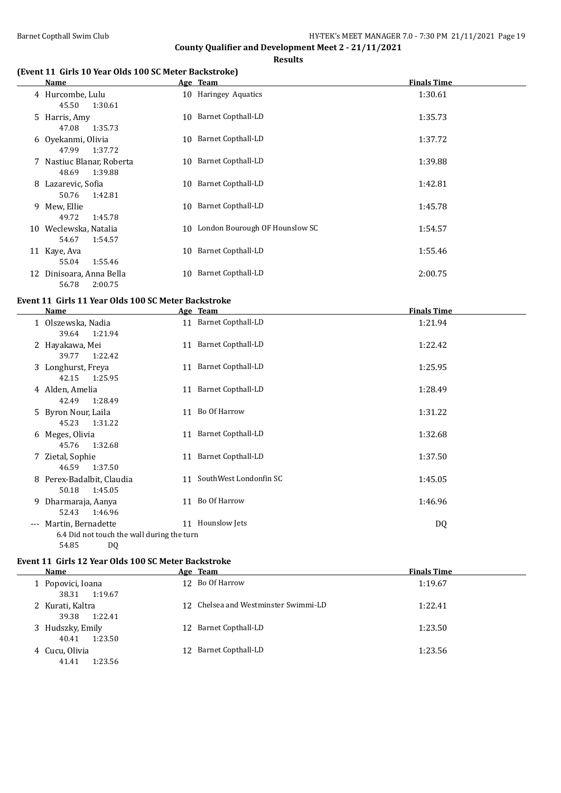**County Qualifier and Development Meet 2 - 21/11/2021 Results**

# **(Event 11 Girls 10 Year Olds 100 SC Meter Backstroke)**

|    | Name                                          |    | Age Team                       | <b>Finals Time</b> |
|----|-----------------------------------------------|----|--------------------------------|--------------------|
|    | 4 Hurcombe, Lulu<br>45.50<br>1:30.61          |    | 10 Haringey Aquatics           | 1:30.61            |
|    | 5 Harris, Amy<br>47.08<br>1:35.73             | 10 | Barnet Copthall-LD             | 1:35.73            |
|    | 6 Oyekanmi, Olivia<br>47.99<br>1:37.72        | 10 | Barnet Copthall-LD             | 1:37.72            |
|    | 7 Nastiuc Blanar, Roberta<br>1:39.88<br>48.69 | 10 | Barnet Copthall-LD             | 1:39.88            |
| 8  | Lazarevic, Sofia<br>50.76<br>1:42.81          |    | 10 Barnet Copthall-LD          | 1:42.81            |
| 9  | Mew, Ellie<br>49.72<br>1:45.78                |    | 10 Barnet Copthall-LD          | 1:45.78            |
| 10 | Weclewska, Natalia<br>54.67<br>1:54.57        | 10 | London Bourough OF Hounslow SC | 1:54.57            |
| 11 | Kaye, Ava<br>1:55.46<br>55.04                 | 10 | Barnet Copthall-LD             | 1:55.46            |
| 12 | Dinisoara, Anna Bella<br>56.78<br>2:00.75     | 10 | <b>Barnet Copthall-LD</b>      | 2:00.75            |

# **Event 11 Girls 11 Year Olds 100 SC Meter Backstroke**

|       | Name                                                             |    | Age Team                  | <b>Finals Time</b> |
|-------|------------------------------------------------------------------|----|---------------------------|--------------------|
|       | 1 Olszewska, Nadia<br>39.64<br>1:21.94                           |    | 11 Barnet Copthall-LD     | 1:21.94            |
|       | 2 Hayakawa, Mei<br>39.77<br>1:22.42                              | 11 | Barnet Copthall-LD        | 1:22.42            |
|       | 3 Longhurst, Freya<br>42.15<br>1:25.95                           |    | 11 Barnet Copthall-LD     | 1:25.95            |
|       | 4 Alden, Amelia<br>1:28.49<br>42.49                              | 11 | <b>Barnet Copthall-LD</b> | 1:28.49            |
|       | 5 Byron Nour, Laila<br>1:31.22<br>45.23                          | 11 | Bo Of Harrow              | 1:31.22            |
|       | 6 Meges, Olivia<br>45.76<br>1:32.68                              | 11 | <b>Barnet Copthall-LD</b> | 1:32.68            |
|       | 7 Zietal, Sophie<br>46.59<br>1:37.50                             | 11 | <b>Barnet Copthall-LD</b> | 1:37.50            |
|       | 8 Perex-Badalbit, Claudia<br>50.18<br>1:45.05                    | 11 | SouthWest Londonfin SC    | 1:45.05            |
|       | 9 Dharmaraja, Aanya<br>52.43<br>1:46.96                          | 11 | Bo Of Harrow              | 1:46.96            |
| $---$ | Martin, Bernadette<br>6.4 Did not touch the wall during the turn | 11 | Hounslow Jets             | DQ                 |

# 54.85 DQ **Event 11 Girls 12 Year Olds 100 SC Meter Backstroke**

 $\overline{\phantom{0}}$ 

| Name                                 | Age Team                             | <b>Finals Time</b> |  |
|--------------------------------------|--------------------------------------|--------------------|--|
| 1 Popovici, Ioana<br>38.31 1:19.67   | 12 Bo Of Harrow                      | 1:19.67            |  |
| 2 Kurati, Kaltra<br>39.38<br>1:22.41 | 12 Chelsea and Westminster Swimmi-LD | 1:22.41            |  |
| 3 Hudszky, Emily<br>40.41<br>1:23.50 | 12 Barnet Copthall-LD                | 1:23.50            |  |
| 4 Cucu, Olivia<br>41.41<br>1:23.56   | 12 Barnet Copthall-LD                | 1:23.56            |  |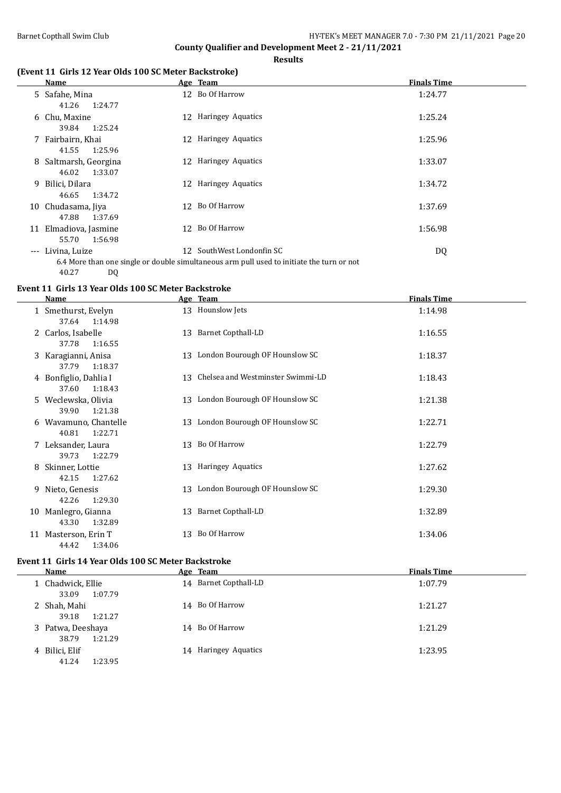## **Results**

# **(Event 11 Girls 12 Year Olds 100 SC Meter Backstroke)**

|       | Name                                      | Age Team                                                                                                               | <b>Finals Time</b> |
|-------|-------------------------------------------|------------------------------------------------------------------------------------------------------------------------|--------------------|
|       | 5 Safahe, Mina<br>41.26<br>1:24.77        | 12 Bo Of Harrow                                                                                                        | 1:24.77            |
|       | 6 Chu, Maxine<br>1:25.24<br>39.84         | 12 Haringey Aquatics                                                                                                   | 1:25.24            |
|       | 7 Fairbairn, Khai<br>1:25.96<br>41.55     | 12 Haringey Aquatics                                                                                                   | 1:25.96            |
|       | 8 Saltmarsh, Georgina<br>46.02<br>1:33.07 | 12 Haringey Aquatics                                                                                                   | 1:33.07            |
| 9.    | Bilici, Dilara<br>1:34.72<br>46.65        | 12 Haringey Aquatics                                                                                                   | 1:34.72            |
|       | 10 Chudasama, Jiya<br>47.88<br>1:37.69    | 12 Bo Of Harrow                                                                                                        | 1:37.69            |
|       | 11 Elmadiova, Jasmine<br>55.70<br>1:56.98 | 12 Bo Of Harrow                                                                                                        | 1:56.98            |
| $---$ | Livina, Luize<br>40.27<br>DQ              | 12 SouthWest Londonfin SC<br>6.4 More than one single or double simultaneous arm pull used to initiate the turn or not | DQ                 |

# **Event 11 Girls 13 Year Olds 100 SC Meter Backstroke**

|   | Name                                      |    | Age Team                             | <b>Finals Time</b> |
|---|-------------------------------------------|----|--------------------------------------|--------------------|
|   | 1 Smethurst, Evelyn<br>37.64 1:14.98      |    | 13 Hounslow Jets                     | 1:14.98            |
|   | 2 Carlos, Isabelle<br>37.78<br>1:16.55    |    | 13 Barnet Copthall-LD                | 1:16.55            |
|   | 3 Karagianni, Anisa<br>37.79<br>1:18.37   |    | 13 London Bourough OF Hounslow SC    | 1:18.37            |
|   | 4 Bonfiglio, Dahlia I<br>37.60<br>1:18.43 |    | 13 Chelsea and Westminster Swimmi-LD | 1:18.43            |
|   | 5 Weclewska, Olivia<br>39.90<br>1:21.38   |    | 13 London Bourough OF Hounslow SC    | 1:21.38            |
|   | 6 Wavamuno, Chantelle<br>40.81<br>1:22.71 |    | 13 London Bourough OF Hounslow SC    | 1:22.71            |
|   | Leksander, Laura<br>39.73<br>1:22.79      |    | 13 Bo Of Harrow                      | 1:22.79            |
| 8 | Skinner, Lottie<br>42.15<br>1:27.62       |    | 13 Haringey Aquatics                 | 1:27.62            |
| 9 | Nieto, Genesis<br>1:29.30<br>42.26        |    | 13 London Bourough OF Hounslow SC    | 1:29.30            |
|   | 10 Manlegro, Gianna<br>43.30<br>1:32.89   |    | 13 Barnet Copthall-LD                | 1:32.89            |
|   | 11 Masterson, Erin T<br>44.42<br>1:34.06  | 13 | Bo Of Harrow                         | 1:34.06            |

# **Event 11 Girls 14 Year Olds 100 SC Meter Backstroke**

| Name                                  | Age Team              | <b>Finals Time</b> |
|---------------------------------------|-----------------------|--------------------|
| 1 Chadwick, Ellie<br>1:07.79<br>33.09 | 14 Barnet Copthall-LD | 1:07.79            |
| 2 Shah, Mahi<br>39.18<br>1:21.27      | 14 Bo Of Harrow       | 1:21.27            |
| 3 Patwa, Deeshaya<br>1:21.29<br>38.79 | 14 Bo Of Harrow       | 1:21.29            |
| 4 Bilici, Elif<br>41.24<br>1:23.95    | 14 Haringey Aquatics  | 1:23.95            |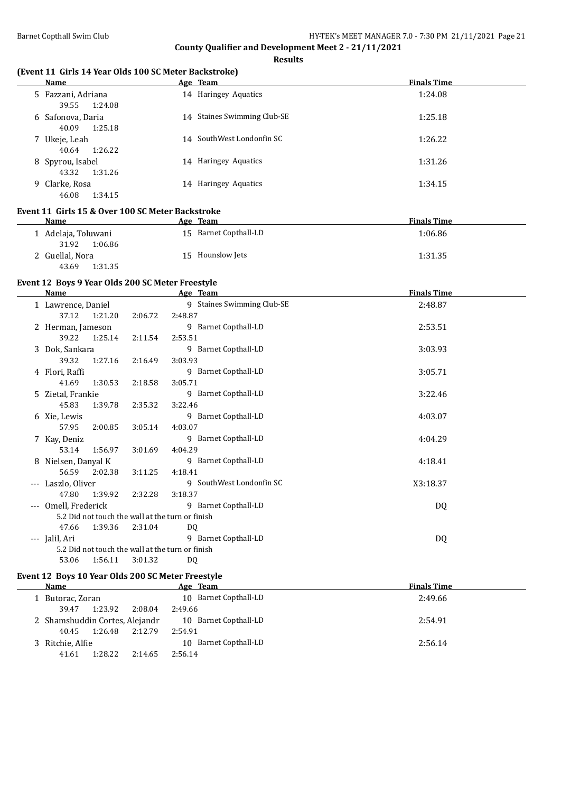**Results**

# **(Event 11 Girls 14 Year Olds 100 SC Meter Backstroke)**

| Name                                   | Age Team                    | <b>Finals Time</b> |
|----------------------------------------|-----------------------------|--------------------|
| 5 Fazzani, Adriana<br>39.55<br>1:24.08 | 14 Haringey Aquatics        | 1:24.08            |
| 6 Safonova, Daria<br>40.09<br>1:25.18  | 14 Staines Swimming Club-SE | 1:25.18            |
| 7 Ukeje, Leah<br>1:26.22<br>40.64      | 14 SouthWest Londonfin SC   | 1:26.22            |
| 8 Spyrou, Isabel<br>1:31.26<br>43.32   | 14 Haringey Aquatics        | 1:31.26            |
| 9 Clarke, Rosa<br>46.08<br>1:34.15     | 14 Haringey Aquatics        | 1:34.15            |

#### **Event 11 Girls 15 & Over 100 SC Meter Backstroke**

| <b>Name</b>         | Age Team              | <b>Finals Time</b> |
|---------------------|-----------------------|--------------------|
| 1 Adelaja, Toluwani | 15 Barnet Copthall-LD | 1:06.86            |
| 1:06.86<br>31.92    |                       |                    |
| 2 Guellal, Nora     | 15 Hounslow Jets      | 1:31.35            |
| 1:31.35<br>43.69    |                       |                    |

# **Event 12 Boys 9 Year Olds 200 SC Meter Freestyle**

|             | <b>Name</b>                                      |         | Age Team                   | <b>Finals Time</b> |  |
|-------------|--------------------------------------------------|---------|----------------------------|--------------------|--|
|             | 1 Lawrence, Daniel                               |         | 9 Staines Swimming Club-SE | 2:48.87            |  |
|             | 37.12 1:21.20                                    | 2:06.72 | 2:48.87                    |                    |  |
|             | 2 Herman, Jameson                                |         | 9 Barnet Copthall-LD       | 2:53.51            |  |
|             | 39.22<br>1:25.14                                 | 2:11.54 | 2:53.51                    |                    |  |
| 3           | Dok, Sankara                                     |         | 9 Barnet Copthall-LD       | 3:03.93            |  |
|             | 39.32<br>1:27.16                                 | 2:16.49 | 3:03.93                    |                    |  |
|             | 4 Flori, Raffi                                   |         | 9 Barnet Copthall-LD       | 3:05.71            |  |
|             | 41.69<br>1:30.53                                 | 2:18.58 | 3:05.71                    |                    |  |
|             | 5 Zietal, Frankie                                |         | 9 Barnet Copthall-LD       | 3:22.46            |  |
|             | 45.83<br>1:39.78                                 | 2:35.32 | 3:22.46                    |                    |  |
|             | 6 Xie, Lewis                                     |         | 9 Barnet Copthall-LD       | 4:03.07            |  |
|             | 57.95<br>2:00.85                                 | 3:05.14 | 4:03.07                    |                    |  |
|             | 7 Kay, Deniz                                     |         | 9 Barnet Copthall-LD       | 4:04.29            |  |
|             | 53.14<br>1:56.97                                 | 3:01.69 | 4:04.29                    |                    |  |
|             | 8 Nielsen, Danyal K                              |         | 9 Barnet Copthall-LD       | 4:18.41            |  |
|             | 56.59<br>2:02.38                                 | 3:11.25 | 4:18.41                    |                    |  |
|             | Laszlo, Oliver                                   |         | 9 SouthWest Londonfin SC   | X3:18.37           |  |
|             | 47.80<br>1:39.92                                 | 2:32.28 | 3:18.37                    |                    |  |
|             | Omell, Frederick                                 |         | 9 Barnet Copthall-LD       | DQ                 |  |
|             | 5.2 Did not touch the wall at the turn or finish |         |                            |                    |  |
|             | 1:39.36<br>47.66                                 | 2:31.04 | D <sub>0</sub>             |                    |  |
| $-\, -\, -$ | Jalil, Ari                                       |         | 9 Barnet Copthall-LD       | DQ                 |  |
|             | 5.2 Did not touch the wall at the turn or finish |         |                            |                    |  |
|             | 53.06<br>1:56.11                                 | 3:01.32 | DQ.                        |                    |  |

# **Event 12 Boys 10 Year Olds 200 SC Meter Freestyle**

| Name                           |         |         | Age Team              | <b>Finals Time</b> |
|--------------------------------|---------|---------|-----------------------|--------------------|
| 1 Butorac, Zoran               |         |         | 10 Barnet Copthall-LD | 2:49.66            |
| 39.47                          | 1:23.92 | 2:08.04 | 2:49.66               |                    |
| 2 Shamshuddin Cortes, Alejandr |         |         | 10 Barnet Copthall-LD | 2:54.91            |
| 40.45                          | 1:26.48 | 2:12.79 | 2:54.91               |                    |
| 3 Ritchie, Alfie               |         |         | 10 Barnet Copthall-LD | 2:56.14            |
| 41.61                          | 1:28.22 | 2:14.65 | 2:56.14               |                    |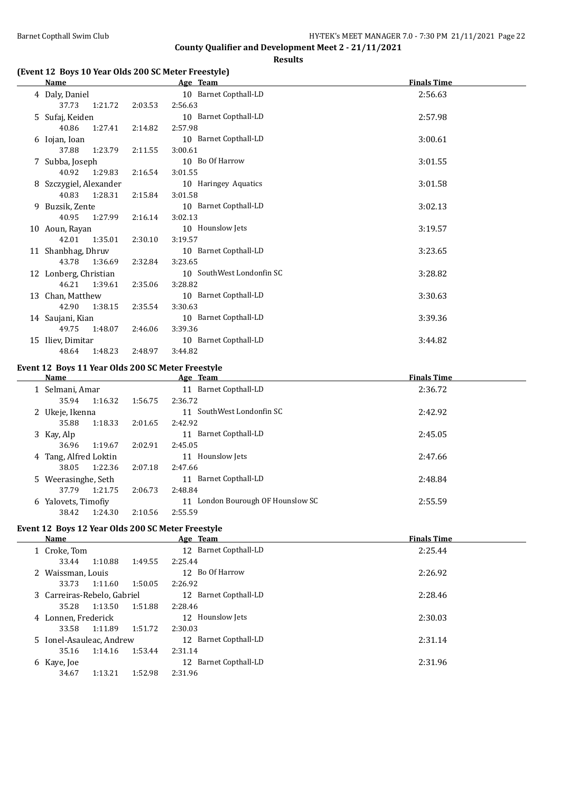## **Results**

# **(Event 12 Boys 10 Year Olds 200 SC Meter Freestyle)**

|    | <b>Name</b>            |         | Age Team                  | <b>Finals Time</b> |
|----|------------------------|---------|---------------------------|--------------------|
|    | 4 Daly, Daniel         |         | 10 Barnet Copthall-LD     | 2:56.63            |
|    | 37.73<br>1:21.72       | 2:03.53 | 2:56.63                   |                    |
|    | 5 Sufaj, Keiden        |         | 10 Barnet Copthall-LD     | 2:57.98            |
|    | 40.86<br>1:27.41       | 2:14.82 | 2:57.98                   |                    |
|    | 6 Iojan, Ioan          |         | 10 Barnet Copthall-LD     | 3:00.61            |
|    | 1:23.79<br>37.88       | 2:11.55 | 3:00.61                   |                    |
|    | 7 Subba, Joseph        |         | 10 Bo Of Harrow           | 3:01.55            |
|    | 40.92<br>1:29.83       | 2:16.54 | 3:01.55                   |                    |
|    | 8 Szczygiel, Alexander |         | 10 Haringey Aquatics      | 3:01.58            |
|    | 1:28.31<br>40.83       | 2:15.84 | 3:01.58                   |                    |
|    | 9 Buzsik, Zente        |         | 10 Barnet Copthall-LD     | 3:02.13            |
|    | 40.95<br>1:27.99       | 2:16.14 | 3:02.13                   |                    |
|    | 10 Aoun, Rayan         |         | 10 Hounslow Jets          | 3:19.57            |
|    | 42.01<br>1:35.01       | 2:30.10 | 3:19.57                   |                    |
|    | 11 Shanbhag, Dhruv     |         | 10 Barnet Copthall-LD     | 3:23.65            |
|    | 43.78<br>1:36.69       | 2:32.84 | 3:23.65                   |                    |
|    | 12 Lonberg, Christian  |         | 10 SouthWest Londonfin SC | 3:28.82            |
|    | 1:39.61<br>46.21       | 2:35.06 | 3:28.82                   |                    |
| 13 | Chan, Matthew          |         | 10 Barnet Copthall-LD     | 3:30.63            |
|    | 1:38.15<br>42.90       | 2:35.54 | 3:30.63                   |                    |
|    | 14 Saujani, Kian       |         | 10 Barnet Copthall-LD     | 3:39.36            |
|    | 49.75<br>1:48.07       | 2:46.06 | 3:39.36                   |                    |
|    | 15 Iliev, Dimitar      |         | 10 Barnet Copthall-LD     | 3:44.82            |
|    | 48.64<br>1:48.23       | 2:48.97 | 3:44.82                   |                    |

#### **Event 12 Boys 11 Year Olds 200 SC Meter Freestyle**

| Name                  |         |         | Age Team                             | <b>Finals Time</b> |
|-----------------------|---------|---------|--------------------------------------|--------------------|
| 1 Selmani, Amar       |         |         | Barnet Copthall-LD<br>11             | 2:36.72            |
| 35.94                 | 1:16.32 | 1:56.75 | 2:36.72                              |                    |
| 2 Ukeje, Ikenna       |         |         | SouthWest Londonfin SC<br>11         | 2:42.92            |
| 35.88                 | 1:18.33 | 2:01.65 | 2:42.92                              |                    |
| 3 Kay, Alp            |         |         | Barnet Copthall-LD<br>11             | 2:45.05            |
| 36.96                 | 1:19.67 | 2:02.91 | 2:45.05                              |                    |
| 4 Tang, Alfred Loktin |         |         | Hounslow Jets<br>11                  | 2:47.66            |
| 38.05                 | 1:22.36 | 2:07.18 | 2:47.66                              |                    |
| 5 Weerasinghe, Seth   |         |         | Barnet Copthall-LD<br>11             | 2:48.84            |
| 37.79                 | 1:21.75 | 2:06.73 | 2:48.84                              |                    |
| 6 Yalovets, Timofiy   |         |         | London Bourough OF Hounslow SC<br>11 | 2:55.59            |
| 38.42                 | 1:24.30 | 2:10.56 | 2:55.59                              |                    |
|                       |         |         |                                      |                    |

#### **Event 12 Boys 12 Year Olds 200 SC Meter Freestyle**

| Name         |                                                                                                            | Age Team                                                           | <b>Finals Time</b> |
|--------------|------------------------------------------------------------------------------------------------------------|--------------------------------------------------------------------|--------------------|
| 1 Croke, Tom |                                                                                                            | 12 Barnet Copthall-LD                                              | 2:25.44            |
| 33.44        | 1:49.55                                                                                                    | 2:25.44                                                            |                    |
|              |                                                                                                            | 12 Bo Of Harrow                                                    | 2:26.92            |
| 33.73        | 1:50.05                                                                                                    | 2:26.92                                                            |                    |
|              |                                                                                                            | Barnet Copthall-LD<br>12                                           | 2:28.46            |
| 35.28        | 1:51.88                                                                                                    | 2:28.46                                                            |                    |
|              |                                                                                                            | 12 Hounslow Jets                                                   | 2:30.03            |
| 33.58        |                                                                                                            | 2:30.03                                                            |                    |
|              |                                                                                                            | Barnet Copthall-LD<br>12                                           | 2:31.14            |
| 35.16        | 1:53.44                                                                                                    | 2:31.14                                                            |                    |
| 6 Kaye, Joe  |                                                                                                            | Barnet Copthall-LD<br>12                                           | 2:31.96            |
| 34.67        | 1:52.98                                                                                                    | 2:31.96                                                            |                    |
|              | 1:10.88<br>2 Waissman, Louis<br>1:11.60<br>1:13.50<br>4 Lonnen, Frederick<br>1:11.89<br>1:14.16<br>1:13.21 | 3 Carreiras-Rebelo, Gabriel<br>1:51.72<br>5 Ionel-Asauleac, Andrew |                    |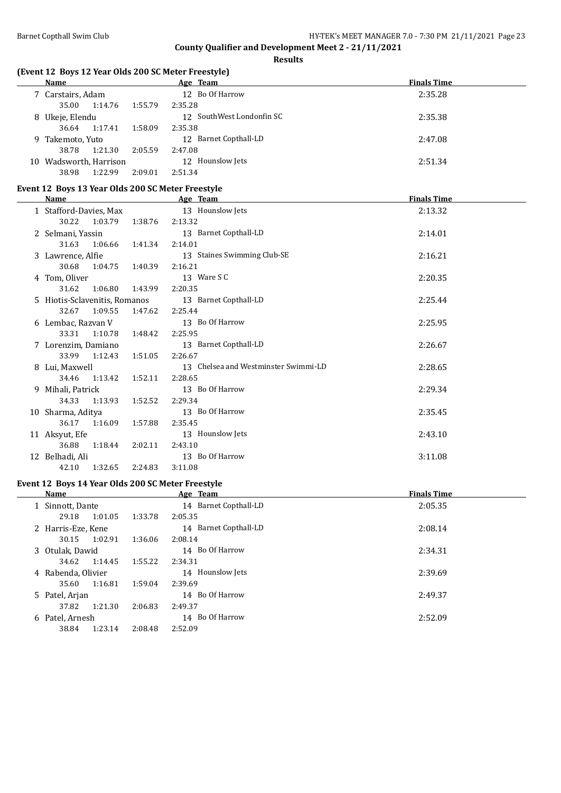**Results**

# **(Event 12 Boys 12 Year Olds 200 SC Meter Freestyle)**

|    | Name                |         |         | Age Team                  | <b>Finals Time</b> |
|----|---------------------|---------|---------|---------------------------|--------------------|
|    | 7 Carstairs, Adam   |         |         | 12 Bo Of Harrow           | 2:35.28            |
|    | 35.00               | 1:14.76 | 1:55.79 | 2:35.28                   |                    |
|    | 8 Ukeje, Elendu     |         |         | 12 SouthWest Londonfin SC | 2:35.38            |
|    | 36.64               | 1:17.41 | 1:58.09 | 2:35.38                   |                    |
|    | 9 Takemoto, Yuto    |         |         | 12 Barnet Copthall-LD     | 2:47.08            |
|    | 38.78               | 1:21.30 | 2:05.59 | 2:47.08                   |                    |
| 10 | Wadsworth, Harrison |         |         | 12 Hounslow Jets          | 2:51.34            |
|    | 38.98               | 1:22.99 | 2:09.01 | 2:51.34                   |                    |

# **Event 12 Boys 13 Year Olds 200 SC Meter Freestyle**

| <b>Name</b>                   |                    | Age Team                             | <b>Finals Time</b> |
|-------------------------------|--------------------|--------------------------------------|--------------------|
| 1 Stafford-Davies, Max        |                    | 13 Hounslow Jets                     | 2:13.32            |
| 30.22                         | 1:03.79<br>1:38.76 | 2:13.32                              |                    |
| 2 Selmani, Yassin             |                    | 13 Barnet Copthall-LD                | 2:14.01            |
| 31.63                         | 1:06.66<br>1:41.34 | 2:14.01                              |                    |
| 3 Lawrence, Alfie             |                    | 13 Staines Swimming Club-SE          | 2:16.21            |
| 30.68                         | 1:04.75<br>1:40.39 | 2:16.21                              |                    |
| 4 Tom, Oliver                 |                    | 13 Ware S C                          | 2:20.35            |
| 31.62                         | 1:06.80<br>1:43.99 | 2:20.35                              |                    |
| 5 Hiotis-Sclavenitis, Romanos |                    | 13 Barnet Copthall-LD                | 2:25.44            |
| 32.67                         | 1:09.55<br>1:47.62 | 2:25.44                              |                    |
| 6 Lembac, Razvan V            |                    | 13 Bo Of Harrow                      | 2:25.95            |
| 33.31                         | 1:10.78<br>1:48.42 | 2:25.95                              |                    |
| 7 Lorenzim, Damiano           |                    | 13 Barnet Copthall-LD                | 2:26.67            |
| 33.99                         | 1:12.43<br>1:51.05 | 2:26.67                              |                    |
| 8 Lui, Maxwell                |                    | 13 Chelsea and Westminster Swimmi-LD | 2:28.65            |
| 34.46                         | 1:13.42<br>1:52.11 | 2:28.65                              |                    |
| 9 Mihali, Patrick             |                    | 13 Bo Of Harrow                      | 2:29.34            |
| 34.33                         | 1:13.93<br>1:52.52 | 2:29.34                              |                    |
| 10 Sharma, Aditya             |                    | 13 Bo Of Harrow                      | 2:35.45            |
| 36.17                         | 1:16.09<br>1:57.88 | 2:35.45                              |                    |
| 11 Aksyut, Efe                |                    | 13 Hounslow Jets                     | 2:43.10            |
| 36.88                         | 1:18.44<br>2:02.11 | 2:43.10                              |                    |
| 12 Belhadi, Ali               |                    | 13 Bo Of Harrow                      | 3:11.08            |
| 42.10                         | 1:32.65<br>2:24.83 | 3:11.08                              |                    |

# **Event 12 Boys 14 Year Olds 200 SC Meter Freestyle**

| Name               |         | Age Team              | <b>Finals Time</b> |
|--------------------|---------|-----------------------|--------------------|
| 1 Sinnott, Dante   |         | 14 Barnet Copthall-LD | 2:05.35            |
| 1:01.05<br>29.18   | 1:33.78 | 2:05.35               |                    |
| 2 Harris-Eze, Kene |         | 14 Barnet Copthall-LD | 2:08.14            |
| 1:02.91<br>30.15   | 1:36.06 | 2:08.14               |                    |
| 3 Otulak, Dawid    |         | 14 Bo Of Harrow       | 2:34.31            |
| 1:14.45<br>34.62   | 1:55.22 | 2:34.31               |                    |
| 4 Rabenda, Olivier |         | 14 Hounslow Jets      | 2:39.69            |
| 1:16.81<br>35.60   | 1:59.04 | 2:39.69               |                    |
| 5 Patel, Arjan     |         | 14 Bo Of Harrow       | 2:49.37            |
| 1:21.30<br>37.82   | 2:06.83 | 2:49.37               |                    |
| 6 Patel, Arnesh    |         | 14 Bo Of Harrow       | 2:52.09            |
| 1:23.14<br>38.84   | 2:08.48 | 2:52.09               |                    |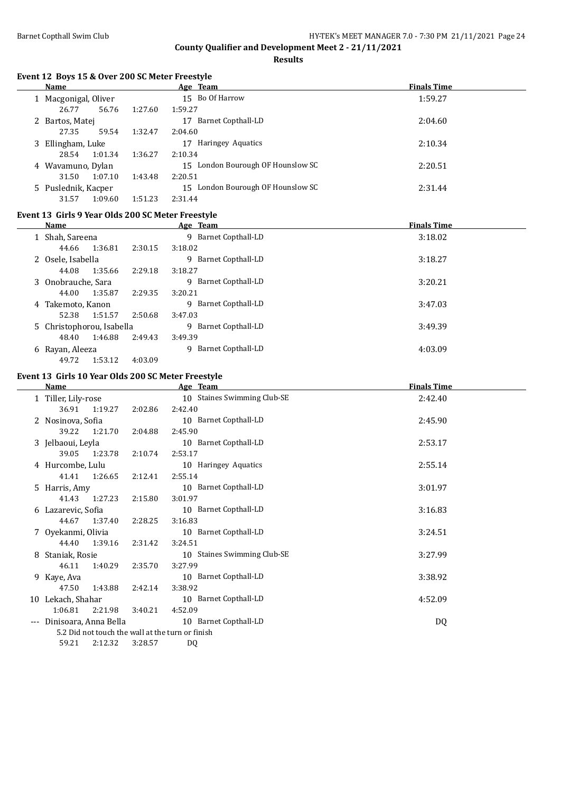**Results**

## **Event 12 Boys 15 & Over 200 SC Meter Freestyle**

|   | Name               |         | Age Team                              | <b>Finals Time</b> |
|---|--------------------|---------|---------------------------------------|--------------------|
|   | Macgonigal, Oliver |         | 15 Bo Of Harrow                       | 1:59.27            |
|   | 26.77<br>56.76     | 1:27.60 | 1:59.27                               |                    |
|   | 2 Bartos, Matej    |         | Barnet Copthall-LD<br>17              | 2:04.60            |
|   | 27.35<br>59.54     | 1:32.47 | 2:04.60                               |                    |
| 3 | Ellingham, Luke    |         | Haringey Aquatics<br>17               | 2:10.34            |
|   | 28.54<br>1:01.34   | 1:36.27 | 2:10.34                               |                    |
|   | 4 Wavamuno, Dylan  |         | London Bourough OF Hounslow SC<br>15  | 2:20.51            |
|   | 31.50<br>1:07.10   | 1:43.48 | 2:20.51                               |                    |
|   | Puslednik, Kacper  |         | London Bourough OF Hounslow SC<br>15. | 2:31.44            |
|   | 1:09.60<br>31.57   | 1:51.23 | 2:31.44                               |                    |

# **Event 13 Girls 9 Year Olds 200 SC Meter Freestyle**

|   | Name                      |         | Age Team                        | <b>Finals Time</b> |
|---|---------------------------|---------|---------------------------------|--------------------|
|   | 1 Shah, Sareena           |         | 9 Barnet Copthall-LD            | 3:18.02            |
|   | 1:36.81<br>44.66          | 2:30.15 | 3:18.02                         |                    |
|   | 2 Osele, Isabella         |         | 9 Barnet Copthall-LD            | 3:18.27            |
|   | 1:35.66<br>44.08          | 2:29.18 | 3:18.27                         |                    |
|   | 3 Onobrauche, Sara        |         | 9 Barnet Copthall-LD            | 3:20.21            |
|   | 44.00<br>1:35.87          | 2:29.35 | 3:20.21                         |                    |
|   | 4 Takemoto, Kanon         |         | 9 Barnet Copthall-LD            | 3:47.03            |
|   | 52.38<br>1:51.57          | 2:50.68 | 3:47.03                         |                    |
|   | 5 Christophorou, Isabella |         | 9 Barnet Copthall-LD            | 3:49.39            |
|   | 1:46.88<br>48.40          | 2:49.43 | 3:49.39                         |                    |
| 6 | Rayan, Aleeza             |         | <b>Barnet Copthall-LD</b><br>Q. | 4:03.09            |
|   | 1:53.12<br>49.72          | 4:03.09 |                                 |                    |

# **Event 13 Girls 10 Year Olds 200 SC Meter Freestyle**

|                     | <b>Name</b>           |                                                  | Age Team                    | <b>Finals Time</b> |  |  |
|---------------------|-----------------------|--------------------------------------------------|-----------------------------|--------------------|--|--|
|                     | 1 Tiller, Lily-rose   |                                                  | 10 Staines Swimming Club-SE | 2:42.40            |  |  |
|                     | 1:19.27<br>36.91      | 2:02.86                                          | 2:42.40                     |                    |  |  |
|                     | 2 Nosinova, Sofia     |                                                  | 10 Barnet Copthall-LD       | 2:45.90            |  |  |
|                     | 39.22<br>1:21.70      | 2:04.88                                          | 2:45.90                     |                    |  |  |
|                     | 3 Jelbaoui, Leyla     |                                                  | 10 Barnet Copthall-LD       | 2:53.17            |  |  |
|                     | 39.05<br>1:23.78      | 2:10.74                                          | 2:53.17                     |                    |  |  |
|                     | 4 Hurcombe, Lulu      |                                                  | 10 Haringey Aquatics        | 2:55.14            |  |  |
|                     | 41.41<br>1:26.65      | 2:12.41                                          | 2:55.14                     |                    |  |  |
|                     | 5 Harris, Amy         |                                                  | 10 Barnet Copthall-LD       | 3:01.97            |  |  |
|                     | 41.43<br>1:27.23      | 2:15.80                                          | 3:01.97                     |                    |  |  |
|                     | 6 Lazarevic, Sofia    |                                                  | 10 Barnet Copthall-LD       | 3:16.83            |  |  |
|                     | 44.67<br>1:37.40      | 2:28.25                                          | 3:16.83                     |                    |  |  |
|                     | 7 Oyekanmi, Olivia    |                                                  | 10 Barnet Copthall-LD       | 3:24.51            |  |  |
|                     | 44.40<br>1:39.16      | 2:31.42                                          | 3:24.51                     |                    |  |  |
| 8                   | Staniak, Rosie        |                                                  | 10 Staines Swimming Club-SE | 3:27.99            |  |  |
|                     | 46.11<br>1:40.29      | 2:35.70                                          | 3:27.99                     |                    |  |  |
|                     | 9 Kaye, Ava           |                                                  | 10 Barnet Copthall-LD       | 3:38.92            |  |  |
|                     | 47.50<br>1:43.88      | 2:42.14                                          | 3:38.92                     |                    |  |  |
| 10                  | Lekach, Shahar        |                                                  | 10 Barnet Copthall-LD       | 4:52.09            |  |  |
|                     | 1:06.81<br>2:21.98    | 3:40.21                                          | 4:52.09                     |                    |  |  |
| $\qquad \qquad - -$ | Dinisoara, Anna Bella |                                                  | 10 Barnet Copthall-LD       | DQ                 |  |  |
|                     |                       | 5.2 Did not touch the wall at the turn or finish |                             |                    |  |  |
|                     | 59.21<br>2:12.32      | 3:28.57                                          | DQ                          |                    |  |  |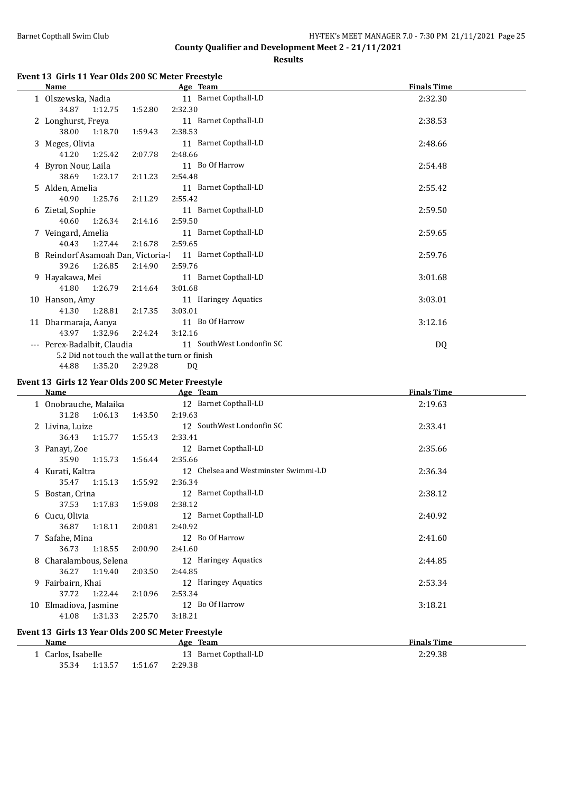**Results**

## **Event 13 Girls 11 Year Olds 200 SC Meter Freestyle**

|    | <b>Name</b>                        |                                                  | Age Team                  | <b>Finals Time</b> |
|----|------------------------------------|--------------------------------------------------|---------------------------|--------------------|
|    | 1 Olszewska, Nadia                 |                                                  | 11 Barnet Copthall-LD     | 2:32.30            |
|    | 34.87                              | 1:52.80<br>1:12.75                               | 2:32.30                   |                    |
|    | 2 Longhurst, Freya                 |                                                  | 11 Barnet Copthall-LD     | 2:38.53            |
|    | 38.00                              | 1:59.43<br>1:18.70                               | 2:38.53                   |                    |
|    | 3 Meges, Olivia                    |                                                  | 11 Barnet Copthall-LD     | 2:48.66            |
|    | 41.20                              | 1:25.42<br>2:07.78                               | 2:48.66                   |                    |
|    | 4 Byron Nour, Laila                |                                                  | 11 Bo Of Harrow           | 2:54.48            |
|    | 38.69                              | 1:23.17<br>2:11.23                               | 2:54.48                   |                    |
|    | 5 Alden, Amelia                    |                                                  | 11 Barnet Copthall-LD     | 2:55.42            |
|    | 40.90                              | 1:25.76<br>2:11.29                               | 2:55.42                   |                    |
|    | 6 Zietal, Sophie                   |                                                  | 11 Barnet Copthall-LD     | 2:59.50            |
|    | 40.60                              | 1:26.34<br>2:14.16                               | 2:59.50                   |                    |
|    | 7 Veingard, Amelia                 |                                                  | 11 Barnet Copthall-LD     | 2:59.65            |
|    | 40.43                              | 1:27.44<br>2:16.78                               | 2:59.65                   |                    |
|    | 8 Reindorf Asamoah Dan, Victoria-l |                                                  | 11 Barnet Copthall-LD     | 2:59.76            |
|    | 39.26                              | 1:26.85<br>2:14.90                               | 2:59.76                   |                    |
| 9. | Hayakawa, Mei                      |                                                  | 11 Barnet Copthall-LD     | 3:01.68            |
|    | 41.80                              | 1:26.79<br>2:14.64                               | 3:01.68                   |                    |
|    | 10 Hanson, Amy                     |                                                  | 11 Haringey Aquatics      | 3:03.01            |
|    | 41.30                              | 1:28.81<br>2:17.35                               | 3:03.01                   |                    |
|    | 11 Dharmaraja, Aanya               |                                                  | 11 Bo Of Harrow           | 3:12.16            |
|    | 43.97                              | 1:32.96<br>2:24.24                               | 3:12.16                   |                    |
|    | Perex-Badalbit, Claudia            |                                                  | 11 SouthWest Londonfin SC | DQ                 |
|    |                                    | 5.2 Did not touch the wall at the turn or finish |                           |                    |
|    | 44.88                              | 1:35.20<br>2:29.28                               | DQ                        |                    |

# **Event 13 Girls 12 Year Olds 200 SC Meter Freestyle**

|    | Name                  |         |         | Age Team                                           | <b>Finals Time</b> |  |
|----|-----------------------|---------|---------|----------------------------------------------------|--------------------|--|
|    | 1 Onobrauche, Malaika |         |         | 12 Barnet Copthall-LD                              | 2:19.63            |  |
|    | 31.28                 | 1:06.13 | 1:43.50 | 2:19.63                                            |                    |  |
|    | 2 Livina, Luize       |         |         | 12 SouthWest Londonfin SC                          | 2:33.41            |  |
|    | 36.43                 | 1:15.77 | 1:55.43 | 2:33.41                                            |                    |  |
|    | 3 Panayi, Zoe         |         |         | 12 Barnet Copthall-LD                              | 2:35.66            |  |
|    | 35.90                 | 1:15.73 | 1:56.44 | 2:35.66                                            |                    |  |
|    | 4 Kurati, Kaltra      |         |         | 12 Chelsea and Westminster Swimmi-LD               | 2:36.34            |  |
|    | 35.47                 | 1:15.13 | 1:55.92 | 2:36.34                                            |                    |  |
|    | 5 Bostan, Crina       |         |         | 12 Barnet Copthall-LD                              | 2:38.12            |  |
|    | 37.53                 | 1:17.83 | 1:59.08 | 2:38.12                                            |                    |  |
| 6. | Cucu, Olivia          |         |         | 12 Barnet Copthall-LD                              | 2:40.92            |  |
|    | 36.87                 | 1:18.11 | 2:00.81 | 2:40.92                                            |                    |  |
|    | 7 Safahe, Mina        |         |         | 12 Bo Of Harrow                                    | 2:41.60            |  |
|    | 36.73                 | 1:18.55 | 2:00.90 | 2:41.60                                            |                    |  |
| 8  | Charalambous, Selena  |         |         | 12 Haringey Aquatics                               | 2:44.85            |  |
|    | 36.27                 | 1:19.40 | 2:03.50 | 2:44.85                                            |                    |  |
|    | 9 Fairbairn, Khai     |         |         | 12 Haringey Aquatics                               | 2:53.34            |  |
|    | 37.72                 | 1:22.44 | 2:10.96 | 2:53.34                                            |                    |  |
| 10 | Elmadiova, Jasmine    |         |         | 12 Bo Of Harrow                                    | 3:18.21            |  |
|    | 41.08                 | 1:31.33 | 2:25.70 | 3:18.21                                            |                    |  |
|    |                       |         |         | Event 13 Girls 13 Year Olds 200 SC Meter Freestyle |                    |  |

| Name             |         |         | Age     | Team                  | <b>Finals Time</b> |
|------------------|---------|---------|---------|-----------------------|--------------------|
| Carlos, Isabelle |         |         |         | 13 Barnet Copthall-LD | 2:29.38            |
| 35.34            | 1:13.57 | 1:51.67 | 2:29.38 |                       |                    |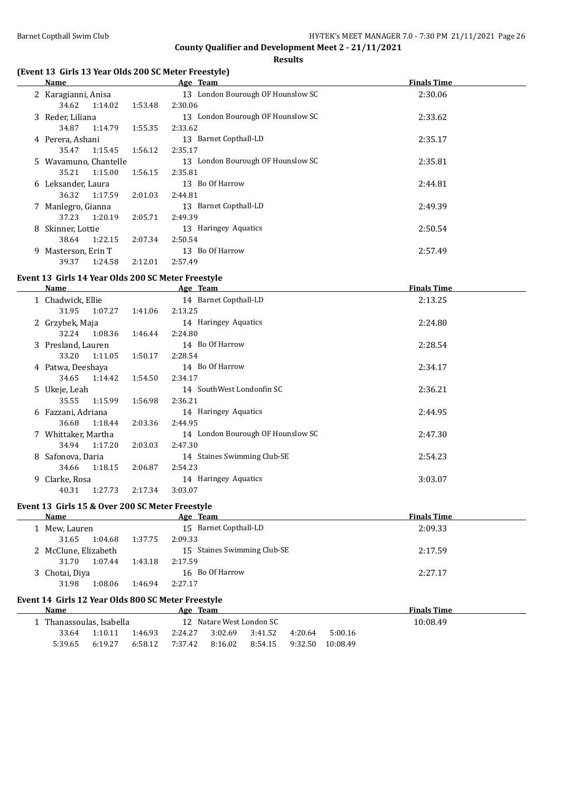**Results**

# **(Event 13 Girls 13 Year Olds 200 SC Meter Freestyle)**

|                     | Name                  |         |                                   | Age Team                          | <b>Finals Time</b> |
|---------------------|-----------------------|---------|-----------------------------------|-----------------------------------|--------------------|
| 2 Karagianni, Anisa |                       |         | 13 London Bourough OF Hounslow SC | 2:30.06                           |                    |
|                     | 34.62                 | 1:14.02 | 1:53.48                           | 2:30.06                           |                    |
|                     | 3 Reder, Liliana      |         |                                   | 13 London Bourough OF Hounslow SC | 2:33.62            |
|                     | 34.87                 | 1:14.79 | 1:55.35                           | 2:33.62                           |                    |
|                     | 4 Perera, Ashani      |         |                                   | 13 Barnet Copthall-LD             | 2:35.17            |
|                     | 35.47                 | 1:15.45 | 1:56.12                           | 2:35.17                           |                    |
|                     | 5 Wavamuno, Chantelle |         |                                   | 13 London Bourough OF Hounslow SC | 2:35.81            |
|                     | 35.21                 | 1:15.00 | 1:56.15                           | 2:35.81                           |                    |
|                     | 6 Leksander, Laura    |         |                                   | 13 Bo Of Harrow                   | 2:44.81            |
|                     | 36.32                 | 1:17.59 | 2:01.03                           | 2:44.81                           |                    |
|                     | 7 Manlegro, Gianna    |         |                                   | 13 Barnet Copthall-LD             | 2:49.39            |
|                     | 37.23                 | 1:20.19 | 2:05.71                           | 2:49.39                           |                    |
|                     | 8 Skinner, Lottie     |         |                                   | 13 Haringey Aquatics              | 2:50.54            |
|                     | 38.64                 | 1:22.15 | 2:07.34                           | 2:50.54                           |                    |
| 9.                  | Masterson, Erin T     |         |                                   | 13 Bo Of Harrow                   | 2:57.49            |
|                     | 39.37                 | 1:24.58 | 2:12.01                           | 2:57.49                           |                    |

## **Event 13 Girls 14 Year Olds 200 SC Meter Freestyle**

|    | Name               |         | Age Team                          | <b>Finals Time</b> |
|----|--------------------|---------|-----------------------------------|--------------------|
|    | 1 Chadwick, Ellie  |         | 14 Barnet Copthall-LD             | 2:13.25            |
|    | 1:07.27<br>31.95   | 1:41.06 | 2:13.25                           |                    |
|    | 2 Grzybek, Maja    |         | 14 Haringey Aquatics              | 2:24.80            |
|    | 1:08.36<br>32.24   | 1:46.44 | 2:24.80                           |                    |
|    | 3 Presland, Lauren |         | 14 Bo Of Harrow                   | 2:28.54            |
|    | 33.20<br>1:11.05   | 1:50.17 | 2:28.54                           |                    |
|    | 4 Patwa, Deeshaya  |         | 14 Bo Of Harrow                   | 2:34.17            |
|    | 34.65<br>1:14.42   | 1:54.50 | 2:34.17                           |                    |
|    | 5 Ukeje, Leah      |         | 14 SouthWest Londonfin SC         | 2:36.21            |
|    | 35.55<br>1:15.99   | 1:56.98 | 2:36.21                           |                    |
| 6  | Fazzani, Adriana   |         | 14 Haringey Aquatics              | 2:44.95            |
|    | 36.68<br>1:18.44   | 2:03.36 | 2:44.95                           |                    |
|    | Whittaker, Martha  |         | 14 London Bourough OF Hounslow SC | 2:47.30            |
|    | 1:17.20<br>34.94   | 2:03.03 | 2:47.30                           |                    |
| 8  | Safonova, Daria    |         | 14 Staines Swimming Club-SE       | 2:54.23            |
|    | 1:18.15<br>34.66   | 2:06.87 | 2:54.23                           |                    |
| 9. | Clarke, Rosa       |         | 14 Haringey Aquatics              | 3:03.07            |
|    | 40.31<br>1:27.73   | 2:17.34 | 3:03.07                           |                    |

## **Event 13 Girls 15 & Over 200 SC Meter Freestyle**

L.

| <b>Name</b>          |         | Age Team                    | <b>Finals Time</b> |
|----------------------|---------|-----------------------------|--------------------|
| Mew, Lauren          |         | 15 Barnet Copthall-LD       | 2:09.33            |
| 1:04.68<br>31.65     | 1:37.75 | 2:09.33                     |                    |
| 2 McClune, Elizabeth |         | 15 Staines Swimming Club-SE | 2:17.59            |
| 1:07.44<br>31.70     | 1:43.18 | 2:17.59                     |                    |
| 3 Chotai, Diya       |         | 16 Bo Of Harrow             | 2:27.17            |
| 31.98<br>1:08.06     | 1:46.94 | 2:27.17                     |                    |
|                      |         |                             |                    |

# **Event 14 Girls 12 Year Olds 800 SC Meter Freestyle**

| <b>Name</b> | <b>Team</b><br>Age     |         |         |         |                          | <b>Finals Time</b> |          |          |
|-------------|------------------------|---------|---------|---------|--------------------------|--------------------|----------|----------|
|             | Thanassoulas, Isabella |         |         |         | 12 Natare West London SC |                    |          | 10:08.49 |
| 33.64       | 1:10.11                | 1:46.93 | 2:24.27 | 3:02.69 | 3:41.52                  | 4:20.64            | 5:00.16  |          |
| 5:39.65     | 6:19.27                | 6:58.12 | 7:37.42 | 8:16.02 | 8:54.15                  | 9:32.50            | 10:08.49 |          |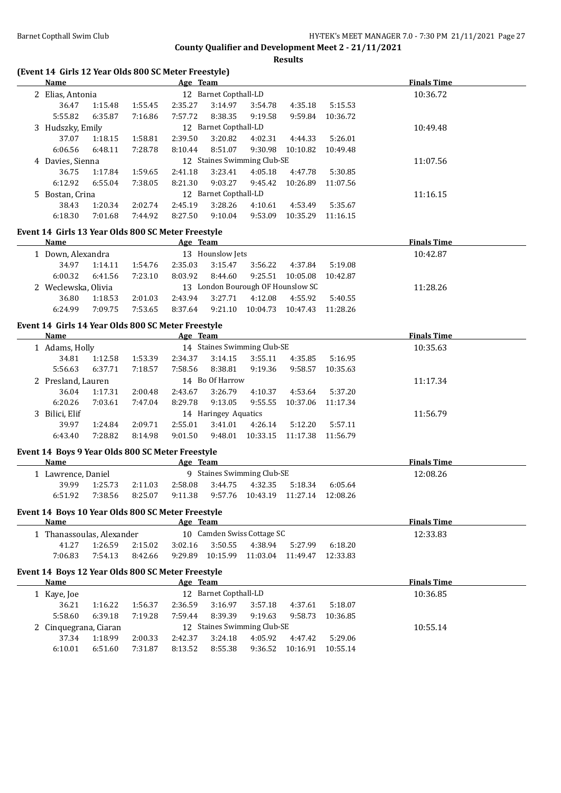**Results**

#### **(Event 14 Girls 12 Year Olds 800 SC Meter Freestyle)**

| Name             |         |         | Age Team |                             |         |          |          | <b>Finals Time</b> |
|------------------|---------|---------|----------|-----------------------------|---------|----------|----------|--------------------|
| 2 Elias, Antonia |         |         | 12       | <b>Barnet Copthall-LD</b>   |         |          |          | 10:36.72           |
| 36.47            | 1:15.48 | 1:55.45 | 2:35.27  | 3:14.97                     | 3:54.78 | 4:35.18  | 5:15.53  |                    |
| 5:55.82          | 6:35.87 | 7:16.86 | 7:57.72  | 8:38.35                     | 9:19.58 | 9:59.84  | 10:36.72 |                    |
| 3 Hudszky, Emily |         |         | 12       | Barnet Copthall-LD          |         |          |          | 10:49.48           |
| 37.07            | 1:18.15 | 1:58.81 | 2:39.50  | 3:20.82                     | 4:02.31 | 4:44.33  | 5:26.01  |                    |
| 6:06.56          | 6:48.11 | 7:28.78 | 8:10.44  | 8:51.07                     | 9:30.98 | 10:10.82 | 10:49.48 |                    |
| 4 Davies, Sienna |         |         |          | 12 Staines Swimming Club-SE |         |          |          | 11:07.56           |
| 36.75            | 1:17.84 | 1:59.65 | 2:41.18  | 3:23.41                     | 4:05.18 | 4:47.78  | 5:30.85  |                    |
| 6:12.92          | 6:55.04 | 7:38.05 | 8:21.30  | 9:03.27                     | 9:45.42 | 10:26.89 | 11:07.56 |                    |
| 5 Bostan, Crina  |         |         |          | 12 Barnet Copthall-LD       |         |          |          | 11:16.15           |
| 38.43            | 1:20.34 | 2:02.74 | 2:45.19  | 3:28.26                     | 4:10.61 | 4:53.49  | 5:35.67  |                    |
| 6:18.30          | 7:01.68 | 7:44.92 | 8:27.50  | 9:10.04                     | 9:53.09 | 10:35.29 | 11:16.15 |                    |

## **Event 14 Girls 13 Year Olds 800 SC Meter Freestyle**

| Name                |         |         | Age Team         |         |          |                                   |          | <b>Finals Time</b> |  |  |
|---------------------|---------|---------|------------------|---------|----------|-----------------------------------|----------|--------------------|--|--|
| 1 Down, Alexandra   |         |         | 13 Hounslow Jets |         |          |                                   |          | 10:42.87           |  |  |
| 34.97               | 1:14.11 | 1:54.76 | 2:35.03          | 3:15.47 | 3:56.22  | 4:37.84                           | 5:19.08  |                    |  |  |
| 6:00.32             | 6:41.56 | 7:23.10 | 8:03.92          | 8:44.60 | 9:25.51  | 10:05.08                          | 10:42.87 |                    |  |  |
| 2 Weclewska, Olivia |         |         |                  |         |          | 13 London Bourough OF Hounslow SC |          | 11:28.26           |  |  |
| 36.80               | 1:18.53 | 2:01.03 | 2:43.94          | 3:27.71 | 4:12.08  | 4:55.92                           | 5:40.55  |                    |  |  |
| 6:24.99             | 7:09.75 | 7:53.65 | 8:37.64          | 9:21.10 | 10:04.73 | 10:47.43                          | 11:28.26 |                    |  |  |
|                     |         |         |                  |         |          |                                   |          |                    |  |  |

#### **Event 14 Girls 14 Year Olds 800 SC Meter Freestyle**

| Name               |         |         | Age Team |                      |                             |          |          | <b>Finals Time</b> |
|--------------------|---------|---------|----------|----------------------|-----------------------------|----------|----------|--------------------|
| Adams, Holly       |         |         |          |                      | 14 Staines Swimming Club-SE |          | 10:35.63 |                    |
| 34.81              | 1:12.58 | 1:53.39 | 2:34.37  | 3:14.15              | 3:55.11                     | 4:35.85  | 5:16.95  |                    |
| 5:56.63            | 6:37.71 | 7:18.57 | 7:58.56  | 8:38.81              | 9:19.36                     | 9:58.57  | 10:35.63 |                    |
| 2 Presland, Lauren |         |         |          | 14 Bo Of Harrow      |                             |          |          | 11:17.34           |
| 36.04              | 1:17.31 | 2:00.48 | 2:43.67  | 3:26.79              | 4:10.37                     | 4:53.64  | 5:37.20  |                    |
| 6:20.26            | 7:03.61 | 7:47.04 | 8:29.78  | 9:13.05              | 9:55.55                     | 10:37.06 | 11:17.34 |                    |
| 3 Bilici, Elif     |         |         |          | 14 Haringey Aquatics |                             |          |          | 11:56.79           |
| 39.97              | 1:24.84 | 2:09.71 | 2:55.01  | 3:41.01              | 4:26.14                     | 5:12.20  | 5:57.11  |                    |
| 6:43.40            | 7:28.82 | 8:14.98 | 9:01.50  | 9:48.01              | 10:33.15                    | 11:17.38 | 11:56.79 |                    |
|                    |         |         |          |                      |                             |          |          |                    |

## **Event 14 Boys 9 Year Olds 800 SC Meter Freestyle**

| <b>Name</b>        |         |         | Age Team |         |                            |         |         | <b>Finals Time</b> |
|--------------------|---------|---------|----------|---------|----------------------------|---------|---------|--------------------|
| 1 Lawrence, Daniel |         |         |          |         | 9 Staines Swimming Club-SE |         |         | 12:08.26           |
| 39.99              | 1:25.73 | 2:11.03 | 2:58.08  | 3:44.75 | 4:32.35                    | 5:18.34 | 6:05.64 |                    |
| 6:51.92            | 7:38.56 | 8:25.07 | 9:11.38  | 9:57.76 | 10:43.19 11:27.14 12:08.26 |         |         |                    |

#### **Event 14 Boys 10 Year Olds 800 SC Meter Freestyle**

| <b>Name</b> |                         |         | Age Team |          |                            |  |          | <b>Finals Time</b> |
|-------------|-------------------------|---------|----------|----------|----------------------------|--|----------|--------------------|
|             | Thanassoulas, Alexander |         |          |          | 10 Camden Swiss Cottage SC |  | 12:33.83 |                    |
| 41.27       | 1:26.59                 | 2:15.02 | 3:02.16  | 3:50.55  | 4:38.94 5:27.99            |  | 6:18.20  |                    |
| 7:06.83     | 7:54.13                 | 8:42.66 | 9:29.89  | 10:15.99 | 11:03.04 11:49.47 12:33.83 |  |          |                    |

## **Event 14 Boys 12 Year Olds 800 SC Meter Freestyle**

| Name                  |         |         | Age Team |                             |         |          |          | <b>Finals Time</b> |
|-----------------------|---------|---------|----------|-----------------------------|---------|----------|----------|--------------------|
| Kaye, Joe             |         |         |          | 12 Barnet Copthall-LD       |         |          | 10:36.85 |                    |
| 36.21                 | 1:16.22 | 1:56.37 | 2:36.59  | 3:16.97                     | 3:57.18 | 4:37.61  | 5:18.07  |                    |
| 5:58.60               | 6:39.18 | 7:19.28 | 7:59.44  | 8:39.39                     | 9:19.63 | 9:58.73  | 10:36.85 |                    |
| 2 Cinquegrana, Ciaran |         |         |          | 12 Staines Swimming Club-SE |         |          |          | 10:55.14           |
| 37.34                 | 1:18.99 | 2:00.33 | 2:42.37  | 3:24.18                     | 4:05.92 | 4:47.42  | 5:29.06  |                    |
| 6:10.01               | 6:51.60 | 7:31.87 | 8:13.52  | 8:55.38                     | 9:36.52 | 10:16.91 | 10:55.14 |                    |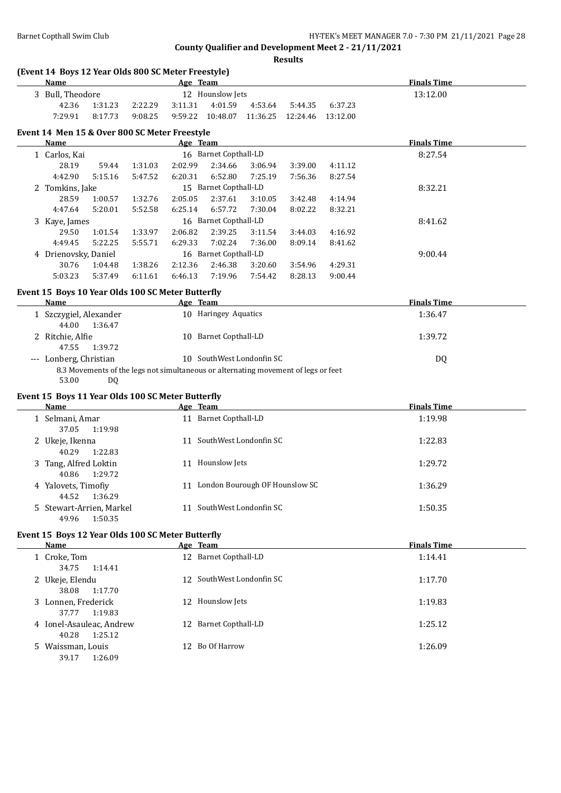| (Event 14 Boys 12 Year Olds 800 SC Meter Freestyle)<br>Name |         |         |         | Age Team                                                                                                        |         |                              |         | <b>Finals Time</b> |  |
|-------------------------------------------------------------|---------|---------|---------|-----------------------------------------------------------------------------------------------------------------|---------|------------------------------|---------|--------------------|--|
| 3 Bull, Theodore                                            |         |         |         | 12 Hounslow Jets                                                                                                |         |                              |         | 13:12.00           |  |
| 42.36                                                       | 1:31.23 | 2:22.29 | 3:11.31 | 4:01.59                                                                                                         | 4:53.64 | 5:44.35                      | 6:37.23 |                    |  |
| 7:29.91                                                     | 8:17.73 | 9:08.25 | 9:59.22 | 10:48.07                                                                                                        |         | 11:36.25  12:24.46  13:12.00 |         |                    |  |
| Event 14 Men 15 & Over 800 SC Meter Freestyle               |         |         |         |                                                                                                                 |         |                              |         |                    |  |
| Name                                                        |         |         |         | Age Team                                                                                                        |         |                              |         | <b>Finals Time</b> |  |
| 1 Carlos, Kai                                               |         |         |         | 16 Barnet Copthall-LD                                                                                           |         |                              |         | 8:27.54            |  |
| 28.19                                                       | 59.44   | 1:31.03 | 2:02.99 | 2:34.66                                                                                                         | 3:06.94 | 3:39.00                      | 4:11.12 |                    |  |
| 4:42.90                                                     | 5:15.16 | 5:47.52 | 6:20.31 | 6:52.80                                                                                                         | 7:25.19 | 7:56.36                      | 8:27.54 |                    |  |
| 2 Tomkins, Jake                                             |         |         |         | 15 Barnet Copthall-LD                                                                                           |         |                              |         | 8:32.21            |  |
| 28.59                                                       | 1:00.57 | 1:32.76 | 2:05.05 | 2:37.61                                                                                                         | 3:10.05 | 3:42.48                      | 4:14.94 |                    |  |
| 4:47.64                                                     | 5:20.01 | 5:52.58 | 6:25.14 | 6:57.72                                                                                                         | 7:30.04 | 8:02.22                      | 8:32.21 |                    |  |
| 3 Kaye, James                                               |         |         |         | 16 Barnet Copthall-LD                                                                                           |         |                              |         | 8:41.62            |  |
| 29.50                                                       | 1:01.54 | 1:33.97 | 2:06.82 | 2:39.25                                                                                                         | 3:11.54 | 3:44.03                      | 4:16.92 |                    |  |
| 4:49.45                                                     | 5:22.25 | 5:55.71 | 6:29.33 | 7:02.24                                                                                                         | 7:36.00 | 8:09.14                      | 8:41.62 |                    |  |
| 4 Drienovsky, Daniel                                        |         |         |         | 16 Barnet Copthall-LD                                                                                           |         |                              |         | 9:00.44            |  |
| 30.76                                                       | 1:04.48 | 1:38.26 | 2:12.36 | 2:46.38                                                                                                         | 3:20.60 | 3:54.96                      | 4:29.31 |                    |  |
| 5:03.23                                                     | 5:37.49 | 6:11.61 | 6:46.13 | 7:19.96                                                                                                         | 7:54.42 | 8:28.13                      | 9:00.44 |                    |  |
|                                                             |         |         |         |                                                                                                                 |         |                              |         |                    |  |
| Event 15 Boys 10 Year Olds 100 SC Meter Butterfly<br>Name   |         |         |         |                                                                                                                 |         |                              |         | <b>Finals Time</b> |  |
|                                                             |         |         |         | Age Team                                                                                                        |         |                              |         |                    |  |
| 1 Szczygiel, Alexander<br>44.00                             | 1:36.47 |         |         | 10 Haringey Aquatics                                                                                            |         |                              |         | 1:36.47            |  |
|                                                             |         |         |         |                                                                                                                 |         |                              |         |                    |  |
| 2 Ritchie, Alfie<br>47.55                                   | 1:39.72 |         |         | 10 Barnet Copthall-LD                                                                                           |         |                              |         | 1:39.72            |  |
| --- Lonberg, Christian<br>53.00                             | DQ      |         |         | 10 SouthWest Londonfin SC<br>8.3 Movements of the legs not simultaneous or alternating movement of legs or feet |         |                              |         | DQ                 |  |
| Event 15 Boys 11 Year Olds 100 SC Meter Butterfly           |         |         |         |                                                                                                                 |         |                              |         |                    |  |
| Name                                                        |         |         |         | Age Team                                                                                                        |         |                              |         | <b>Finals Time</b> |  |
| 1 Selmani, Amar<br>37.05                                    | 1:19.98 |         |         | 11 Barnet Copthall-LD                                                                                           |         |                              |         | 1:19.98            |  |
| 2 Ukeje, Ikenna<br>40.29                                    | 1:22.83 |         |         | 11 SouthWest Londonfin SC                                                                                       |         |                              |         | 1:22.83            |  |
| 3 Tang, Alfred Loktin<br>40.86                              | 1:29.72 |         |         | 11 Hounslow Jets                                                                                                |         |                              |         | 1:29.72            |  |
| 4 Yalovets, Timofiy<br>44.52                                | 1:36.29 |         |         | 11 London Bourough OF Hounslow SC                                                                               |         |                              |         | 1:36.29            |  |
| 5 Stewart-Arrien, Markel<br>49.96                           | 1:50.35 |         |         | 11 SouthWest Londonfin SC                                                                                       |         |                              |         | 1:50.35            |  |
| Event 15 Boys 12 Year Olds 100 SC Meter Butterfly           |         |         |         |                                                                                                                 |         |                              |         |                    |  |
| <b>Name</b>                                                 |         |         |         | Age Team                                                                                                        |         |                              |         | <b>Finals Time</b> |  |
| 1 Croke, Tom<br>34.75                                       | 1:14.41 |         |         | 12 Barnet Copthall-LD                                                                                           |         |                              |         | 1:14.41            |  |
| 2 Ukeje, Elendu<br>38.08                                    | 1:17.70 |         |         | 12 SouthWest Londonfin SC                                                                                       |         |                              |         | 1:17.70            |  |
| 3 Lonnen, Frederick<br>37.77                                | 1:19.83 |         |         | 12 Hounslow Jets                                                                                                |         |                              |         | 1:19.83            |  |
| 4 Ionel-Asauleac, Andrew<br>40.28                           | 1:25.12 |         |         | 12 Barnet Copthall-LD                                                                                           |         |                              |         | 1:25.12            |  |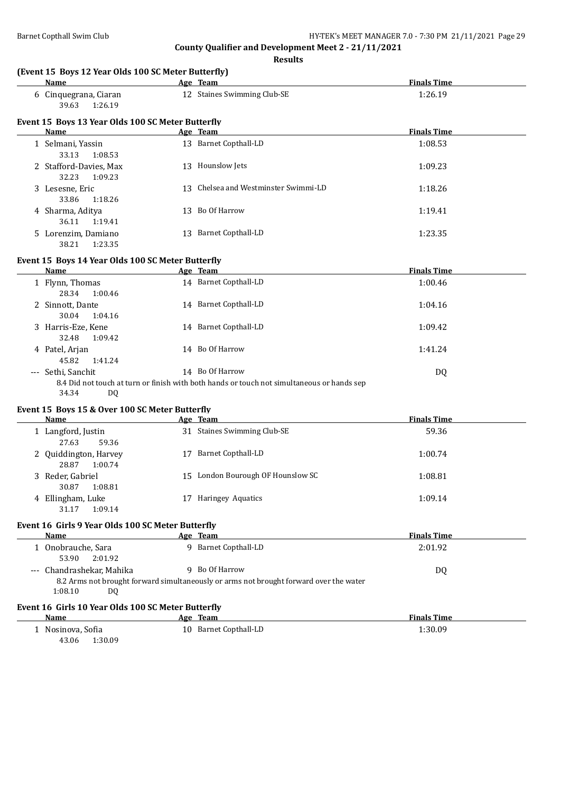| Name                                               | Age Team                                                                                                      | <b>Finals Time</b> |
|----------------------------------------------------|---------------------------------------------------------------------------------------------------------------|--------------------|
| 6 Cinquegrana, Ciaran<br>1:26.19<br>39.63          | 12 Staines Swimming Club-SE                                                                                   | 1:26.19            |
| Event 15 Boys 13 Year Olds 100 SC Meter Butterfly  |                                                                                                               |                    |
| <b>Name</b>                                        | Age Team                                                                                                      | <b>Finals Time</b> |
| 1 Selmani, Yassin<br>33.13<br>1:08.53              | 13 Barnet Copthall-LD                                                                                         | 1:08.53            |
| 2 Stafford-Davies, Max<br>32.23<br>1:09.23         | 13 Hounslow Jets                                                                                              | 1:09.23            |
| 3 Lesesne, Eric<br>33.86<br>1:18.26                | 13 Chelsea and Westminster Swimmi-LD                                                                          | 1:18.26            |
| 4 Sharma, Aditya<br>36.11<br>1:19.41               | 13 Bo Of Harrow                                                                                               | 1:19.41            |
| 5 Lorenzim, Damiano<br>38.21<br>1:23.35            | 13 Barnet Copthall-LD                                                                                         | 1:23.35            |
| Event 15 Boys 14 Year Olds 100 SC Meter Butterfly  |                                                                                                               |                    |
| Name                                               | Age Team                                                                                                      | <b>Finals Time</b> |
| 1 Flynn, Thomas<br>28.34<br>1:00.46                | 14 Barnet Copthall-LD                                                                                         | 1:00.46            |
| 2 Sinnott, Dante<br>30.04<br>1:04.16               | 14 Barnet Copthall-LD                                                                                         | 1:04.16            |
| 3 Harris-Eze, Kene<br>32.48<br>1:09.42             | 14 Barnet Copthall-LD                                                                                         | 1:09.42            |
| 4 Patel, Arjan<br>45.82<br>1:41.24                 | 14 Bo Of Harrow                                                                                               | 1:41.24            |
| --- Sethi, Sanchit<br>34.34<br><b>DQ</b>           | 14 Bo Of Harrow<br>8.4 Did not touch at turn or finish with both hands or touch not simultaneous or hands sep | DQ                 |
| Event 15 Boys 15 & Over 100 SC Meter Butterfly     |                                                                                                               |                    |
| <b>Name</b>                                        | Age Team                                                                                                      | <b>Finals Time</b> |
| 1 Langford, Justin<br>27.63<br>59.36               | 31 Staines Swimming Club-SE                                                                                   | 59.36              |
| 2 Quiddington, Harvey<br>28.87<br>1:00.74          | 17 Barnet Copthall-LD                                                                                         | 1:00.74            |
| 3 Reder, Gabriel<br>30.87<br>1:08.81               | 15 London Bourough OF Hounslow SC                                                                             | 1:08.81            |
| 4 Ellingham, Luke<br>31.17<br>1:09.14              | 17 Haringey Aquatics                                                                                          | 1:09.14            |
| Event 16 Girls 9 Year Olds 100 SC Meter Butterfly  |                                                                                                               |                    |
| Name                                               | Age Team                                                                                                      | <b>Finals Time</b> |
| 1 Onobrauche, Sara<br>53.90<br>2:01.92             | 9 Barnet Copthall-LD                                                                                          | 2:01.92            |
| --- Chandrashekar, Mahika                          | 9 Bo Of Harrow                                                                                                | <b>DQ</b>          |
| 1:08.10<br>DQ.                                     | 8.2 Arms not brought forward simultaneously or arms not brought forward over the water                        |                    |
| Event 16 Girls 10 Year Olds 100 SC Meter Butterfly |                                                                                                               |                    |
| Name                                               | Age Team                                                                                                      | <b>Finals Time</b> |
| 1 Nosinova, Sofia                                  | 10 Barnet Copthall-LD                                                                                         | 1:30.09            |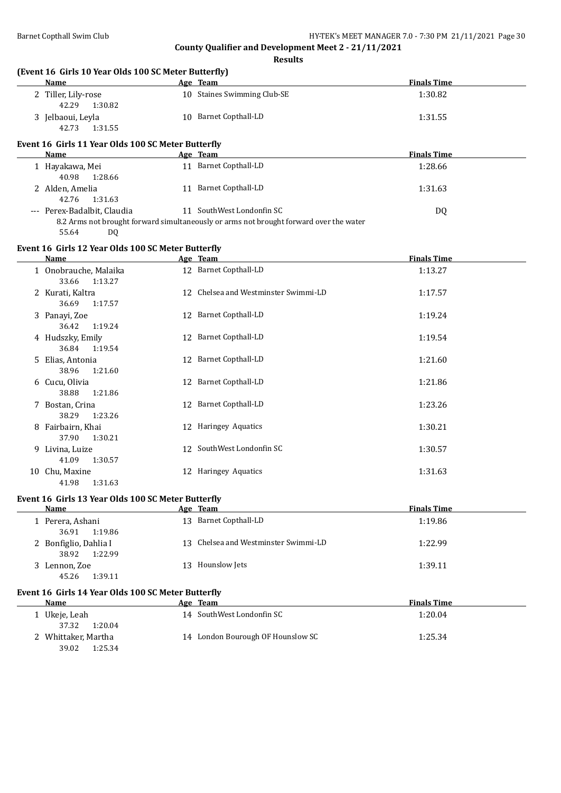39.02 1:25.34

**County Qualifier and Development Meet 2 - 21/11/2021**

| (Event 16 Girls 10 Year Olds 100 SC Meter Butterfly)<br><b>Name</b> | Age Team                                                                               | <b>Finals Time</b> |
|---------------------------------------------------------------------|----------------------------------------------------------------------------------------|--------------------|
| 2 Tiller, Lily-rose                                                 | 10 Staines Swimming Club-SE                                                            | 1:30.82            |
| 42.29<br>1:30.82                                                    |                                                                                        |                    |
| 3 Jelbaoui, Leyla                                                   | 10 Barnet Copthall-LD                                                                  | 1:31.55            |
| 42.73<br>1:31.55                                                    |                                                                                        |                    |
| Event 16 Girls 11 Year Olds 100 SC Meter Butterfly                  |                                                                                        |                    |
| Name                                                                | Age Team                                                                               | <b>Finals Time</b> |
| 1 Hayakawa, Mei<br>40.98<br>1:28.66                                 | 11 Barnet Copthall-LD                                                                  | 1:28.66            |
| 2 Alden, Amelia<br>42.76<br>1:31.63                                 | 11 Barnet Copthall-LD                                                                  | 1:31.63            |
| --- Perex-Badalbit, Claudia                                         | 11 SouthWest Londonfin SC                                                              | DQ                 |
| 55.64<br>DQ                                                         | 8.2 Arms not brought forward simultaneously or arms not brought forward over the water |                    |
| Event 16 Girls 12 Year Olds 100 SC Meter Butterfly                  |                                                                                        |                    |
| Name                                                                | Age Team                                                                               | <b>Finals Time</b> |
| 1 Onobrauche, Malaika<br>33.66<br>1:13.27                           | 12 Barnet Copthall-LD                                                                  | 1:13.27            |
| 2 Kurati, Kaltra<br>36.69<br>1:17.57                                | 12 Chelsea and Westminster Swimmi-LD                                                   | 1:17.57            |
| 3 Panayi, Zoe<br>36.42<br>1:19.24                                   | 12 Barnet Copthall-LD                                                                  | 1:19.24            |
| 4 Hudszky, Emily<br>36.84<br>1:19.54                                | 12 Barnet Copthall-LD                                                                  | 1:19.54            |
| 5 Elias, Antonia<br>38.96<br>1:21.60                                | 12 Barnet Copthall-LD                                                                  | 1:21.60            |
| 6 Cucu, Olivia<br>38.88<br>1:21.86                                  | 12 Barnet Copthall-LD                                                                  | 1:21.86            |
| 7 Bostan, Crina<br>38.29<br>1:23.26                                 | 12 Barnet Copthall-LD                                                                  | 1:23.26            |
| 8 Fairbairn, Khai<br>37.90<br>1:30.21                               | 12 Haringey Aquatics                                                                   | 1:30.21            |
| 9 Livina, Luize<br>41.09<br>1:30.57                                 | 12 SouthWest Londonfin SC                                                              | 1:30.57            |
| 10 Chu, Maxine<br>41.98<br>1:31.63                                  | 12 Haringey Aquatics                                                                   | 1:31.63            |
| Event 16 Girls 13 Year Olds 100 SC Meter Butterfly                  |                                                                                        |                    |
| Name                                                                | Age Team                                                                               | <b>Finals Time</b> |
| 1 Perera, Ashani<br>36.91<br>1:19.86                                | 13 Barnet Copthall-LD                                                                  | 1:19.86            |
| 2 Bonfiglio, Dahlia I<br>38.92<br>1:22.99                           | 13 Chelsea and Westminster Swimmi-LD                                                   | 1:22.99            |
| 3 Lennon, Zoe<br>45.26<br>1:39.11                                   | 13 Hounslow Jets                                                                       | 1:39.11            |
| Event 16 Girls 14 Year Olds 100 SC Meter Butterfly                  |                                                                                        |                    |
| <b>Name</b>                                                         | Age Team                                                                               | <b>Finals Time</b> |
| 1 Ukeje, Leah<br>37.32<br>1:20.04                                   | 14 SouthWest Londonfin SC                                                              | 1:20.04            |
| 2 Whittaker, Martha                                                 | 14 London Bourough OF Hounslow SC                                                      | 1:25.34            |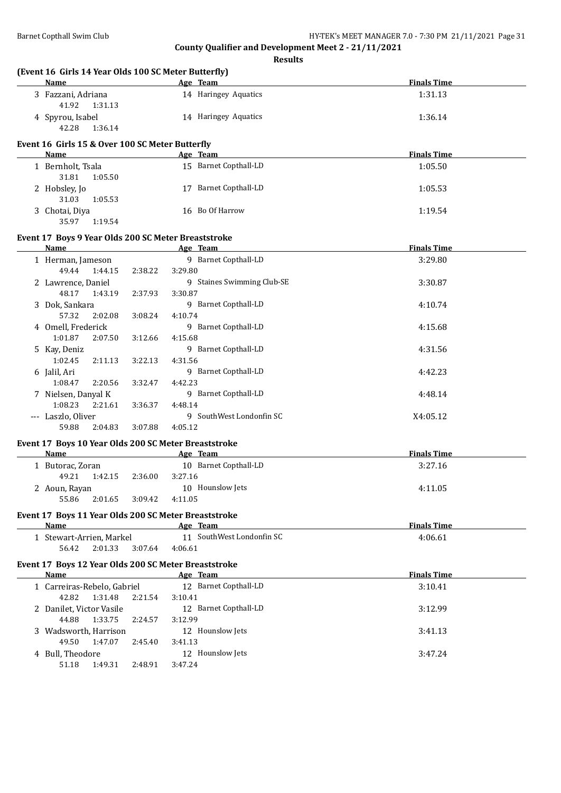**County Qualifier and Development Meet 2 - 21/11/2021 Results**

| (Event 16 Girls 14 Year Olds 100 SC Meter Butterfly)<br>Name |                    | Age Team                   | <b>Finals Time</b> |
|--------------------------------------------------------------|--------------------|----------------------------|--------------------|
| 3 Fazzani, Adriana                                           |                    | 14 Haringey Aquatics       | 1:31.13            |
| 41.92<br>1:31.13                                             |                    |                            |                    |
| 4 Spyrou, Isabel                                             |                    | 14 Haringey Aquatics       | 1:36.14            |
| 42.28<br>1:36.14                                             |                    |                            |                    |
| Event 16 Girls 15 & Over 100 SC Meter Butterfly              |                    |                            |                    |
| Name                                                         |                    | Age Team                   | <b>Finals Time</b> |
| 1 Bernholt, Tsala                                            |                    | 15 Barnet Copthall-LD      | 1:05.50            |
| 31.81<br>1:05.50                                             |                    |                            |                    |
| 2 Hobsley, Jo                                                |                    | 17 Barnet Copthall-LD      | 1:05.53            |
| 31.03<br>1:05.53                                             |                    |                            |                    |
| 3 Chotai, Diya                                               |                    | 16 Bo Of Harrow            | 1:19.54            |
| 35.97<br>1:19.54                                             |                    |                            |                    |
| Event 17 Boys 9 Year Olds 200 SC Meter Breaststroke          |                    |                            |                    |
| Name                                                         |                    | Age Team                   | <b>Finals Time</b> |
| 1 Herman, Jameson                                            |                    | 9 Barnet Copthall-LD       | 3:29.80            |
| 49.44<br>1:44.15                                             | 3:29.80<br>2:38.22 |                            |                    |
| 2 Lawrence, Daniel                                           |                    | 9 Staines Swimming Club-SE | 3:30.87            |
| 48.17<br>1:43.19                                             | 3:30.87<br>2:37.93 |                            |                    |
| 3 Dok, Sankara                                               |                    | 9 Barnet Copthall-LD       | 4:10.74            |
| 57.32<br>2:02.08                                             | 4:10.74<br>3:08.24 |                            |                    |
| 4 Omell, Frederick                                           |                    | 9 Barnet Copthall-LD       | 4:15.68            |
| 1:01.87<br>2:07.50                                           | 4:15.68<br>3:12.66 |                            |                    |
| 5 Kay, Deniz                                                 |                    | 9 Barnet Copthall-LD       | 4:31.56            |
| 1:02.45<br>2:11.13                                           | 3:22.13<br>4:31.56 |                            |                    |
| 6 Jalil, Ari                                                 |                    | 9 Barnet Copthall-LD       | 4:42.23            |
| 1:08.47<br>2:20.56                                           | 3:32.47<br>4:42.23 |                            |                    |
| 7 Nielsen, Danyal K                                          |                    | 9 Barnet Copthall-LD       | 4:48.14            |
| 1:08.23<br>2:21.61                                           | 4:48.14<br>3:36.37 |                            |                    |
| --- Laszlo, Oliver                                           |                    | 9 SouthWest Londonfin SC   | X4:05.12           |
| 59.88<br>2:04.83                                             | 4:05.12<br>3:07.88 |                            |                    |
| Event 17 Boys 10 Year Olds 200 SC Meter Breaststroke         |                    |                            |                    |
| Name                                                         |                    | Age Team                   | <b>Finals Time</b> |
| 1 Butorac, Zoran                                             |                    | 10 Barnet Copthall-LD      | 3:27.16            |
| 49.21<br>1:42.15                                             | 3:27.16<br>2:36.00 |                            |                    |
| 2 Aoun, Rayan                                                |                    | 10 Hounslow Jets           | 4:11.05            |
| 55.86<br>2:01.65                                             | 3:09.42<br>4:11.05 |                            |                    |
| Event 17 Boys 11 Year Olds 200 SC Meter Breaststroke         |                    |                            |                    |
| Name                                                         |                    | Age Team                   | <b>Finals Time</b> |
|                                                              |                    |                            |                    |
| 1 Stewart-Arrien, Markel                                     |                    | 11 SouthWest Londonfin SC  | 4:06.61            |
| 56.42<br>2:01.33                                             | 3:07.64<br>4:06.61 |                            |                    |
|                                                              |                    |                            |                    |
| Event 17 Boys 12 Year Olds 200 SC Meter Breaststroke<br>Name |                    | Age Team                   | <b>Finals Time</b> |
| 1 Carreiras-Rebelo, Gabriel                                  |                    | 12 Barnet Copthall-LD      | 3:10.41            |
| 42.82<br>1:31.48                                             | 3:10.41<br>2:21.54 |                            |                    |
| 2 Danilet, Victor Vasile                                     |                    | 12 Barnet Copthall-LD      | 3:12.99            |
| 44.88<br>1:33.75                                             | 3:12.99<br>2:24.57 |                            |                    |
| 3 Wadsworth, Harrison                                        |                    | 12 Hounslow Jets           | 3:41.13            |
| 49.50<br>1:47.07                                             | 3:41.13<br>2:45.40 |                            |                    |
| 4 Bull, Theodore<br>51.18<br>1:49.31                         | 2:48.91<br>3:47.24 | 12 Hounslow Jets           | 3:47.24            |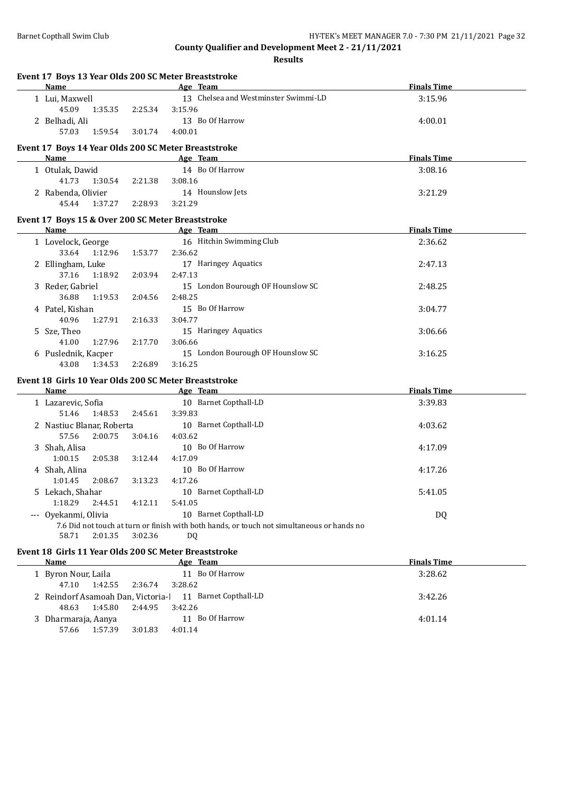**Event 17 Boys 13 Year Olds 200 SC Meter Breaststroke**

**County Qualifier and Development Meet 2 - 21/11/2021**

| Name                                                  |         |           | Age Team                                                                                   | <b>Finals Time</b> |
|-------------------------------------------------------|---------|-----------|--------------------------------------------------------------------------------------------|--------------------|
| 1 Lui, Maxwell                                        |         |           | 13 Chelsea and Westminster Swimmi-LD                                                       | 3:15.96            |
| 45.09<br>1:35.35                                      | 2:25.34 | 3:15.96   |                                                                                            |                    |
| 2 Belhadi, Ali                                        |         |           | 13 Bo Of Harrow                                                                            | 4:00.01            |
| 57.03<br>1:59.54                                      | 3:01.74 | 4:00.01   |                                                                                            |                    |
|                                                       |         |           |                                                                                            |                    |
| Event 17 Boys 14 Year Olds 200 SC Meter Breaststroke  |         |           |                                                                                            |                    |
| Name                                                  |         |           | Age Team                                                                                   | <b>Finals Time</b> |
| 1 Otulak, Dawid                                       |         |           | 14 Bo Of Harrow                                                                            | 3:08.16            |
| 41.73<br>1:30.54                                      | 2:21.38 | 3:08.16   |                                                                                            |                    |
| 2 Rabenda, Olivier                                    |         |           | 14 Hounslow Jets                                                                           | 3:21.29            |
| 45.44<br>1:37.27                                      | 2:28.93 | 3:21.29   |                                                                                            |                    |
|                                                       |         |           |                                                                                            |                    |
| Event 17 Boys 15 & Over 200 SC Meter Breaststroke     |         |           |                                                                                            |                    |
| Name                                                  |         |           | Age Team                                                                                   | <b>Finals Time</b> |
| 1 Lovelock, George                                    |         |           | 16 Hitchin Swimming Club                                                                   | 2:36.62            |
| 33.64<br>1:12.96                                      | 1:53.77 | 2:36.62   |                                                                                            |                    |
| 2 Ellingham, Luke                                     |         |           | 17 Haringey Aquatics                                                                       | 2:47.13            |
| 37.16<br>1:18.92                                      | 2:03.94 | 2:47.13   |                                                                                            |                    |
| 3 Reder, Gabriel                                      |         |           | 15 London Bourough OF Hounslow SC                                                          | 2:48.25            |
| 36.88<br>1:19.53                                      | 2:04.56 | 2:48.25   |                                                                                            |                    |
| 4 Patel, Kishan                                       |         |           | 15 Bo Of Harrow                                                                            | 3:04.77            |
| 40.96<br>1:27.91                                      | 2:16.33 | 3:04.77   |                                                                                            |                    |
| 5 Sze, Theo                                           |         |           | 15 Haringey Aquatics                                                                       | 3:06.66            |
| 1:27.96                                               |         |           |                                                                                            |                    |
| 41.00                                                 | 2:17.70 | 3:06.66   |                                                                                            |                    |
| 6 Puslednik, Kacper                                   |         |           | 15 London Bourough OF Hounslow SC                                                          | 3:16.25            |
| 43.08<br>1:34.53                                      | 2:26.89 | 3:16.25   |                                                                                            |                    |
| Event 18 Girls 10 Year Olds 200 SC Meter Breaststroke |         |           |                                                                                            |                    |
| <b>Name</b>                                           |         |           | Age Team                                                                                   | <b>Finals Time</b> |
| 1 Lazarevic, Sofia                                    |         |           | 10 Barnet Copthall-LD                                                                      | 3:39.83            |
| 51.46<br>1:48.53                                      | 2:45.61 | 3:39.83   |                                                                                            |                    |
| 2 Nastiuc Blanar, Roberta                             |         |           | 10 Barnet Copthall-LD                                                                      | 4:03.62            |
| 57.56<br>2:00.75                                      | 3:04.16 | 4:03.62   |                                                                                            |                    |
| 3 Shah, Alisa                                         |         |           | 10 Bo Of Harrow                                                                            | 4:17.09            |
| 1:00.15                                               |         | 4:17.09   |                                                                                            |                    |
| 2:05.38                                               | 3:12.44 |           |                                                                                            |                    |
| 4 Shah, Alina                                         |         |           | 10 Bo Of Harrow                                                                            | 4:17.26            |
| 1:01.45<br>2:08.67                                    | 3:13.23 | 4:17.26   |                                                                                            |                    |
| 5 Lekach, Shahar                                      |         |           | 10 Barnet Copthall-LD                                                                      | 5:41.05            |
| 1:18.29<br>2:44.51                                    | 4:12.11 | 5:41.05   |                                                                                            |                    |
| --- Oyekanmi, Olivia                                  |         |           | 10 Barnet Copthall-LD                                                                      | DQ                 |
|                                                       |         |           | 7.6 Did not touch at turn or finish with both hands, or touch not simultaneous or hands no |                    |
| 58.71<br>2:01.35                                      | 3:02.36 | <b>DQ</b> |                                                                                            |                    |
| Event 18 Girls 11 Year Olds 200 SC Meter Breaststroke |         |           |                                                                                            |                    |
| Name                                                  |         |           | Age Team                                                                                   | <b>Finals Time</b> |
|                                                       |         |           | 11 Bo Of Harrow                                                                            |                    |
| 1 Byron Nour, Laila                                   |         |           |                                                                                            | 3:28.62            |
| 47.10<br>1:42.55                                      | 2:36.74 | 3:28.62   |                                                                                            |                    |
| 2 Reindorf Asamoah Dan, Victoria-l                    |         |           | 11 Barnet Copthall-LD                                                                      | 3:42.26            |
| 48.63<br>1:45.80                                      | 2:44.95 | 3:42.26   |                                                                                            |                    |
| 3 Dharmaraja, Aanya                                   |         |           | 11 Bo Of Harrow                                                                            | 4:01.14            |
| 57.66<br>1:57.39                                      | 3:01.83 | 4:01.14   |                                                                                            |                    |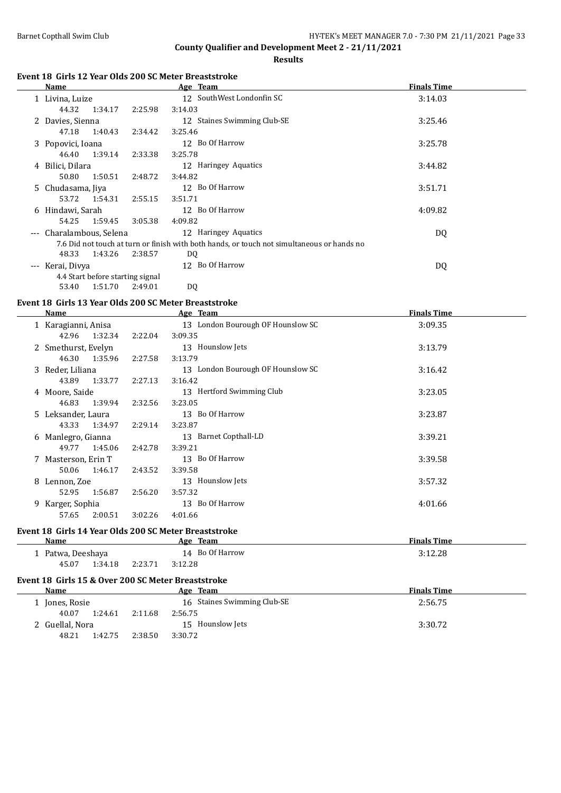**County Qualifier and Development Meet 2 - 21/11/2021 Results**

#### **Event 18 Girls 12 Year Olds 200 SC Meter Breaststroke**

|         | Name                 |                                  |         | Age Team                                                                                   | <b>Finals Time</b> |
|---------|----------------------|----------------------------------|---------|--------------------------------------------------------------------------------------------|--------------------|
|         | 1 Livina, Luize      |                                  |         | 12 SouthWest Londonfin SC                                                                  | 3:14.03            |
|         | 44.32                | 1:34.17                          | 2:25.98 | 3:14.03                                                                                    |                    |
|         | 2 Davies, Sienna     |                                  |         | 12 Staines Swimming Club-SE                                                                | 3:25.46            |
|         | 47.18                | 1:40.43                          | 2:34.42 | 3:25.46                                                                                    |                    |
|         | 3 Popovici, Ioana    |                                  |         | 12 Bo Of Harrow                                                                            | 3:25.78            |
|         | 46.40                | 1:39.14                          | 2:33.38 | 3:25.78                                                                                    |                    |
|         | 4 Bilici, Dilara     |                                  |         | 12 Haringey Aquatics                                                                       | 3:44.82            |
|         | 50.80                | 1:50.51                          | 2:48.72 | 3:44.82                                                                                    |                    |
|         | 5 Chudasama, Jiya    |                                  |         | 12 Bo Of Harrow                                                                            | 3:51.71            |
|         | 53.72                | 1:54.31                          | 2:55.15 | 3:51.71                                                                                    |                    |
|         | 6 Hindawi, Sarah     |                                  |         | 12 Bo Of Harrow                                                                            | 4:09.82            |
|         | 54.25                | 1:59.45                          | 3:05.38 | 4:09.82                                                                                    |                    |
| $- - -$ | Charalambous, Selena |                                  |         | 12 Haringey Aquatics                                                                       | DQ                 |
|         |                      |                                  |         | 7.6 Did not touch at turn or finish with both hands, or touch not simultaneous or hands no |                    |
|         | 48.33                | 1:43.26                          | 2:38.57 | DQ                                                                                         |                    |
| $---$   | Kerai, Divya         |                                  |         | 12 Bo Of Harrow                                                                            | DQ                 |
|         |                      | 4.4 Start before starting signal |         |                                                                                            |                    |
|         | 53.40                | 1:51.70                          | 2:49.01 | DQ                                                                                         |                    |

#### **Event 18 Girls 13 Year Olds 200 SC Meter Breaststroke**

|    | Name                |         | Age Team                          | <b>Finals Time</b> |
|----|---------------------|---------|-----------------------------------|--------------------|
|    | 1 Karagianni, Anisa |         | 13 London Bourough OF Hounslow SC | 3:09.35            |
|    | 1:32.34<br>42.96    | 2:22.04 | 3:09.35                           |                    |
|    | 2 Smethurst, Evelyn |         | 13 Hounslow Jets                  | 3:13.79            |
|    | 46.30<br>1:35.96    | 2:27.58 | 3:13.79                           |                    |
|    | 3 Reder, Liliana    |         | 13 London Bourough OF Hounslow SC | 3:16.42            |
|    | 1:33.77<br>43.89    | 2:27.13 | 3:16.42                           |                    |
|    | 4 Moore, Saide      |         | 13 Hertford Swimming Club         | 3:23.05            |
|    | 1:39.94<br>46.83    | 2:32.56 | 3:23.05                           |                    |
|    | 5 Leksander, Laura  |         | 13 Bo Of Harrow                   | 3:23.87            |
|    | 43.33<br>1:34.97    | 2:29.14 | 3:23.87                           |                    |
|    | 6 Manlegro, Gianna  |         | 13 Barnet Copthall-LD             | 3:39.21            |
|    | 1:45.06<br>49.77    | 2:42.78 | 3:39.21                           |                    |
|    | 7 Masterson, Erin T |         | 13 Bo Of Harrow                   | 3:39.58            |
|    | 50.06<br>1:46.17    | 2:43.52 | 3:39.58                           |                    |
| 8. | Lennon, Zoe         |         | 13 Hounslow Jets                  | 3:57.32            |
|    | 52.95<br>1:56.87    | 2:56.20 | 3:57.32                           |                    |
|    | 9 Karger, Sophia    |         | 13 Bo Of Harrow                   | 4:01.66            |
|    | 57.65<br>2:00.51    | 3:02.26 | 4:01.66                           |                    |

#### **Event 18 Girls 14 Year Olds 200 SC Meter Breaststroke**

48.21 1:42.75 2:38.50 3:30.72

| Name                                                          |         | Age Team                    | <b>Finals Time</b> |  |
|---------------------------------------------------------------|---------|-----------------------------|--------------------|--|
| 1 Patwa, Deeshaya                                             |         | 14 Bo Of Harrow             | 3:12.28            |  |
| 1:34.18<br>45.07                                              | 2:23.71 | 3:12.28                     |                    |  |
|                                                               |         |                             |                    |  |
| <b>Event 18 Girls 15 &amp; Over 200 SC Meter Breaststroke</b> |         |                             |                    |  |
| Name                                                          |         | Age Team                    | <b>Finals Time</b> |  |
| 1 Jones, Rosie                                                |         | 16 Staines Swimming Club-SE | 2:56.75            |  |

2 Guellal, Nora 15 Hounslow Jets 3:30.72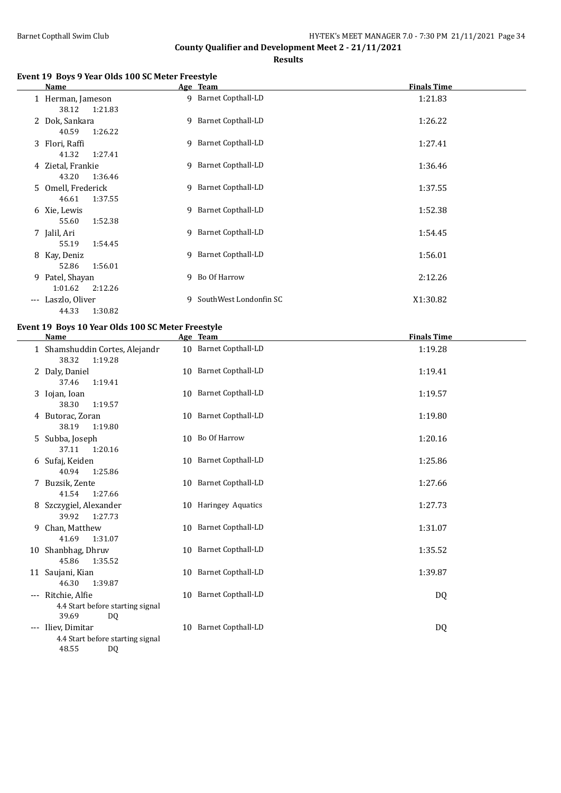**Results**

## **Event 19 Boys 9 Year Olds 100 SC Meter Freestyle**

|       | Name                                  | Age Team                 | <b>Finals Time</b> |
|-------|---------------------------------------|--------------------------|--------------------|
|       | 1 Herman, Jameson<br>38.12<br>1:21.83 | 9 Barnet Copthall-LD     | 1:21.83            |
|       | 2 Dok, Sankara<br>40.59<br>1:26.22    | 9 Barnet Copthall-LD     | 1:26.22            |
|       | 3 Flori, Raffi<br>41.32<br>1:27.41    | 9 Barnet Copthall-LD     | 1:27.41            |
|       | 4 Zietal, Frankie<br>43.20<br>1:36.46 | 9 Barnet Copthall-LD     | 1:36.46            |
| .5    | Omell, Frederick<br>46.61<br>1:37.55  | 9 Barnet Copthall-LD     | 1:37.55            |
|       | 6 Xie, Lewis<br>1:52.38<br>55.60      | 9 Barnet Copthall-LD     | 1:52.38            |
|       | 7 Jalil, Ari<br>55.19<br>1:54.45      | 9 Barnet Copthall-LD     | 1:54.45            |
|       | 8 Kay, Deniz<br>52.86<br>1:56.01      | 9 Barnet Copthall-LD     | 1:56.01            |
|       | 9 Patel, Shayan<br>1:01.62<br>2:12.26 | 9 Bo Of Harrow           | 2:12.26            |
| $---$ | Laszlo, Oliver<br>1:30.82<br>44.33    | 9 SouthWest Londonfin SC | X1:30.82           |

# **Event 19 Boys 10 Year Olds 100 SC Meter Freestyle**

|   | <b>Name</b>                                                            | Age Team              | <b>Finals Time</b> |
|---|------------------------------------------------------------------------|-----------------------|--------------------|
|   | 1 Shamshuddin Cortes, Alejandr<br>38.32<br>1:19.28                     | 10 Barnet Copthall-LD | 1:19.28            |
|   | 2 Daly, Daniel<br>37.46<br>1:19.41                                     | 10 Barnet Copthall-LD | 1:19.41            |
|   | 3 Iojan, Ioan<br>38.30<br>1:19.57                                      | 10 Barnet Copthall-LD | 1:19.57            |
|   | 4 Butorac, Zoran<br>38.19<br>1:19.80                                   | 10 Barnet Copthall-LD | 1:19.80            |
|   | 5 Subba, Joseph<br>37.11<br>1:20.16                                    | 10 Bo Of Harrow       | 1:20.16            |
|   | 6 Sufaj, Keiden<br>40.94<br>1:25.86                                    | 10 Barnet Copthall-LD | 1:25.86            |
|   | 7 Buzsik, Zente<br>41.54<br>1:27.66                                    | 10 Barnet Copthall-LD | 1:27.66            |
|   | 8 Szczygiel, Alexander<br>39.92<br>1:27.73                             | 10 Haringey Aquatics  | 1:27.73            |
| 9 | Chan, Matthew<br>41.69<br>1:31.07                                      | 10 Barnet Copthall-LD | 1:31.07            |
|   | 10 Shanbhag, Dhruv<br>45.86<br>1:35.52                                 | 10 Barnet Copthall-LD | 1:35.52            |
|   | 11 Saujani, Kian<br>46.30<br>1:39.87                                   | 10 Barnet Copthall-LD | 1:39.87            |
|   | --- Ritchie, Alfie<br>4.4 Start before starting signal<br>39.69<br>DQ. | 10 Barnet Copthall-LD | DQ                 |
|   | --- Iliev, Dimitar<br>4.4 Start before starting signal<br>48.55<br>DQ  | 10 Barnet Copthall-LD | DQ                 |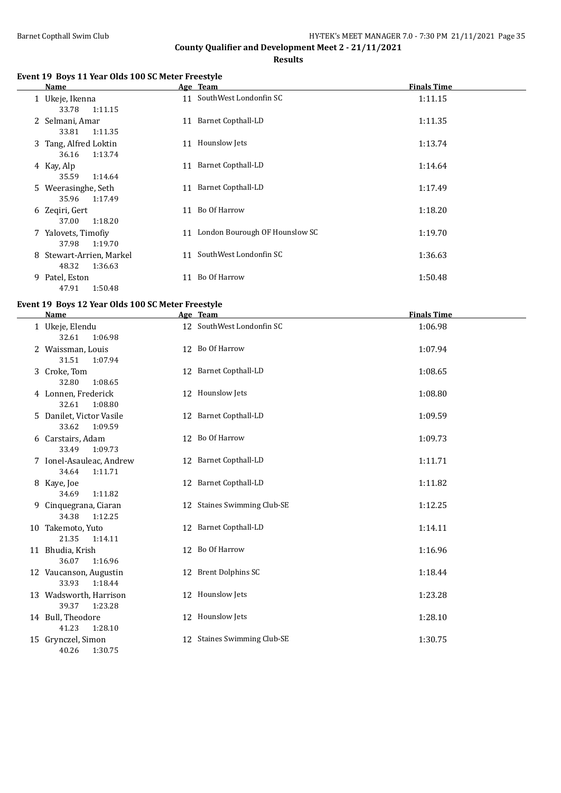**Results**

# **Event 19 Boys 11 Year Olds 100 SC Meter Freestyle**

| Name                                         |    | Age Team                          | <b>Finals Time</b> |
|----------------------------------------------|----|-----------------------------------|--------------------|
| 1 Ukeje, Ikenna<br>1:11.15<br>33.78          |    | 11 SouthWest Londonfin SC         | 1:11.15            |
| 2 Selmani, Amar<br>33.81<br>1:11.35          | 11 | <b>Barnet Copthall-LD</b>         | 1:11.35            |
| 3 Tang, Alfred Loktin<br>1:13.74<br>36.16    |    | 11 Hounslow Jets                  | 1:13.74            |
| 4 Kay, Alp<br>35.59<br>1:14.64               |    | 11 Barnet Copthall-LD             | 1:14.64            |
| 5 Weerasinghe, Seth<br>1:17.49<br>35.96      |    | 11 Barnet Copthall-LD             | 1:17.49            |
| 6 Zegiri, Gert<br>1:18.20<br>37.00           |    | 11 Bo Of Harrow                   | 1:18.20            |
| 7 Yalovets, Timofiy<br>37.98<br>1:19.70      |    | 11 London Bourough OF Hounslow SC | 1:19.70            |
| 8 Stewart-Arrien, Markel<br>48.32<br>1:36.63 |    | 11 SouthWest Londonfin SC         | 1:36.63            |
| 9 Patel, Eston<br>1:50.48<br>47.91           | 11 | Bo Of Harrow                      | 1:50.48            |

# **Event 19 Boys 12 Year Olds 100 SC Meter Freestyle**

| <b>Name</b>                                  | Age Team                    | <b>Finals Time</b> |
|----------------------------------------------|-----------------------------|--------------------|
| 1 Ukeje, Elendu<br>32.61<br>1:06.98          | 12 SouthWest Londonfin SC   | 1:06.98            |
| 2 Waissman, Louis<br>31.51<br>1:07.94        | 12 Bo Of Harrow             | 1:07.94            |
| 3 Croke, Tom<br>32.80<br>1:08.65             | 12 Barnet Copthall-LD       | 1:08.65            |
| 4 Lonnen, Frederick<br>32.61<br>1:08.80      | 12 Hounslow Jets            | 1:08.80            |
| 5 Danilet, Victor Vasile<br>33.62<br>1:09.59 | 12 Barnet Copthall-LD       | 1:09.59            |
| 6 Carstairs, Adam<br>33.49<br>1:09.73        | 12 Bo Of Harrow             | 1:09.73            |
| 7 Ionel-Asauleac, Andrew<br>34.64<br>1:11.71 | 12 Barnet Copthall-LD       | 1:11.71            |
| 8 Kaye, Joe<br>34.69<br>1:11.82              | 12 Barnet Copthall-LD       | 1:11.82            |
| 9 Cinquegrana, Ciaran<br>34.38<br>1:12.25    | 12 Staines Swimming Club-SE | 1:12.25            |
| 10 Takemoto, Yuto<br>21.35<br>1:14.11        | 12 Barnet Copthall-LD       | 1:14.11            |
| 11 Bhudia, Krish<br>36.07<br>1:16.96         | 12 Bo Of Harrow             | 1:16.96            |
| 12 Vaucanson, Augustin<br>33.93<br>1:18.44   | 12 Brent Dolphins SC        | 1:18.44            |
| 13 Wadsworth, Harrison<br>39.37<br>1:23.28   | 12 Hounslow Jets            | 1:23.28            |
| 14 Bull, Theodore<br>41.23<br>1:28.10        | 12 Hounslow Jets            | 1:28.10            |
| 15 Grynczel, Simon<br>40.26<br>1:30.75       | 12 Staines Swimming Club-SE | 1:30.75            |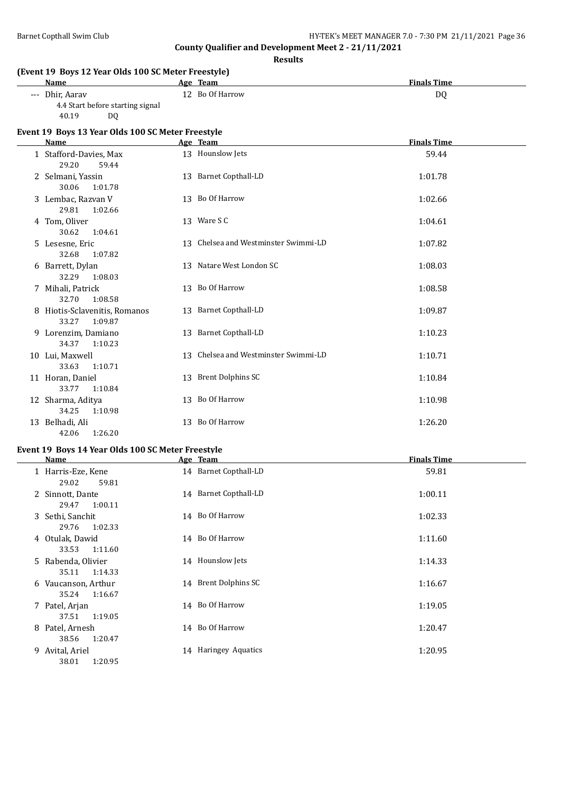**(Event 19 Boys 12 Year Olds 100 SC Meter Freestyle)**

**County Qualifier and Development Meet 2 - 21/11/2021**

**Results**

| <b>Name</b>                                                        | Age Team                             | <b>Finals Time</b> |
|--------------------------------------------------------------------|--------------------------------------|--------------------|
| --- Dhir, Aarav<br>4.4 Start before starting signal<br>40.19<br>DQ | 12 Bo Of Harrow                      | D <sub>0</sub>     |
| Event 19 Boys 13 Year Olds 100 SC Meter Freestyle                  |                                      |                    |
| <b>Name</b>                                                        | Age Team                             | <b>Finals Time</b> |
| 1 Stafford-Davies, Max<br>29.20<br>59.44                           | 13 Hounslow Jets                     | 59.44              |
| 2 Selmani, Yassin<br>30.06<br>1:01.78                              | 13 Barnet Copthall-LD                | 1:01.78            |
| 3 Lembac, Razvan V<br>29.81<br>1:02.66                             | 13 Bo Of Harrow                      | 1:02.66            |
| 4 Tom, Oliver<br>30.62<br>1:04.61                                  | 13 Ware S C                          | 1:04.61            |
| 5 Lesesne, Eric<br>32.68<br>1:07.82                                | 13 Chelsea and Westminster Swimmi-LD | 1:07.82            |
| 6 Barrett, Dylan<br>32.29<br>1:08.03                               | 13 Natare West London SC             | 1:08.03            |
| 7 Mihali, Patrick<br>32.70<br>1:08.58                              | 13 Bo Of Harrow                      | 1:08.58            |
| 8 Hiotis-Sclavenitis, Romanos<br>33.27<br>1:09.87                  | 13 Barnet Copthall-LD                | 1:09.87            |
| 9 Lorenzim, Damiano<br>34.37<br>1:10.23                            | 13 Barnet Copthall-LD                | 1:10.23            |
| 10 Lui, Maxwell<br>33.63<br>1:10.71                                | 13 Chelsea and Westminster Swimmi-LD | 1:10.71            |
| 11 Horan, Daniel<br>33.77<br>1:10.84                               | 13 Brent Dolphins SC                 | 1:10.84            |
| 12 Sharma, Aditya<br>34.25<br>1:10.98                              | 13 Bo Of Harrow                      | 1:10.98            |
| 13 Belhadi, Ali<br>42.06<br>1:26.20                                | 13 Bo Of Harrow                      | 1:26.20            |

## **Event 19 Boys 14 Year Olds 100 SC Meter Freestyle**

| Name                         |         |    | Age Team              | <b>Finals Time</b> |
|------------------------------|---------|----|-----------------------|--------------------|
| 1 Harris-Eze, Kene<br>29.02  | 59.81   |    | 14 Barnet Copthall-LD | 59.81              |
| 2 Sinnott, Dante<br>29.47    | 1:00.11 |    | 14 Barnet Copthall-LD | 1:00.11            |
| 3 Sethi, Sanchit<br>29.76    | 1:02.33 |    | 14 Bo Of Harrow       | 1:02.33            |
| 4 Otulak, Dawid<br>33.53     | 1:11.60 | 14 | Bo Of Harrow          | 1:11.60            |
| 5 Rabenda, Olivier<br>35.11  | 1:14.33 |    | 14 Hounslow Jets      | 1:14.33            |
| 6 Vaucanson, Arthur<br>35.24 | 1:16.67 |    | 14 Brent Dolphins SC  | 1:16.67            |
| 7 Patel, Arjan<br>37.51      | 1:19.05 |    | 14 Bo Of Harrow       | 1:19.05            |
| 8 Patel, Arnesh<br>38.56     | 1:20.47 |    | 14 Bo Of Harrow       | 1:20.47            |
| 9 Avital, Ariel<br>38.01     | 1:20.95 |    | 14 Haringey Aquatics  | 1:20.95            |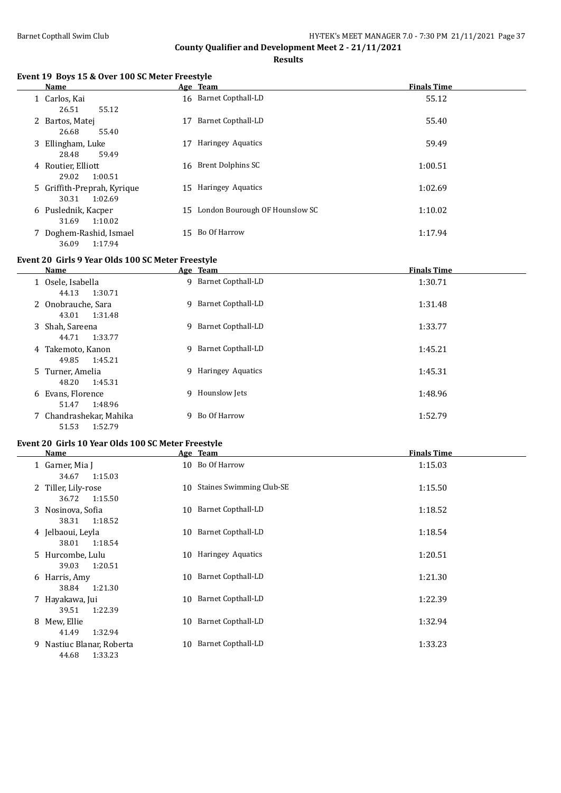$\frac{1}{2}$ 

# **County Qualifier and Development Meet 2 - 21/11/2021**

**Results**

# **Event 19 Boys 15 & Over 100 SC Meter Freestyle**

|   | Name                                            |     | Age Team                       | <b>Finals Time</b> |
|---|-------------------------------------------------|-----|--------------------------------|--------------------|
|   | 1 Carlos, Kai<br>26.51<br>55.12                 |     | 16 Barnet Copthall-LD          | 55.12              |
| 2 | Bartos, Matej<br>26.68<br>55.40                 | 17  | Barnet Copthall-LD             | 55.40              |
| 3 | Ellingham, Luke<br>59.49<br>28.48               | 17  | Haringey Aquatics              | 59.49              |
|   | 4 Routier, Elliott<br>29.02<br>1:00.51          |     | 16 Brent Dolphins SC           | 1:00.51            |
|   | 5 Griffith-Preprah, Kyrique<br>30.31<br>1:02.69 | 15  | Haringey Aquatics              | 1:02.69            |
|   | 6 Puslednik, Kacper<br>31.69<br>1:10.02         | 15  | London Bourough OF Hounslow SC | 1:10.02            |
|   | 7 Doghem-Rashid, Ismael<br>1:17.94<br>36.09     | 15. | Bo Of Harrow                   | 1:17.94            |

# **Event 20 Girls 9 Year Olds 100 SC Meter Freestyle**

| Name                                        |    | Age Team                  | <b>Finals Time</b> |
|---------------------------------------------|----|---------------------------|--------------------|
| 1 Osele, Isabella<br>44.13<br>1:30.71       | 9  | <b>Barnet Copthall-LD</b> | 1:30.71            |
| 2 Onobrauche, Sara<br>43.01<br>1:31.48      |    | 9 Barnet Copthall-LD      | 1:31.48            |
| 3 Shah, Sareena<br>44.71<br>1:33.77         |    | 9 Barnet Copthall-LD      | 1:33.77            |
| 4 Takemoto, Kanon<br>49.85<br>1:45.21       |    | 9 Barnet Copthall-LD      | 1:45.21            |
| 5 Turner, Amelia<br>1:45.31<br>48.20        |    | 9 Haringey Aquatics       | 1:45.31            |
| 6 Evans, Florence<br>1:48.96<br>51.47       |    | 9 Hounslow Jets           | 1:48.96            |
| 7 Chandrashekar, Mahika<br>51.53<br>1:52.79 | Q. | Bo Of Harrow              | 1:52.79            |

# **Event 20 Girls 10 Year Olds 100 SC Meter Freestyle**

| Name                                          | Age Team                        | <b>Finals Time</b> |
|-----------------------------------------------|---------------------------------|--------------------|
| 1 Garner, Mia J<br>34.67<br>1:15.03           | 10 Bo Of Harrow                 | 1:15.03            |
| 2 Tiller, Lily-rose<br>1:15.50<br>36.72       | 10 Staines Swimming Club-SE     | 1:15.50            |
| 3 Nosinova, Sofia                             | 10 Barnet Copthall-LD           | 1:18.52            |
| 1:18.52<br>38.31<br>4 Jelbaoui, Leyla         | 10 Barnet Copthall-LD           | 1:18.54            |
| 1:18.54<br>38.01<br>5 Hurcombe, Lulu          | 10 Haringey Aquatics            | 1:20.51            |
| 1:20.51<br>39.03<br>6 Harris, Amy             | 10 Barnet Copthall-LD           | 1:21.30            |
| 38.84<br>1:21.30<br>7 Hayakawa, Jui           | 10 Barnet Copthall-LD           | 1:22.39            |
| 1:22.39<br>39.51<br>8 Mew, Ellie              | 10 Barnet Copthall-LD           | 1:32.94            |
| 1:32.94<br>41.49<br>9 Nastiuc Blanar, Roberta | <b>Barnet Copthall-LD</b><br>10 | 1:33.23            |
| 1:33.23<br>44.68                              |                                 |                    |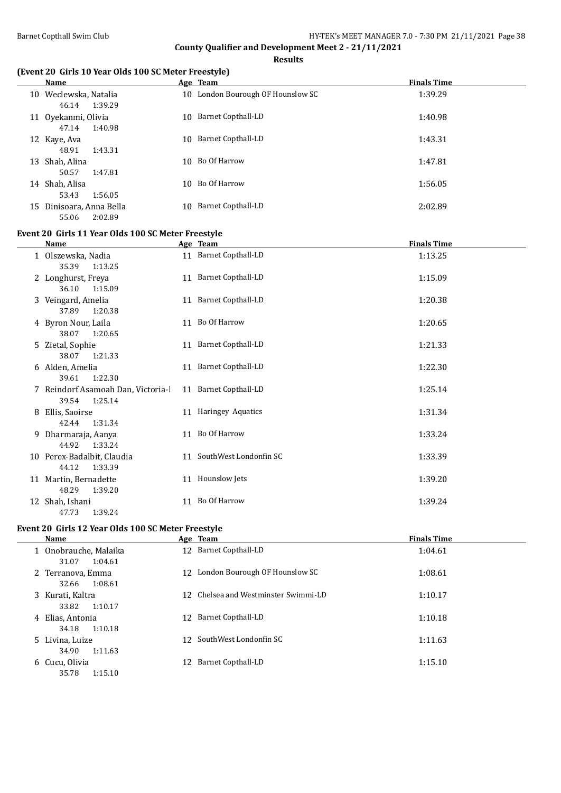$\overline{\phantom{a}}$ 

# **County Qualifier and Development Meet 2 - 21/11/2021**

**Results**

# **(Event 20 Girls 10 Year Olds 100 SC Meter Freestyle)**

| Name                                         | Age Team                          | <b>Finals Time</b> |
|----------------------------------------------|-----------------------------------|--------------------|
| Weclewska, Natalia<br>10<br>46.14<br>1:39.29 | 10 London Bourough OF Hounslow SC | 1:39.29            |
| 11 Oyekanmi, Olivia<br>1:40.98<br>47.14      | <b>Barnet Copthall-LD</b><br>10   | 1:40.98            |
| 12 Kaye, Aya<br>48.91<br>1:43.31             | <b>Barnet Copthall-LD</b><br>10   | 1:43.31            |
| 13 Shah, Alina<br>50.57<br>1:47.81           | 10 Bo Of Harrow                   | 1:47.81            |
| 14 Shah, Alisa<br>53.43<br>1:56.05           | Bo Of Harrow<br>10                | 1:56.05            |
| 15 Dinisoara, Anna Bella<br>55.06<br>2:02.89 | Barnet Copthall-LD<br>10          | 2:02.89            |

# **Event 20 Girls 11 Year Olds 100 SC Meter Freestyle**

|    | Name                                                   | Age Team                  | <b>Finals Time</b> |
|----|--------------------------------------------------------|---------------------------|--------------------|
|    | 1 Olszewska, Nadia<br>35.39<br>1:13.25                 | 11 Barnet Copthall-LD     | 1:13.25            |
|    | 2 Longhurst, Freya<br>36.10<br>1:15.09                 | 11 Barnet Copthall-LD     | 1:15.09            |
| 3  | Veingard, Amelia<br>1:20.38<br>37.89                   | 11 Barnet Copthall-LD     | 1:20.38            |
|    | 4 Byron Nour, Laila<br>1:20.65<br>38.07                | 11 Bo Of Harrow           | 1:20.65            |
| 5  | Zietal, Sophie<br>38.07<br>1:21.33                     | 11 Barnet Copthall-LD     | 1:21.33            |
| 6  | Alden, Amelia                                          | 11 Barnet Copthall-LD     | 1:22.30            |
|    | 1:22.30<br>39.61<br>7 Reindorf Asamoah Dan, Victoria-l | 11 Barnet Copthall-LD     | 1:25.14            |
| 8  | 39.54<br>1:25.14<br>Ellis, Saoirse                     | 11 Haringey Aquatics      | 1:31.34            |
| 9  | 42.44<br>1:31.34<br>Dharmaraja, Aanya<br>44.92 1:33.24 | 11 Bo Of Harrow           | 1:33.24            |
|    | 10 Perex-Badalbit, Claudia                             | 11 SouthWest Londonfin SC | 1:33.39            |
|    | 44.12<br>1:33.39<br>11 Martin, Bernadette              | 11 Hounslow Jets          | 1:39.20            |
| 12 | 48.29<br>1:39.20<br>Shah, Ishani<br>1:39.24<br>47.73   | 11 Bo Of Harrow           | 1:39.24            |

#### **Event 20 Girls 12 Year Olds 100 SC Meter Freestyle**

| Name                                      |     | Age Team                             | <b>Finals Time</b> |
|-------------------------------------------|-----|--------------------------------------|--------------------|
| 1 Onobrauche, Malaika<br>31.07<br>1:04.61 |     | 12 Barnet Copthall-LD                | 1:04.61            |
| 2 Terranova, Emma<br>1:08.61<br>32.66     |     | 12 London Bourough OF Hounslow SC    | 1:08.61            |
| 3 Kurati, Kaltra<br>1:10.17<br>33.82      |     | 12 Chelsea and Westminster Swimmi-LD | 1:10.17            |
| 4 Elias, Antonia<br>1:10.18<br>34.18      |     | 12 Barnet Copthall-LD                | 1:10.18            |
| 5 Livina, Luize<br>34.90<br>1:11.63       |     | 12 SouthWest Londonfin SC            | 1:11.63            |
| 6 Cucu, Olivia<br>35.78<br>1:15.10        | 12. | Barnet Copthall-LD                   | 1:15.10            |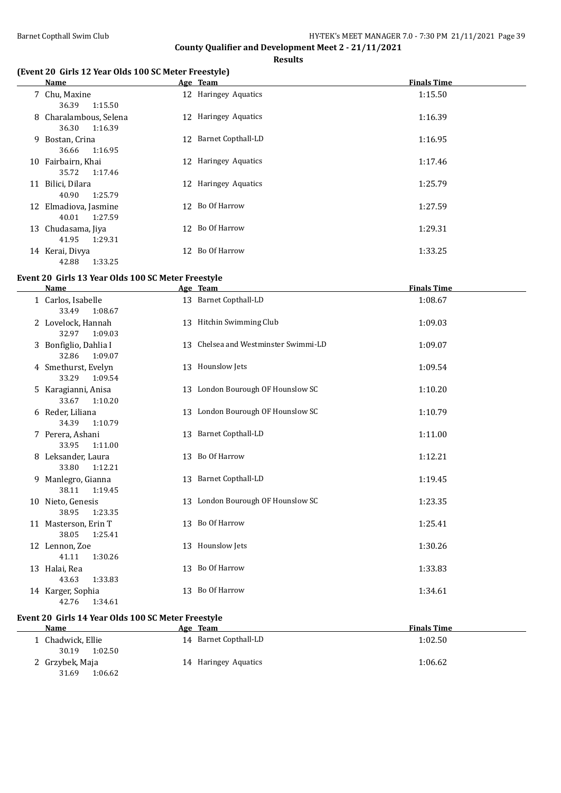**Results**

## **(Event 20 Girls 12 Year Olds 100 SC Meter Freestyle)**

| Name                                       | Age Team              | <b>Finals Time</b> |
|--------------------------------------------|-----------------------|--------------------|
| 7 Chu, Maxine<br>1:15.50<br>36.39          | 12 Haringey Aquatics  | 1:15.50            |
| 8 Charalambous, Selena<br>36.30<br>1:16.39 | 12 Haringey Aquatics  | 1:16.39            |
| 9 Bostan, Crina<br>1:16.95<br>36.66        | 12 Barnet Copthall-LD | 1:16.95            |
| 10 Fairbairn, Khai<br>35.72<br>1:17.46     | 12 Haringey Aquatics  | 1:17.46            |
| 11 Bilici, Dilara<br>1:25.79<br>40.90      | 12 Haringey Aquatics  | 1:25.79            |
| 12 Elmadiova, Jasmine<br>1:27.59<br>40.01  | 12 Bo Of Harrow       | 1:27.59            |
| 13 Chudasama, Jiya<br>41.95<br>1:29.31     | 12 Bo Of Harrow       | 1:29.31            |
| 14 Kerai, Divya<br>1:33.25<br>42.88        | 12 Bo Of Harrow       | 1:33.25            |

## **Event 20 Girls 13 Year Olds 100 SC Meter Freestyle**

| <b>Name</b>                               |    | Age Team                             | <b>Finals Time</b> |
|-------------------------------------------|----|--------------------------------------|--------------------|
| 1 Carlos, Isabelle<br>33.49<br>1:08.67    |    | 13 Barnet Copthall-LD                | 1:08.67            |
| 2 Lovelock, Hannah<br>32.97<br>1:09.03    |    | 13 Hitchin Swimming Club             | 1:09.03            |
| 3 Bonfiglio, Dahlia I<br>1:09.07<br>32.86 |    | 13 Chelsea and Westminster Swimmi-LD | 1:09.07            |
| 4 Smethurst, Evelyn<br>33.29<br>1:09.54   |    | 13 Hounslow Jets                     | 1:09.54            |
| 5 Karagianni, Anisa<br>33.67<br>1:10.20   |    | 13 London Bourough OF Hounslow SC    | 1:10.20            |
| 6 Reder, Liliana<br>34.39<br>1:10.79      |    | 13 London Bourough OF Hounslow SC    | 1:10.79            |
| 7 Perera, Ashani<br>33.95<br>1:11.00      |    | 13 Barnet Copthall-LD                | 1:11.00            |
| 8 Leksander, Laura<br>33.80<br>1:12.21    |    | 13 Bo Of Harrow                      | 1:12.21            |
| 9 Manlegro, Gianna<br>38.11<br>1:19.45    |    | 13 Barnet Copthall-LD                | 1:19.45            |
| 10 Nieto, Genesis<br>38.95<br>1:23.35     |    | 13 London Bourough OF Hounslow SC    | 1:23.35            |
| 11 Masterson, Erin T<br>38.05<br>1:25.41  |    | 13 Bo Of Harrow                      | 1:25.41            |
| 12 Lennon, Zoe<br>41.11<br>1:30.26        |    | 13 Hounslow Jets                     | 1:30.26            |
| 13 Halai, Rea<br>43.63<br>1:33.83         |    | 13 Bo Of Harrow                      | 1:33.83            |
| 14 Karger, Sophia<br>42.76<br>1:34.61     | 13 | Bo Of Harrow                         | 1:34.61            |

# **Event 20 Girls 14 Year Olds 100 SC Meter Freestyle**

| <b>Name</b>                           | <b>Team</b><br>Age    | <b>Finals Time</b> |
|---------------------------------------|-----------------------|--------------------|
| 1 Chadwick, Ellie<br>30.19<br>1:02.50 | 14 Barnet Copthall-LD | 1:02.50            |
| 2 Grzybek, Maja<br>1:06.62<br>31.69   | 14 Haringey Aquatics  | 1:06.62            |